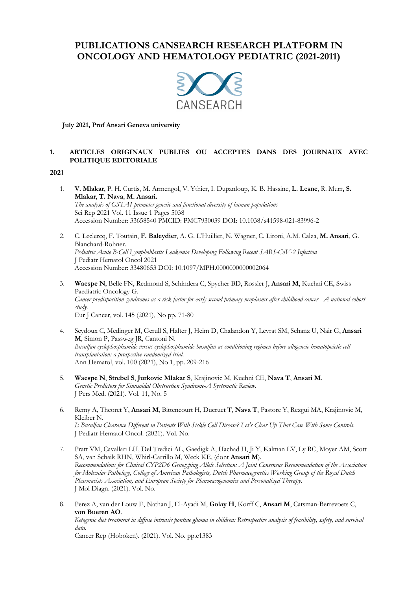**PUBLICATIONS CANSEARCH RESEARCH PLATFORM IN ONCOLOGY AND HEMATOLOGY PEDIATRIC (2021-2011)**



**July 2021, Prof Ansari Geneva university**

### **1. ARTICLES ORIGINAUX PUBLIES OU ACCEPTES DANS DES JOURNAUX AVEC POLITIQUE EDITORIALE**

- 1. **V. Mlakar**, P. H. Curtis, M. Armengol, V. Ythier, I. Dupanloup, K. B. Hassine, **L. Lesne**, R. Murr**, S. Mlakar**, **T. Nava**, **M. Ansari.** *The analysis of GSTA1 promoter genetic and functional diversity of human populations* Sci Rep 2021 Vol. 11 Issue 1 Pages 5038 Accession Number: 33658540 PMCID: PMC7930039 DOI: 10.1038/s41598-021-83996-2
- 2. C. Leclercq, F. Toutain, **F. Baleydier**, A. G. L'Huillier, N. Wagner, C. Lironi, A.M. Calza, **M. Ansari**, G. Blanchard-Rohner. *Pediatric Acute B-Cell Lymphoblastic Leukemia Developing Following Recent SARS-CoV-2 Infection* J Pediatr Hematol Oncol 2021 Accession Number: 33480653 DOI: 10.1097/MPH.0000000000002064
- 3. **Waespe N**, Belle FN, Redmond S, Schindera C, Spycher BD, Rossler J, **Ansari M**, Kuehni CE, Swiss Paediatric Oncology G. *Cancer predisposition syndromes as a risk factor for early second primary neoplasms after childhood cancer - A national cohort study.* Eur J Cancer, vol. 145 (2021), No pp. 71-80
- 4. Seydoux C, Medinger M, Gerull S, Halter J, Heim D, Chalandon Y, Levrat SM, Schanz U, Nair G, **Ansari M**, Simon P, Passweg JR, Cantoni N. *Busulfan-cyclophosphamide versus cyclophosphamide-busulfan as conditioning regimen before allogeneic hematopoietic cell transplantation: a prospective randomized trial.* Ann Hematol, vol. 100 (2021), No 1, pp. 209-216
- 5. **Waespe N**, **Strebel S**, **Jurkovic Mlakar S**, Krajinovic M, Kuehni CE, **Nava T**, **Ansari M**. *Genetic Predictors for Sinusoidal Obstruction Syndrome-A Systematic Review*. J Pers Med. (2021). Vol. 11, No. 5
- 6. Remy A, Theoret Y, **Ansari M**, Bittencourt H, Ducruet T, **Nava T**, Pastore Y, Rezgui MA, Krajinovic M, Kleiber N. *Is Busulfan Clearance Different in Patients With Sickle Cell Disease? Let's Clear Up That Case With Some Controls*. J Pediatr Hematol Oncol. (2021). Vol. No.
- 7. Pratt VM, Cavallari LH, Del Tredici AL, Gaedigk A, Hachad H, Ji Y, Kalman LV, Ly RC, Moyer AM, Scott SA, van Schaik RHN, Whirl-Carrillo M, Weck KE, (dont **Ansari M**). *Recommendations for Clinical CYP2D6 Genotyping Allele Selection: A Joint Consensus Recommendation of the Association for Molecular Pathology, College of American Pathologists, Dutch Pharmacogenetics Working Group of the Royal Dutch Pharmacists Association, and European Society for Pharmacogenomics and Personalized Therapy*. J Mol Diagn. (2021). Vol. No.
- 8. Perez A, van der Louw E, Nathan J, El-Ayadi M, **Golay H**, Korff C, **Ansari M**, Catsman-Berrevoets C, **von Bueren AO**. *Ketogenic diet treatment in diffuse intrinsic pontine glioma in children: Retrospective analysis of feasibility, safety, and survival data*. Cancer Rep (Hoboken). (2021). Vol. No. pp.e1383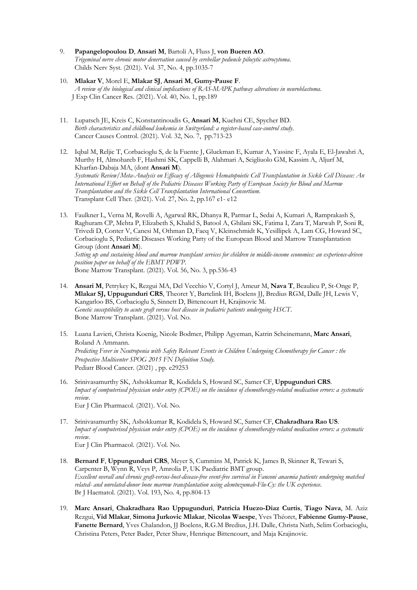- 9. **Papangelopoulou D**, **Ansari M**, Bartoli A, Fluss J, **von Bueren AO**. *Trigeminal nerve chronic motor denervation caused by cerebellar peduncle pilocytic astrocytoma*. Childs Nerv Syst. (2021). Vol. 37, No. 4, pp.1035-7
- 10. **Mlakar V**, Morel E, **Mlakar SJ**, **Ansari M**, **Gumy-Pause F**. *A review of the biological and clinical implications of RAS-MAPK pathway alterations in neuroblastoma*. J Exp Clin Cancer Res. (2021). Vol. 40, No. 1, pp.189
- 11. Lupatsch JE, Kreis C, Konstantinoudis G, **Ansari M**, Kuehni CE, Spycher BD. *Birth characteristics and childhood leukemia in Switzerland: a register-based case-control study*. Cancer Causes Control. (2021). Vol. 32, No. 7, pp.713-23
- 12. Iqbal M, Reljic T, Corbacioglu S, de la Fuente J, Gluckman E, Kumar A, Yassine F, Ayala E, El-Jawahri A, Murthy H, Almohareb F, Hashmi SK, Cappelli B, Alahmari A, Scigliuolo GM, Kassim A, Aljurf M, Kharfan-Dabaja MA, (dont **Ansari M**). *Systematic Review/Meta-Analysis on Efficacy of Allogeneic Hematopoietic Cell Transplantation in Sickle Cell Disease: An International Effort on Behalf of the Pediatric Diseases Working Party of European Society for Blood and Marrow Transplantation and the Sickle Cell Transplantation International Consortium*. Transplant Cell Ther. (2021). Vol. 27, No. 2, pp.167 e1- e12
- 13. Faulkner L, Verna M, Rovelli A, Agarwal RK, Dhanya R, Parmar L, Sedai A, Kumari A, Ramprakash S, Raghuram CP, Mehta P, Elizabeth S, Khalid S, Batool A, Ghilani SK, Fatima I, Zara T, Marwah P, Soni R, Trivedi D, Conter V, Canesi M, Othman D, Faeq V, Kleinschmidt K, Yesillipek A, Lam CG, Howard SC, Corbacioglu S, Pediatric Diseases Working Party of the European Blood and Marrow Transplantation Group (dont **Ansari M**).

*Setting up and sustaining blood and marrow transplant services for children in middle-income economies: an experience-driven position paper on behalf of the EBMT PDWP*. Bone Marrow Transplant. (2021). Vol. 56, No. 3, pp.536-43

- 14. **Ansari M**, Petrykey K, Rezgui MA, Del Vecchio V, Cortyl J, Ameur M, **Nava T**, Beaulieu P, St-Onge P, **Mlakar SJ, Uppugunduri CRS**, Theoret Y, Bartelink IH, Boelens JJ, Bredius RGM, Dalle JH, Lewis V, Kangarloo BS, Corbacioglu S, Sinnett D, Bittencourt H, Krajinovic M. *Genetic susceptibility to acute graft versus host disease in pediatric patients undergoing HSCT*. Bone Marrow Transplant. (2021). Vol. No.
- 15. Luana Lavieri, Christa Koenig, Nicole Bodmer, Philipp Agyeman, Katrin Scheinemann, **Marc Ansari**, Roland A Ammann. *Predicting Fever in Neutropenia with Safety Relevant Events in Children Undergoing Chemotherapy for Cancer : the Prospective Multicenter SPOG 2015 FN Definition Study.*  Pediatr Blood Cancer. (2021) , pp. e29253
- 16. Srinivasamurthy SK, Ashokkumar R, Kodidela S, Howard SC, Samer CF, **Uppugunduri CRS**. *Impact of computerised physician order entry (CPOE) on the incidence of chemotherapy-related medication errors: a systematic review*. Eur J Clin Pharmacol. (2021). Vol. No.
- 17. Srinivasamurthy SK, Ashokkumar R, Kodidela S, Howard SC, Samer CF, **Chakradhara Rao US**. *Impact of computerised physician order entry (CPOE) on the incidence of chemotherapy-related medication errors: a systematic review*.
	- Eur J Clin Pharmacol. (2021). Vol. No.
- 18. **Bernard F**, **Uppungunduri CRS**, Meyer S, Cummins M, Patrick K, James B, Skinner R, Tewari S, Carpenter B, Wynn R, Veys P, Amrolia P, UK Paediatric BMT group. *Excellent overall and chronic graft-versus-host-disease-free event-free survival in Fanconi anaemia patients undergoing matched related- and unrelated-donor bone marrow transplantation using alemtuzumab-Flu-Cy: the UK experience*. Br J Haematol. (2021). Vol. 193, No. 4, pp.804-13
- 19. **Marc Ansari**, **Chakradhara Rao Uppugunduri**, **Patricia Huezo-Diaz Curtis**, **Tiago Nava**, M. Aziz Rezgui, **Vid Mlakar**, **Simona Jurkovic Mlakar**, **Nicolas Waespe**, Yves Théoret, **Fabienne Gumy-Pause**, **Fanette Bernard**, Yves Chalandon, JJ Boelens, R.G.M Bredius, J.H. Dalle, Christa Nath, Selim Corbacioglu, Christina Peters, Peter Bader, Peter Shaw, Henrique Bittencourt, and Maja Krajinovic.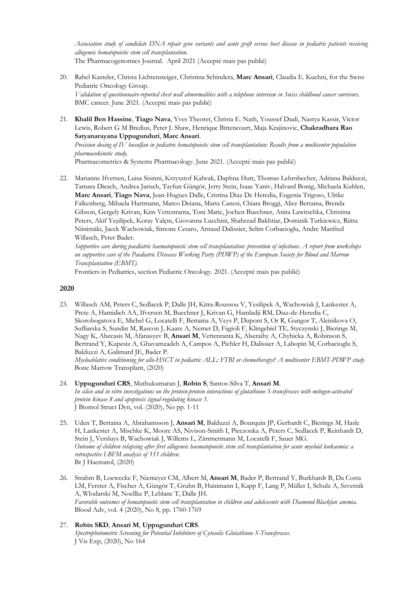*Association study of candidate DNA repair gene variants and acute graft versus host disease in pediatric patients receiving allogeneic hematopoietic stem cell transplantation.* The Pharmacogenomics Journal. April 2021 (Accepté mais pas publié)

- 20. Rahel Kasteler, Christa Lichtensteiger, Christina Schindera, **Marc Ansari**, Claudia E. Kuehni, for the Swiss Pediatric Oncology Group. *Validation of questionnaire-reported chest wall abnormalities with a telephone interview in Swiss childhood cancer survivors.*  BMC cancer. June 2021. (Accepté mais pas publié)
- 21. **Khalil Ben Hassine**, **Tiago Nava**, Yves Theoret, Christa E. Nath, Youssef Daali, Nastya Kassir, Victor Lewis, Robert G M Bredius, Peter J. Shaw, Henrique Bittencourt, Maja Krajinovic, **Chakradhara Rao Satyanarayana Uppugunduri**, **Marc Ansari**.

*Precision dosing of IV busulfan in pediatric hematopoietic stem cell transplantation: Results from a multicenter population pharmacokinetic study.*

Pharmacometrics & Systems Pharmacology. June 2021. (Accepté mais pas publié)

22. Marianne Ifversen, Luisa Sisinni, Krzysztof Kalwak, Daphna Hutt, Thomas Lehrnbecher, Adriana Balduzzi, Tamara Diesch, Andrea Jarisch, Tayfun Güngör, Jerry Stein, Isaac Yaniv, Halvard Bonig, Michaela Kuhlen, **Marc Ansari**, **Tiago Nava**, Jean-Hugues Dalle, Cristina Diaz De Heredia, Eugenia Trigoso, Ulrike Falkenberg, Mihaela Hartmann, Marco Deiana, Marta Canesi, Chiara Broggi, Alice Bertaina, Brenda Gibson, Gergely Krivan, Kim Vettenranta, Toni Matic, Jochen Buechner, Anita Lawitschka, Christina Peters, Akif Yeşilipek, Koray Yalçın, Giovanna Lucchini, Shahrzad Bakhtiar, Dominik Turkiewicz, Riitta Niinimäki, Jacek Wachowiak, Simone Cesaro, Arnaud Dalissier, Selim Corbacioglu, Andre Manfred Willasch, Peter Bader.

*Supportive care during paediatric haematopoietic stem cell transplantation: prevention of infections. A report from workshops on supportive care of the Paediatric Diseases Working Party (PDWP) of the European Society for Blood and Marrow Transplantation (EBMT).* 

Frontiers in Pediatrics, section Pediatric Oncology. 2021. (Accepté mais pas publié)

### **2020**

23. Willasch AM, Peters C, Sedlacek P, Dalle JH, Kitra-Roussou V, Yesilipek A, Wachowiak J, Lankester A, Prete A, Hamidieh AA, Ifversen M, Buechner J, Krivan G, Hamladji RM, Diaz-de-Heredia C, Skorobogatova E, Michel G, Locatelli F, Bertaina A, Veys P, Dupont S, Or R, Gungor T, Aleinikova O, Sufliarska S, Sundin M, Rascon J, Kaare A, Nemet D, Fagioli F, Klingebiel TE, Styczynski J, Bierings M, Nagy K, Abecasis M, Afanasyev B, **Ansari M**, Vettenranta K, Alseraihy A, Chybicka A, Robinson S, Bertrand Y, Kupesiz A, Ghavamzadeh A, Campos A, Pichler H, Dalissier A, Labopin M, Corbacioglu S, Balduzzi A, Galimard JE, Bader P.

*Myeloablative conditioning for allo-HSCT in pediatric ALL: FTBI or chemotherapy? A multicenter EBMT-PDWP study* Bone Marrow Transplant, (2020)

- 24. **Uppugunduri CRS**, Muthukumaran J, **Robin S**, Santos-Silva T, **Ansari M**. *In silico and in vitro investigations on the protein-protein interactions of glutathione S-transferases with mitogen-activated protein kinase 8 and apoptosis signal-regulating kinase 1.* J Biomol Struct Dyn, vol. (2020), No pp. 1-11
- 25. Uden T, Bertaina A, Abrahamsson J, **Ansari M**, Balduzzi A, Bourquin JP, Gerhardt C, Bierings M, Hasle H, Lankester A, Mischke K, Moore AS, Nivison-Smith I, Pieczonka A, Peters C, Sedlacek P, Reinhardt D, Stein J, Versluys B, Wachowiak J, Willems L, Zimmermann M, Locatelli F, Sauer MG. *Outcome of children relapsing after first allogeneic haematopoietic stem cell transplantation for acute myeloid leukaemia: a retrospective I-BFM analysis of 333 children.* Br J Haematol, (2020)
- 26. Strahm B, Loewecke F, Niemeyer CM, Albert M, **Ansari M**, Bader P, Bertrand Y, Burkhardt B, Da Costa LM, Ferster A, Fischer A, Güngör T, Gruhn B, Hainmann I, Kapp F, Lang P, Müller I, Schulz A, Szvetnik A, Wlodarski M, Noellke P, Leblanc T, Dalle JH. *Favorable outcomes of hematopoietic stem cell transplantation in children and adolescents with Diamond-Blackfan anemia.* Blood Adv, vol. 4 (2020), No 8, pp. 1760-1769
- 27. **Robin SKD**, **Ansari M**, **Uppugunduri CRS**. *Spectrophotometric Screening for Potential Inhibitors of Cytosolic Glutathione S-Transferases.* J Vis Exp, (2020), No 164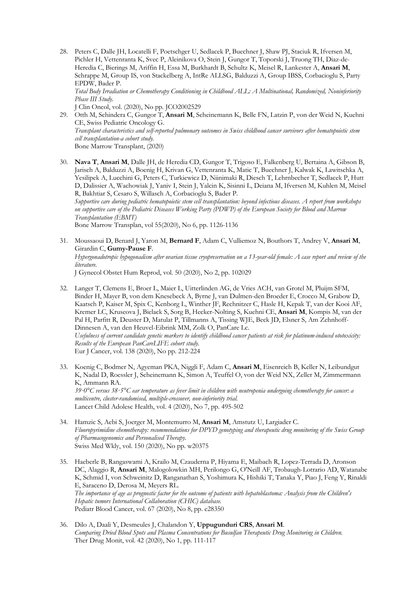- 28. Peters C, Dalle JH, Locatelli F, Poetschger U, Sedlacek P, Buechner J, Shaw PJ, Staciuk R, Ifversen M, Pichler H, Vettenranta K, Svec P, Aleinikova O, Stein J, Gungor T, Toporski J, Truong TH, Diaz-de-Heredia C, Bierings M, Ariffin H, Essa M, Burkhardt B, Schultz K, Meisel R, Lankester A, **Ansari M**, Schrappe M, Group IS, von Stackelberg A, IntRe ALLSG, Balduzzi A, Group IBSS, Corbacioglu S, Party EPDW, Bader P. *Total Body Irradiation or Chemotherapy Conditioning in Childhood ALL: A Multinational, Randomized, Noninferiority Phase III Study.* J Clin Oncol, vol. (2020), No pp. JCO2002529 29. Otth M, Schindera C, Gungor T, **Ansari M**, Scheinemann K, Belle FN, Latzin P, von der Weid N, Kuehni
- CE, Swiss Pediatric Oncology G. *Transplant characteristics and self-reported pulmonary outcomes in Swiss childhood cancer survivors after hematopoietic stem cell transplantation-a cohort study.* Bone Marrow Transplant, (2020)
- 30. **Nava T**, **Ansari M**, Dalle JH, de Heredia CD, Gungor T, Trigoso E, Falkenberg U, Bertaina A, Gibson B, Jarisch A, Balduzzi A, Boenig H, Krivan G, Vettenranta K, Matic T, Buechner J, Kalwak K, Lawitschka A, Yesilipek A, Lucchini G, Peters C, Turkiewicz D, Niinimaki R, Diesch T, Lehrnbecher T, Sedlacek P, Hutt D, Dalissier A, Wachowiak J, Yaniv I, Stein J, Yalcin K, Sisinni L, Deiana M, Ifversen M, Kuhlen M, Meisel R, Bakhtiar S, Cesaro S, Willasch A, Corbacioglu S, Bader P.

*Supportive care during pediatric hematopoietic stem cell transplantation: beyond infectious diseases. A report from workshops on supportive care of the Pediatric Diseases Working Party (PDWP) of the European Society for Blood and Marrow Transplantation (EBMT)*

Bone Marrow Transplan, vol 55(2020), No 6, pp. 1126-1136

- 31. Moussaoui D, Benard J, Yaron M, **Bernard F**, Adam C, Vulliemoz N, Bouthors T, Andrey V, **Ansari M**, Girardin C, **Gumy-Pause F**. *Hypergonadotropic hypogonadism after ovarian tissue cryopreservation on a 13-year-old female: A case report and review of the literature.* J Gynecol Obstet Hum Reprod, vol. 50 (2020), No 2, pp. 102029
- 32. Langer T, Clemens E, Broer L, Maier L, Uitterlinden AG, de Vries ACH, van Grotel M, Pluijm SFM, Binder H, Mayer B, von dem Knesebeck A, Byrne J, van Dulmen-den Broeder E, Crocco M, Grabow D, Kaatsch P, Kaiser M, Spix C, Kenborg L, Winther JF, Rechnitzer C, Hasle H, Kepak T, van der Kooi AF, Kremer LC, Kruseova J, Bielack S, Sorg B, Hecker-Nolting S, Kuehni CE, **Ansari M**, Kompis M, van der Pal H, Parfitt R, Deuster D, Matulat P, Tillmanns A, Tissing WJE, Beck JD, Elsner S, Am Zehnhoff-Dinnesen A, van den Heuvel-Eibrink MM, Zolk O, PanCare Lc. *Usefulness of current candidate genetic markers to identify childhood cancer patients at risk for platinum-induced ototoxicity: Results of the European PanCareLIFE cohort study.* Eur J Cancer, vol. 138 (2020), No pp. 212-224
- 33. Koenig C, Bodmer N, Agyeman PKA, Niggli F, Adam C, **Ansari M**, Eisenreich B, Keller N, Leibundgut K, Nadal D, Roessler J, Scheinemann K, Simon A, Teuffel O, von der Weid NX, Zeller M, Zimmermann K, Ammann RA. *39·0°C versus 38·5°C ear temperature as fever limit in children with neutropenia undergoing chemotherapy for cancer: a multicentre, cluster-randomised, multiple-crossover, non-inferiority trial.* Lancet Child Adolesc Health, vol. 4 (2020), No 7, pp. 495-502
- 34. Hamzic S, Aebi S, Joerger M, Montemurro M, **Ansari M**, Amstutz U, Largiader C. *Fluoropyrimidine chemotherapy: recommendations for DPYD genotyping and therapeutic drug monitoring of the Swiss Group of Pharmacogenomics and Personalised Therapy.* Swiss Med Wkly, vol. 150 (2020), No pp. w20375
- 35. Haeberle B, Rangaswami A, Krailo M, Czauderna P, Hiyama E, Maibach R, Lopez-Terrada D, Aronson DC, Alaggio R, **Ansari M**, Malogolowkin MH, Perilongo G, O'Neill AF, Trobaugh-Lotrario AD, Watanabe K, Schmid I, von Schweinitz D, Ranganathan S, Yoshimura K, Hishiki T, Tanaka Y, Piao J, Feng Y, Rinaldi E, Saraceno D, Derosa M, Meyers RL. *The importance of age as prognostic factor for the outcome of patients with hepatoblastoma: Analysis from the Children's Hepatic tumors International Collaboration (CHIC) database.* Pediatr Blood Cancer, vol. 67 (2020), No 8, pp. e28350
- 36. Dilo A, Daali Y, Desmeules J, Chalandon Y, **Uppugunduri CRS**, **Ansari M**. *Comparing Dried Blood Spots and Plasma Concentrations for Busulfan Therapeutic Drug Monitoring in Children.* Ther Drug Monit, vol. 42 (2020), No 1, pp. 111-117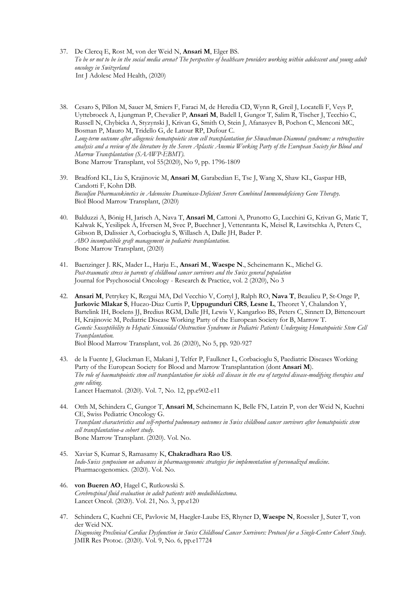- 37. De Clercq E, Rost M, von der Weid N, **Ansari M**, Elger BS. *To be or not to be in the social media arena? The perspective of healthcare providers working within adolescent and young adult oncology in Switzerland* Int J Adolesc Med Health, (2020)
- 38. Cesaro S, Pillon M, Sauer M, Smiers F, Faraci M, de Heredia CD, Wynn R, Greil J, Locatelli F, Veys P, Uyttebroeck A, Ljungman P, Chevalier P, **Ansari M**, Badell I, Gungor T, Salim R, Tischer J, Tecchio C, Russell N, Chybicka A, Styzynski J, Krivan G, Smith O, Stein J, Afanasyev B, Pochon C, Menconi MC, Bosman P, Mauro M, Tridello G, de Latour RP, Dufour C. *Long-term outcome after allogeneic hematopoietic stem cell transplantation for Shwachman-Diamond syndrome: a retrospective analysis and a review of the literature by the Severe Aplastic Anemia Working Party of the European Society for Blood and Marrow Transplantation (SAAWP-EBMT).* Bone Marrow Transplant, vol 55(2020), No 9, pp. 1796-1809
- 39. Bradford KL, Liu S, Krajinovic M, **Ansari M**, Garabedian E, Tse J, Wang X, Shaw KL, Gaspar HB, Candotti F, Kohn DB. *Busulfan Pharmacokinetics in Adenosine Deaminase-Deficient Severe Combined Immunodeficiency Gene Therapy.* Biol Blood Marrow Transplant, (2020)
- 40. Balduzzi A, Bönig H, Jarisch A, Nava T, **Ansari M**, Cattoni A, Prunotto G, Lucchini G, Krivan G, Matic T, Kalwak K, Yesilipek A, Ifversen M, Svec P, Buechner J, Vettenranta K, Meisel R, Lawitschka A, Peters C, Gibson B, Dalissier A, Corbacioglu S, Willasch A, Dalle JH, Bader P. *ABO incompatibile graft management in pediatric transplantation.* Bone Marrow Transplant, (2020)
- 41. Baenzinger J. RK, Mader L., Harju E., **Ansari M**., **Waespe N**., Scheinemann K., Michel G. *Post-traumatic stress in parents of childhood cancer survivors and the Swiss general population* Journal for Psychosocial Oncology - Research & Practice, vol. 2 (2020), No 3
- 42. **Ansari M**, Petrykey K, Rezgui MA, Del Vecchio V, Cortyl J, Ralph RO, **Nava T**, Beaulieu P, St-Onge P, **Jurkovic Mlakar S**, Huezo-Diaz Curtis P, **Uppugunduri CRS**, **Lesne L**, Theoret Y, Chalandon Y, Bartelink IH, Boelens JJ, Bredius RGM, Dalle JH, Lewis V, Kangarloo BS, Peters C, Sinnett D, Bittencourt H, Krajinovic M, Pediatric Disease Working Party of the European Society for B, Marrow T. *Genetic Susceptibility to Hepatic Sinusoidal Obstruction Syndrome in Pediatric Patients Undergoing Hematopoietic Stem Cell Transplantation.* Biol Blood Marrow Transplant, vol. 26 (2020), No 5, pp. 920-927
- 43. de la Fuente J, Gluckman E, Makani J, Telfer P, Faulkner L, Corbacioglu S, Paediatric Diseases Working Party of the European Society for Blood and Marrow Transplantation (dont **Ansari M**). *The role of haematopoietic stem cell transplantation for sickle cell disease in the era of targeted disease-modifying therapies and gene editing*. Lancet Haematol. (2020). Vol. 7, No. 12, pp.e902-e11
- 44. Otth M, Schindera C, Gungor T, **Ansari M**, Scheinemann K, Belle FN, Latzin P, von der Weid N, Kuehni CE, Swiss Pediatric Oncology G. *Transplant characteristics and self-reported pulmonary outcomes in Swiss childhood cancer survivors after hematopoietic stem cell transplantation-a cohort study*. Bone Marrow Transplant. (2020). Vol. No.
- 45. Xaviar S, Kumar S, Ramasamy K, **Chakradhara Rao US**. *Indo-Swiss symposium on advances in pharmacogenomic strategies for implementation of personalized medicine*. Pharmacogenomics. (2020). Vol. No.
- 46. **von Bueren AO**, Hagel C, Rutkowski S. *Cerebrospinal fluid evaluation in adult patients with medulloblastoma*. Lancet Oncol. (2020). Vol. 21, No. 3, pp.e120
- 47. Schindera C, Kuehni CE, Pavlovic M, Haegler-Laube ES, Rhyner D, **Waespe N**, Roessler J, Suter T, von der Weid NX. *Diagnosing Preclinical Cardiac Dysfunction in Swiss Childhood Cancer Survivors: Protocol for a Single-Center Cohort Study*. JMIR Res Protoc. (2020). Vol. 9, No. 6, pp.e17724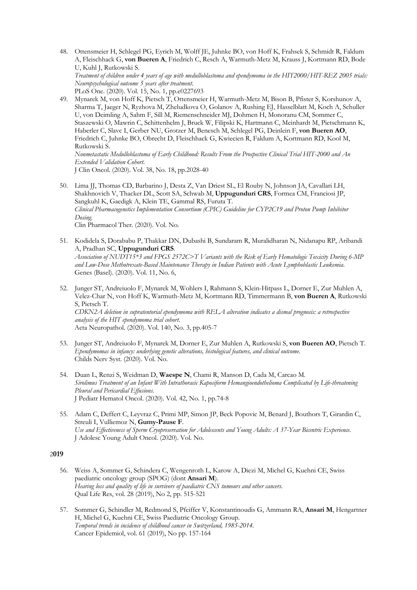48. Ottensmeier H, Schlegel PG, Eyrich M, Wolff JE, Juhnke BO, von Hoff K, Frahsek S, Schmidt R, Faldum A, Fleischhack G, **von Bueren A**, Friedrich C, Resch A, Warmuth-Metz M, Krauss J, Kortmann RD, Bode U, Kuhl J, Rutkowski S.

*Treatment of children under 4 years of age with medulloblastoma and ependymoma in the HIT2000/HIT-REZ 2005 trials: Neuropsychological outcome 5 years after treatment*.

- PLoS One. (2020). Vol. 15, No. 1, pp.e0227693
- 49. Mynarek M, von Hoff K, Pietsch T, Ottensmeier H, Warmuth-Metz M, Bison B, Pfister S, Korshunov A, Sharma T, Jaeger N, Ryzhova M, Zheludkova O, Golanov A, Rushing EJ, Hasselblatt M, Koch A, Schuller U, von Deimling A, Sahm F, Sill M, Riemenschneider MJ, Dohmen H, Monoranu CM, Sommer C, Staszewski O, Mawrin C, Schittenhelm J, Bruck W, Filipski K, Hartmann C, Meinhardt M, Pietschmann K, Haberler C, Slavc I, Gerber NU, Grotzer M, Benesch M, Schlegel PG, Deinlein F, **von Bueren AO**, Friedrich C, Juhnke BO, Obrecht D, Fleischhack G, Kwiecien R, Faldum A, Kortmann RD, Kool M, Rutkowski S.

*Nonmetastatic Medulloblastoma of Early Childhood: Results From the Prospective Clinical Trial HIT-2000 and An Extended Validation Cohort*.

J Clin Oncol. (2020). Vol. 38, No. 18, pp.2028-40

- 50. Lima JJ, Thomas CD, Barbarino J, Desta Z, Van Driest SL, El Rouby N, Johnson JA, Cavallari LH, Shakhnovich V, Thacker DL, Scott SA, Schwab M, **Uppugunduri CRS**, Formea CM, Franciosi JP, Sangkuhl K, Gaedigk A, Klein TE, Gammal RS, Furuta T. *Clinical Pharmacogenetics Implementation Consortium (CPIC) Guideline for CYP2C19 and Proton Pump Inhibitor Dosing*. Clin Pharmacol Ther. (2020). Vol. No.
- 51. Kodidela S, Dorababu P, Thakkar DN, Dubashi B, Sundaram R, Muralidharan N, Nidanapu RP, Aribandi A, Pradhan SC, **Uppugunduri CRS**. *Association of NUDT15\*3 and FPGS 2572C>T Variants with the Risk of Early Hematologic Toxicity During 6-MP and Low-Dose Methotrexate-Based Maintenance Therapy in Indian Patients with Acute Lymphoblastic Leukemia*. Genes (Basel). (2020). Vol. 11, No. 6,
- 52. Junger ST, Andreiuolo F, Mynarek M, Wohlers I, Rahmann S, Klein-Hitpass L, Dorner E, Zur Muhlen A, Velez-Char N, von Hoff K, Warmuth-Metz M, Kortmann RD, Timmermann B, **von Bueren A**, Rutkowski S, Pietsch T. *CDKN2A deletion in supratentorial ependymoma with RELA alteration indicates a dismal prognosis: a retrospective analysis of the HIT ependymoma trial cohort*. Acta Neuropathol. (2020). Vol. 140, No. 3, pp.405-7
- 53. Junger ST, Andreiuolo F, Mynarek M, Dorner E, Zur Muhlen A, Rutkowski S, **von Bueren AO**, Pietsch T. *Ependymomas in infancy: underlying genetic alterations, histological features, and clinical outcome*. Childs Nerv Syst. (2020). Vol. No.
- 54. Duan L, Renzi S, Weidman D, **Waespe N**, Chami R, Manson D, Cada M, Carcao M. *Sirolimus Treatment of an Infant With Intrathoracic Kaposiform Hemangioendothelioma Complicated by Life-threatening Pleural and Pericardial Effusions*. J Pediatr Hematol Oncol. (2020). Vol. 42, No. 1, pp.74-8
- 55. Adam C, Deffert C, Leyvraz C, Primi MP, Simon JP, Beck Popovic M, Benard J, Bouthors T, Girardin C, Streuli I, Vulliemoz N, **Gumy-Pause F**. *Use and Effectiveness of Sperm Cryopreservation for Adolescents and Young Adults: A 37-Year Bicentric Experience*. J Adolesc Young Adult Oncol. (2020). Vol. No.

- 56. Weiss A, Sommer G, Schindera C, Wengenroth L, Karow A, Diezi M, Michel G, Kuehni CE, Swiss paediatric oncology group (SPOG) (dont **Ansari M**). *Hearing loss and quality of life in survivors of paediatric CNS tumours and other cancers.* Qual Life Res, vol. 28 (2019), No 2, pp. 515-521
- 57. Sommer G, Schindler M, Redmond S, Pfeiffer V, Konstantinoudis G, Ammann RA, **Ansari M**, Hengartner H, Michel G, Kuehni CE, Swiss Paediatric Oncology Group. *Temporal trends in incidence of childhood cancer in Switzerland, 1985-2014.* Cancer Epidemiol, vol. 61 (2019), No pp. 157-164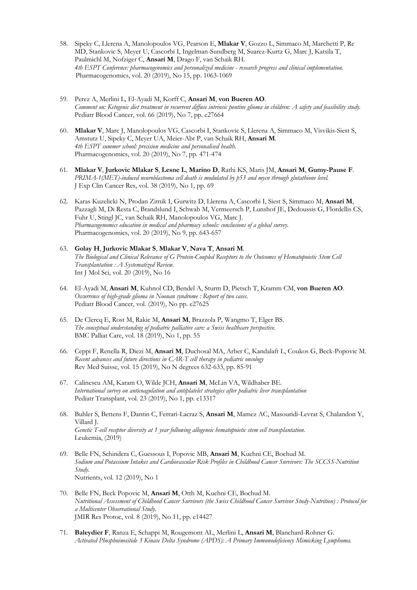- 58. Sipeky C, Llerena A, Manolopoulos VG, Pearson E, **Mlakar V**, Gozzo L, Simmaco M, Marchetti P, Re MD, Stankovic S, Meyer U, Cascorbi I, Ingelman-Sundberg M, Suarez-Kurtz G, Marc J, Katsila T, Paulmichl M, Nofziger C, **Ansari M**, Drago F, van Schaik RH. *4th ESPT Conference: pharmacogenomics and personalized medicine - research progress and clinical implementation.* Pharmacogenomics, vol. 20 (2019), No 15, pp. 1063-1069
- 59. Perez A, Merlini L, El-Ayadi M, Korff C, **Ansari M**, **von Bueren AO**. *Comment on: Ketogenic diet treatment in recurrent diffuse intrinsic pontine glioma in children: A safety and feasibility study.* Pediatr Blood Cancer, vol. 66 (2019), No 7, pp. e27664
- 60. **Mlakar V**, Marc J, Manolopoulos VG, Cascorbi I, Stankovic S, Llerena A, Simmaco M, Visvikis-Siest S, Amstutz U, Sipeky C, Meyer UA, Meier-Abt P, van Schaik RH, **Ansari M**. *4th ESPT summer school: precision medicine and personalised health.* Pharmacogenomics, vol. 20 (2019), No 7, pp. 471-474
- 61. **Mlakar V**, **Jurkovic Mlakar S**, **Lesne L**, **Marino D**, Rathi KS, Maris JM, **Ansari M**, **Gumy-Pause F**. *PRIMA-1(MET)-induced neuroblastoma cell death is modulated by p53 and mycn through glutathione level.* J Exp Clin Cancer Res, vol. 38 (2019), No 1, pp. 69
- 62. Karas Kuzelicki N, Prodan Zitnik I, Gurwitz D, Llerena A, Cascorbi I, Siest S, Simmaco M, **Ansari M**, Pazzagli M, Di Resta C, Brandslund I, Schwab M, Vermeersch P, Lunshof JE, Dedoussis G, Flordellis CS, Fuhr U, Stingl JC, van Schaik RH, Manolopoulos VG, Marc J. *Pharmacogenomics education in medical and pharmacy schools: conclusions of a global survey.* Pharmacogenomics, vol. 20 (2019), No 9, pp. 643-657
- 63. **Golay H**, **Jurkovic Mlakar S**, **Mlakar V**, **Nava T**, **Ansari M**. *The Biological and Clinical Relevance of G Protein-Coupled Receptors to the Outcomes of Hematopoietic Stem Cell Transplantation : A Systematized Review.* Int J Mol Sci, vol. 20 (2019), No 16
- 64. El-Ayadi M, **Ansari M**, Kuhnol CD, Bendel A, Sturm D, Pietsch T, Kramm CM, **von Bueren AO**. *Occurrence of high-grade glioma in Noonan syndrome : Report of two cases.* Pediatr Blood Cancer, vol. (2019), No pp. e27625
- 65. De Clercq E, Rost M, Rakic M, **Ansari M**, Brazzola P, Wangmo T, Elger BS. *The conceptual understanding of pediatric palliative care: a Swiss healthcare perspective.* BMC Palliat Care, vol. 18 (2019), No 1, pp. 55
- 66. Ceppi F, Renella R, Diezi M, **Ansari M**, Duchosal MA, Arber C, Kandalaft L, Coukos G, Beck-Popovic M. *Recent advances and future directions in CAR-T cell therapy in pediatric oncology* Rev Med Suisse, vol. 15 (2019), No N degrees 632-633, pp. 85-91
- 67. Calinescu AM, Karam O, Wilde JCH, **Ansari M**, McLin VA, Wildhaber BE. *International survey on anticoagulation and antiplatelet strategies after pediatric liver transplantation* Pediatr Transplant, vol. 23 (2019), No 1, pp. e13317
- 68. Buhler S, Bettens F, Dantin C, Ferrari-Lacraz S, **Ansari M**, Mamez AC, Masouridi-Levrat S, Chalandon Y, Villard J. *Genetic T-cell receptor diversity at 1 year following allogeneic hematopoietic stem cell transplantation.* Leukemia, (2019)
- 69. Belle FN, Schindera C, Guessous I, Popovic MB, **Ansari M**, Kuehni CE, Bochud M. *Sodium and Potassium Intakes and Cardiovascular Risk Profiles in Childhood Cancer Survivors: The SCCSS-Nutrition Study.* Nutrients, vol. 12 (2019), No 1
- 70. Belle FN, Beck Popovic M, **Ansari M**, Otth M, Kuehni CE, Bochud M. *Nutritional Assessment of Childhood Cancer Survivors (the Swiss Childhood Cancer Survivor Study-Nutrition) : Protocol for a Multicenter Observational Study.* JMIR Res Protoc, vol. 8 (2019), No 11, pp. e14427
- 71. **Baleydier F**, Ranza E, Schappi M, Rougemont AL, Merlini L, **Ansari M**, Blanchard-Rohner G. *Activated Phosphoinositide 3 Kinase Delta Syndrome (APDS): A Primary Immunodeficiency Mimicking Lymphoma.*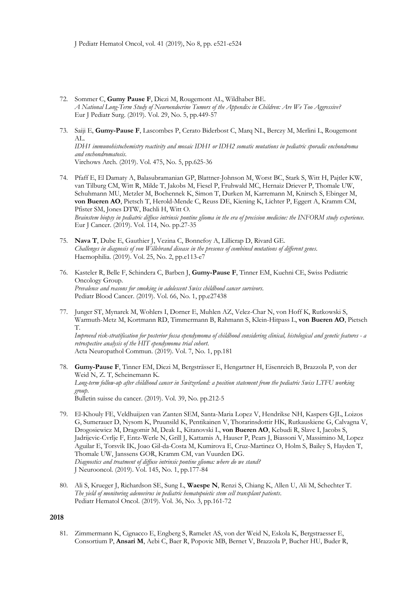- 72. Sommer C, **Gumy Pause F**, Diezi M, Rougemont AL, Wildhaber BE. *A National Long-Term Study of Neuroendocrine Tumors of the Appendix in Children: Are We Too Aggressive?* Eur J Pediatr Surg. (2019). Vol. 29, No. 5, pp.449-57
- 73. Saiji E, **Gumy-Pause F**, Lascombes P, Cerato Biderbost C, Marq NL, Berczy M, Merlini L, Rougemont AL. *IDH1 immunohistochemistry reactivity and mosaic IDH1 or IDH2 somatic mutations in pediatric sporadic enchondroma and enchondromatosis*. Virchows Arch. (2019). Vol. 475, No. 5, pp.625-36
- 74. Pfaff E, El Damaty A, Balasubramanian GP, Blattner-Johnson M, Worst BC, Stark S, Witt H, Pajtler KW, van Tilburg CM, Witt R, Milde T, Jakobs M, Fiesel P, Fruhwald MC, Hernaiz Driever P, Thomale UW, Schuhmann MU, Metzler M, Bochennek K, Simon T, Durken M, Karremann M, Knirsch S, Ebinger M, **von Bueren AO**, Pietsch T, Herold-Mende C, Reuss DE, Kiening K, Lichter P, Eggert A, Kramm CM, Pfister SM, Jones DTW, Bachli H, Witt O. *Brainstem biopsy in pediatric diffuse intrinsic pontine glioma in the era of precision medicine: the INFORM study experience*. Eur J Cancer. (2019). Vol. 114, No. pp.27-35
- 75. **Nava T**, Dube E, Gauthier J, Vezina C, Bonnefoy A, Lillicrap D, Rivard GE. *Challenges in diagnosis of von Willebrand disease in the presence of combined mutations of different genes*. Haemophilia. (2019). Vol. 25, No. 2, pp.e113-e7
- 76. Kasteler R, Belle F, Schindera C, Barben J, **Gumy-Pause F**, Tinner EM, Kuehni CE, Swiss Pediatric Oncology Group. *Prevalence and reasons for smoking in adolescent Swiss childhood cancer survivors*. Pediatr Blood Cancer. (2019). Vol. 66, No. 1, pp.e27438
- 77. Junger ST, Mynarek M, Wohlers I, Dorner E, Muhlen AZ, Velez-Char N, von Hoff K, Rutkowski S, Warmuth-Metz M, Kortmann RD, Timmermann B, Rahmann S, Klein-Hitpass L, **von Bueren AO**, Pietsch T.

*Improved risk-stratification for posterior fossa ependymoma of childhood considering clinical, histological and genetic features - a retrospective analysis of the HIT ependymoma trial cohort*. Acta Neuropathol Commun. (2019). Vol. 7, No. 1, pp.181

- 78. **Gumy-Pause F**, Tinner EM, Diezi M, Bergsträsser E, Hengartner H, Eisenreich B, Brazzola P, von der Weid N, Z. T, Scheinemann K. *Long-term follow-up after childhood cancer in Switzerland: a position statement from the pediatric Swiss LTFU working group*. Bulletin suisse du cancer. (2019). Vol. 39, No. pp.212-5
- 79. El-Khouly FE, Veldhuijzen van Zanten SEM, Santa-Maria Lopez V, Hendrikse NH, Kaspers GJL, Loizos G, Sumerauer D, Nysom K, Pruunsild K, Pentikainen V, Thorarinsdottir HK, Rutkauskiene G, Calvagna V, Drogosiewicz M, Dragomir M, Deak L, Kitanovski L, **von Bueren AO**, Kebudi R, Slavc I, Jacobs S, Jadrijevic-Cvrlje F, Entz-Werle N, Grill J, Kattamis A, Hauser P, Pears J, Biassoni V, Massimino M, Lopez Aguilar E, Torsvik IK, Joao Gil-da-Costa M, Kumirova E, Cruz-Martinez O, Holm S, Bailey S, Hayden T, Thomale UW, Janssens GOR, Kramm CM, van Vuurden DG. *Diagnostics and treatment of diffuse intrinsic pontine glioma: where do we stand?* J Neurooncol. (2019). Vol. 145, No. 1, pp.177-84
- 80. Ali S, Krueger J, Richardson SE, Sung L, **Waespe N**, Renzi S, Chiang K, Allen U, Ali M, Schechter T. *The yield of monitoring adenovirus in pediatric hematopoietic stem cell transplant patients*. Pediatr Hematol Oncol. (2019). Vol. 36, No. 3, pp.161-72

### **2018**

81. Zimmermann K, Cignacco E, Engberg S, Ramelet AS, von der Weid N, Eskola K, Bergstraesser E, Consortium P, **Ansari M**, Aebi C, Baer R, Popovic MB, Bernet V, Brazzola P, Bucher HU, Buder R,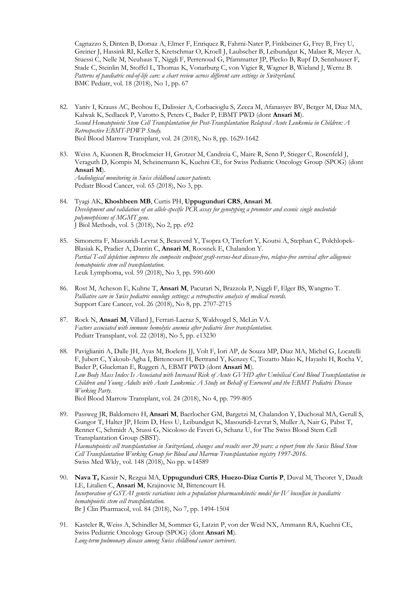Cagnazzo S, Dinten B, Dorsaz A, Elmer F, Enriquez R, Fahrni-Nater P, Finkbeiner G, Frey B, Frey U, Greiner J, Hassink RI, Keller S, Kretschmar O, Kroell J, Laubscher B, Leibundgut K, Malaer R, Meyer A, Stuessi C, Nelle M, Neuhaus T, Niggli F, Perrenoud G, Pfammatter JP, Plecko B, Rupf D, Sennhauser F, Stade C, Steinlin M, Stoffel L, Thomas K, Vonarburg C, von Vigier R, Wagner B, Wieland J, Wernz B. *Patterns of paediatric end-of-life care: a chart review across different care settings in Switzerland.* BMC Pediatr, vol. 18 (2018), No 1, pp. 67

- 82. Yaniv I, Krauss AC, Beohou E, Dalissier A, Corbacioglu S, Zecca M, Afanasyev BV, Berger M, Diaz MA, Kalwak K, Sedlacek P, Varotto S, Peters C, Bader P, EBMT PWD (dont **Ansari M**). *Second Hematopoietic Stem Cell Transplantation for Post-Transplantation Relapsed Acute Leukemia in Children: A Retrospective EBMT-PDWP Study.* Biol Blood Marrow Transplant, vol. 24 (2018), No 8, pp. 1629-1642
- 83. Weiss A, Kuonen R, Brockmeier H, Grotzer M, Candreia C, Maire R, Senn P, Stieger C, Rosenfeld J, Veraguth D, Kompis M, Scheinemann K, Kuehni CE, for Swiss Pediatric Oncology Group (SPOG) (dont **Ansari M**). *Audiological monitoring in Swiss childhood cancer patients.* Pediatr Blood Cancer, vol. 65 (2018), No 3, pp.
- 84. Tyagi AK, **Khoshbeen MB**, Curtis PH, **Uppugunduri CRS**, **Ansari M**. *Development and validation of an allele-specific PCR assay for genotyping a promoter and exonic single nucleotide polymorphisms of MGMT gene.* J Biol Methods, vol. 5 (2018), No 2, pp. e92
- 85. Simonetta F, Masouridi-Levrat S, Beauverd Y, Tsopra O, Tirefort Y, Koutsi A, Stephan C, Polchlopek-Blasiak K, Pradier A, Dantin C, **Ansari M**, Roosnek E, Chalandon Y. *Partial T-cell depletion improves the composite endpoint graft-versus-host disease-free, relapse-free survival after allogeneic hematopoietic stem cell transplantation.* Leuk Lymphoma, vol. 59 (2018), No 3, pp. 590-600
- 86. Rost M, Acheson E, Kuhne T, **Ansari M**, Pacurari N, Brazzola P, Niggli F, Elger BS, Wangmo T. *Palliative care in Swiss pediatric oncology settings: a retrospective analysis of medical records.* Support Care Cancer, vol. 26 (2018), No 8, pp. 2707-2715
- 87. Rock N, **Ansari M**, Villard J, Ferrari-Lacraz S, Waldvogel S, McLin VA. *Factors associated with immune hemolytic anemia after pediatric liver transplantation.* Pediatr Transplant, vol. 22 (2018), No 5, pp. e13230
- 88. Paviglianiti A, Dalle JH, Ayas M, Boelens JJ, Volt F, Iori AP, de Souza MP, Diaz MA, Michel G, Locatelli F, Jubert C, Yakoub-Agha I, Bittencourt H, Bertrand Y, Kenzey C, Tozatto Maio K, Hayashi H, Rocha V, Bader P, Gluckman E, Ruggeri A, EBMT PWD (dont **Ansari M**). Low Body Mass Index Is Associated with Increased Risk of Acute GVHD after Umbilical Cord Blood Transplantation in *Children and Young Adults with Acute Leukemia: A Study on Behalf of Eurocord and the EBMT Pediatric Disease Working Party.* Biol Blood Marrow Transplant, vol. 24 (2018), No 4, pp. 799-805
- 89. Passweg JR, Baldomero H, **Ansari M**, Baerlocher GM, Bargetzi M, Chalandon Y, Duchosal MA, Gerull S, Gungor T, Halter JP, Heim D, Hess U, Leibundgut K, Masouridi-Levrat S, Muller A, Nair G, Pabst T, Renner C, Schmidt A, Stussi G, Nicoloso de Faveri G, Schanz U, for The Swiss Blood Stem Cell Transplantation Group (SBST). *Haematopoietic cell transplantation in Switzerland, changes and results over 20 years: a report from the Swiss Blood Stem Cell Transplantation Working Group for Blood and Marrow Transplantation registry 1997-2016.* Swiss Med Wkly, vol. 148 (2018), No pp. w14589
- 90. **Nava T,** Kassir N, Rezgui MA, **Uppugunduri CRS**, **Huezo-Diaz Curtis P**, Duval M, Theoret Y, Daudt LE, Litalien C, **Ansari M**, Krajinovic M, Bittencourt H. *Incorporation of GSTA1 genetic variations into a population pharmacokinetic model for IV busulfan in paediatric hematopoietic stem cell transplantation.* Br J Clin Pharmacol, vol. 84 (2018), No 7, pp. 1494-1504
- 91. Kasteler R, Weiss A, Schindler M, Sommer G, Latzin P, von der Weid NX, Ammann RA, Kuehni CE, Swiss Pediatric Oncology Group (SPOG) (dont **Ansari M**). *Long-term pulmonary disease among Swiss childhood cancer survivors.*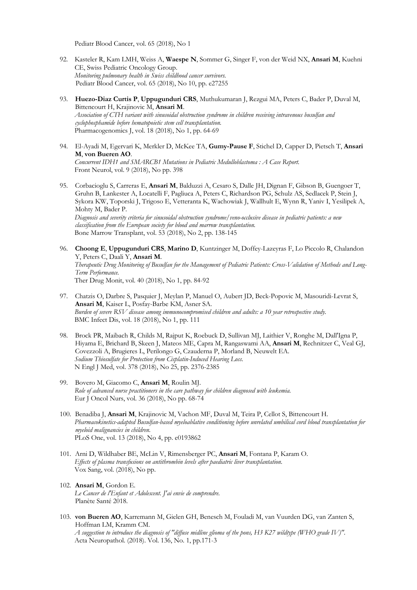Pediatr Blood Cancer, vol. 65 (2018), No 1

- 92. Kasteler R, Kam LMH, Weiss A, **Waespe N**, Sommer G, Singer F, von der Weid NX, **Ansari M**, Kuehni CE, Swiss Pediatric Oncology Group. *Monitoring pulmonary health in Swiss childhood cancer survivors.* Pediatr Blood Cancer, vol. 65 (2018), No 10, pp. e27255
- 93. **Huezo-Diaz Curtis P**, **Uppugunduri CRS**, Muthukumaran J, Rezgui MA, Peters C, Bader P, Duval M, Bittencourt H, Krajinovic M, **Ansari M**. *Association of CTH variant with sinusoidal obstruction syndrome in children receiving intravenous busulfan and cyclophosphamide before hematopoietic stem cell transplantation.* Pharmacogenomics J, vol. 18 (2018), No 1, pp. 64-69
- 94. El-Ayadi M, Egervari K, Merkler D, McKee TA, **Gumy-Pause F**, Stichel D, Capper D, Pietsch T, **Ansari M**, **von Bueren AO**. *Concurrent IDH1 and SMARCB1 Mutations in Pediatric Medulloblastoma : A Case Report.* Front Neurol, vol. 9 (2018), No pp. 398
- 95. Corbacioglu S, Carreras E, **Ansari M**, Balduzzi A, Cesaro S, Dalle JH, Dignan F, Gibson B, Guengoer T, Gruhn B, Lankester A, Locatelli F, Pagliuca A, Peters C, Richardson PG, Schulz AS, Sedlacek P, Stein J, Sykora KW, Toporski J, Trigoso E, Vetteranta K, Wachowiak J, Wallhult E, Wynn R, Yaniv I, Yesilipek A, Mohty M, Bader P. *Diagnosis and severity criteria for sinusoidal obstruction syndrome/veno-occlusive disease in pediatric patients: a new classification from the European society for blood and marrow transplantation.* Bone Marrow Transplant, vol. 53 (2018), No 2, pp. 138-145
- 96. **Choong E**, **Uppugunduri CRS**, **Marino D**, Kuntzinger M, Doffey-Lazeyras F, Lo Piccolo R, Chalandon Y, Peters C, Daali Y, **Ansari M**. *Therapeutic Drug Monitoring of Busulfan for the Management of Pediatric Patients: Cross-Validation of Methods and Long-Term Performance.* Ther Drug Monit, vol. 40 (2018), No 1, pp. 84-92
- 97. Chatzis O, Darbre S, Pasquier J, Meylan P, Manuel O, Aubert JD, Beck-Popovic M, Masouridi-Levrat S, **Ansari M**, Kaiser L, Posfay-Barbe KM, Asner SA. *Burden of severe RSV disease among immunocompromised children and adults: a 10 year retrospective study.* BMC Infect Dis, vol. 18 (2018), No 1, pp. 111
- 98. Brock PR, Maibach R, Childs M, Rajput K, Roebuck D, Sullivan MJ, Laithier V, Ronghe M, Dall'Igna P, Hiyama E, Brichard B, Skeen J, Mateos ME, Capra M, Rangaswami AA, **Ansari M**, Rechnitzer C, Veal GJ, Covezzoli A, Brugieres L, Perilongo G, Czauderna P, Morland B, Neuwelt EA. *Sodium Thiosulfate for Protection from Cisplatin-Induced Hearing Loss.* N Engl J Med, vol. 378 (2018), No 25, pp. 2376-2385
- 99. Bovero M, Giacomo C, **Ansari M**, Roulin MJ. *Role of advanced nurse practitioners in the care pathway for children diagnosed with leukemia.* Eur J Oncol Nurs, vol. 36 (2018), No pp. 68-74
- 100. Benadiba J, **Ansari M**, Krajinovic M, Vachon MF, Duval M, Teira P, Cellot S, Bittencourt H. *Pharmacokinetics-adapted Busulfan-based myeloablative conditioning before unrelated umbilical cord blood transplantation for myeloid malignancies in children.* PLoS One, vol. 13 (2018), No 4, pp. e0193862
- 101. Arni D, Wildhaber BE, McLin V, Rimensberger PC, **Ansari M**, Fontana P, Karam O. *Effects of plasma transfusions on antithrombin levels after paediatric liver transplantation.* Vox Sang, vol. (2018), No pp.
- 102. **Ansari M**, Gordon E. *Le Cancer de l'Enfant et Adolescent. J'ai envie de comprendre.* Planète Santé 2018.
- 103. **von Bueren AO**, Karremann M, Gielen GH, Benesch M, Fouladi M, van Vuurden DG, van Zanten S, Hoffman LM, Kramm CM. *A suggestion to introduce the diagnosis of "diffuse midline glioma of the pons, H3 K27 wildtype (WHO grade IV)"*. Acta Neuropathol. (2018). Vol. 136, No. 1, pp.171-3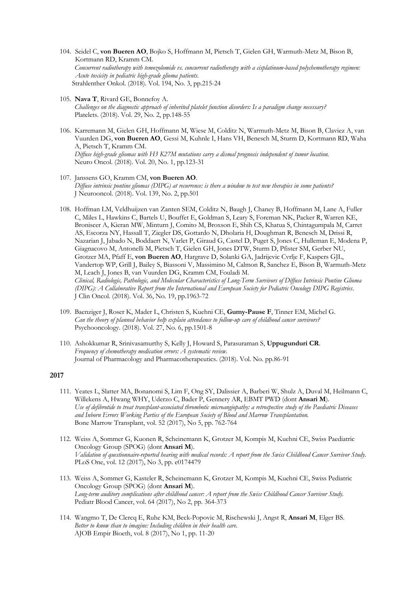- 104. Seidel C, **von Bueren AO**, Bojko S, Hoffmann M, Pietsch T, Gielen GH, Warmuth-Metz M, Bison B, Kortmann RD, Kramm CM. *Concurrent radiotherapy with temozolomide vs. concurrent radiotherapy with a cisplatinum-based polychemotherapy regimen: Acute toxicity in pediatric high-grade glioma patients*. Strahlenther Onkol. (2018). Vol. 194, No. 3, pp.215-24
- 105. **Nava T**, Rivard GE, Bonnefoy A. *Challenges on the diagnostic approach of inherited platelet function disorders: Is a paradigm change necessary?* Platelets. (2018). Vol. 29, No. 2, pp.148-55
- 106. Karremann M, Gielen GH, Hoffmann M, Wiese M, Colditz N, Warmuth-Metz M, Bison B, Claviez A, van Vuurden DG, **von Bueren AO**, Gessi M, Kuhnle I, Hans VH, Benesch M, Sturm D, Kortmann RD, Waha A, Pietsch T, Kramm CM. *Diffuse high-grade gliomas with H3 K27M mutations carry a dismal prognosis independent of tumor location*. Neuro Oncol. (2018). Vol. 20, No. 1, pp.123-31
- 107. Janssens GO, Kramm CM, **von Bueren AO**. *Diffuse intrinsic pontine gliomas (DIPG) at recurrence: is there a window to test new therapies in some patients?* J Neurooncol. (2018). Vol. 139, No. 2, pp.501
- 108. Hoffman LM, Veldhuijzen van Zanten SEM, Colditz N, Baugh J, Chaney B, Hoffmann M, Lane A, Fuller C, Miles L, Hawkins C, Bartels U, Bouffet E, Goldman S, Leary S, Foreman NK, Packer R, Warren KE, Broniscer A, Kieran MW, Minturn J, Comito M, Broxson E, Shih CS, Khatua S, Chintagumpala M, Carret AS, Escorza NY, Hassall T, Ziegler DS, Gottardo N, Dholaria H, Doughman R, Benesch M, Drissi R, Nazarian J, Jabado N, Boddaert N, Varlet P, Giraud G, Castel D, Puget S, Jones C, Hulleman E, Modena P, Giagnacovo M, Antonelli M, Pietsch T, Gielen GH, Jones DTW, Sturm D, Pfister SM, Gerber NU, Grotzer MA, Pfaff E, **von Bueren AO**, Hargrave D, Solanki GA, Jadrijevic Cvrlje F, Kaspers GJL, Vandertop WP, Grill J, Bailey S, Biassoni V, Massimino M, Calmon R, Sanchez E, Bison B, Warmuth-Metz M, Leach J, Jones B, van Vuurden DG, Kramm CM, Fouladi M. *Clinical, Radiologic, Pathologic, and Molecular Characteristics of Long-Term Survivors of Diffuse Intrinsic Pontine Glioma (DIPG): A Collaborative Report from the International and European Society for Pediatric Oncology DIPG Registries*. J Clin Oncol. (2018). Vol. 36, No. 19, pp.1963-72
- 109. Baenziger J, Roser K, Mader L, Christen S, Kuehni CE, **Gumy-Pause F**, Tinner EM, Michel G. *Can the theory of planned behavior help explain attendance to follow-up care of childhood cancer survivors?* Psychooncology. (2018). Vol. 27, No. 6, pp.1501-8
- 110. Ashokkumar R, Srinivasamurthy S, Kelly J, Howard S, Parasuraman S, **Uppugunduri CR**. *Frequency of chemotherapy medication errors: A systematic review*. Journal of Pharmacology and Pharmacotherapeutics. (2018). Vol. No. pp.86-91

- 111. Yeates L, Slatter MA, Bonanomi S, Lim F, Ong SY, Dalissier A, Barberi W, Shulz A, Duval M, Heilmann C, Willekens A, Hwang WHY, Uderzo C, Bader P, Gennery AR, EBMT PWD (dont **Ansari M**). *Use of defibrotide to treat transplant-associated thrombotic microangiopathy: a retrospective study of the Paediatric Diseases and Inborn Errors Working Parties of the European Society of Blood and Marrow Transplantation.* Bone Marrow Transplant, vol. 52 (2017), No 5, pp. 762-764
- 112. Weiss A, Sommer G, Kuonen R, Scheinemann K, Grotzer M, Kompis M, Kuehni CE, Swiss Paediatric Oncology Group (SPOG) (dont **Ansari M**). *Validation of questionnaire-reported hearing with medical records: A report from the Swiss Childhood Cancer Survivor Study.* PLoS One, vol. 12 (2017), No 3, pp. e0174479
- 113. Weiss A, Sommer G, Kasteler R, Scheinemann K, Grotzer M, Kompis M, Kuehni CE, Swiss Pediatric Oncology Group (SPOG) (dont **Ansari M**). *Long-term auditory complications after childhood cancer: A report from the Swiss Childhood Cancer Survivor Study.* Pediatr Blood Cancer, vol. 64 (2017), No 2, pp. 364-373
- 114. Wangmo T, De Clercq E, Ruhe KM, Beck-Popovic M, Rischewski J, Angst R, **Ansari M**, Elger BS. *Better to know than to imagine: Including children in their health care.* AJOB Empir Bioeth, vol. 8 (2017), No 1, pp. 11-20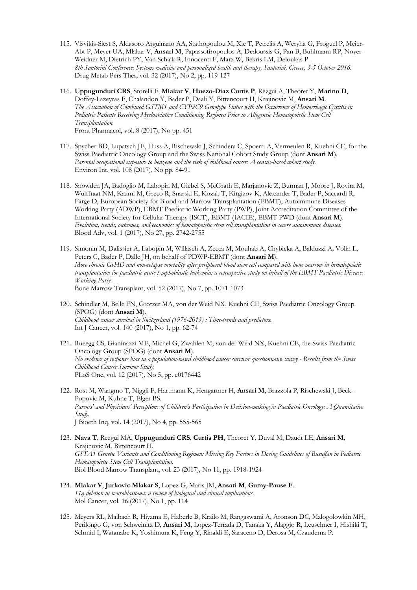- 115. Visvikis-Siest S, Aldasoro Arguinano AA, Stathopoulou M, Xie T, Petrelis A, Weryha G, Froguel P, Meier-Abt P, Meyer UA, Mlakar V, **Ansari M**, Papassotiropoulos A, Dedoussis G, Pan B, Buhlmann RP, Noyer-Weidner M, Dietrich PY, Van Schaik R, Innocenti F, Marz W, Bekris LM, Deloukas P. *8th Santorini Conference: Systems medicine and personalized health and therapy, Santorini, Greece, 3-5 October 2016.* Drug Metab Pers Ther, vol. 32 (2017), No 2, pp. 119-127
- 116. **Uppugunduri CRS**, Storelli F, **Mlakar V**, **Huezo-Diaz Curtis P**, Rezgui A, Theoret Y, **Marino D**, Doffey-Lazeyras F, Chalandon Y, Bader P, Daali Y, Bittencourt H, Krajinovic M, **Ansari M**. *The Association of Combined GSTM1 and CYP2C9 Genotype Status with the Occurrence of Hemorrhagic Cystitis in Pediatric Patients Receiving Myeloablative Conditioning Regimen Prior to Allogeneic Hematopoietic Stem Cell Transplantation.* Front Pharmacol, vol. 8 (2017), No pp. 451
- 117. Spycher BD, Lupatsch JE, Huss A, Rischewski J, Schindera C, Spoerri A, Vermeulen R, Kuehni CE, for the Swiss Paediatric Oncology Group and the Swiss National Cohort Study Group (dont **Ansari M**). *Parental occupational exposure to benzene and the risk of childhood cancer: A census-based cohort study.* Environ Int, vol. 108 (2017), No pp. 84-91
- 118. Snowden JA, Badoglio M, Labopin M, Giebel S, McGrath E, Marjanovic Z, Burman J, Moore J, Rovira M, Wulffraat NM, Kazmi M, Greco R, Snarski E, Kozak T, Kirgizov K, Alexander T, Bader P, Saccardi R, Farge D, European Society for Blood and Marrow Transplantation (EBMT), Autoimmune Diseases Working Party (ADWP), EBMT Paediatric Working Party (PWP), Joint Accreditation Committee of the International Society for Cellular Therapy (ISCT), EBMT (JACIE), EBMT PWD (dont **Ansari M**). *Evolution, trends, outcomes, and economics of hematopoietic stem cell transplantation in severe autoimmune diseases.* Blood Adv, vol. 1 (2017), No 27, pp. 2742-2755
- 119. Simonin M, Dalissier A, Labopin M, Willasch A, Zecca M, Mouhab A, Chybicka A, Balduzzi A, Volin L, Peters C, Bader P, Dalle JH, on behalf of PDWP-EBMT (dont **Ansari M**). *More chronic GvHD and non-relapse mortality after peripheral blood stem cell compared with bone marrow in hematopoietic transplantation for paediatric acute lymphoblastic leukemia: a retrospective study on behalf of the EBMT Paediatric Diseases Working Party.* Bone Marrow Transplant, vol. 52 (2017), No 7, pp. 1071-1073
- 120. Schindler M, Belle FN, Grotzer MA, von der Weid NX, Kuehni CE, Swiss Paediatric Oncology Group (SPOG) (dont **Ansari M**). *Childhood cancer survival in Switzerland (1976-2013) : Time-trends and predictors.* Int J Cancer, vol. 140 (2017), No 1, pp. 62-74
- 121. Rueegg CS, Gianinazzi ME, Michel G, Zwahlen M, von der Weid NX, Kuehni CE, the Swiss Paediatric Oncology Group (SPOG) (dont **Ansari M**). *No evidence of response bias in a population-based childhood cancer survivor questionnaire survey - Results from the Swiss Childhood Cancer Survivor Study.* PLoS One, vol. 12 (2017), No 5, pp. e0176442
- 122. Rost M, Wangmo T, Niggli F, Hartmann K, Hengartner H, **Ansari M**, Brazzola P, Rischewski J, Beck-Popovic M, Kuhne T, Elger BS. *Parents' and Physicians' Perceptions of Children's Participation in Decision-making in Paediatric Oncology: A Quantitative Study.* J Bioeth Inq, vol. 14 (2017), No 4, pp. 555-565
- 123. **Nava T**, Rezgui MA, **Uppugunduri CRS**, **Curtis PH**, Theoret Y, Duval M, Daudt LE, **Ansari M**, Krajinovic M, Bittencourt H. *GSTA1 Genetic Variants and Conditioning Regimen: Missing Key Factors in Dosing Guidelines of Busulfan in Pediatric Hematopoietic Stem Cell Transplantation.* Biol Blood Marrow Transplant, vol. 23 (2017), No 11, pp. 1918-1924
- 124. **Mlakar V**, **Jurkovic Mlakar S**, Lopez G, Maris JM, **Ansari M**, **Gumy-Pause F**. *11q deletion in neuroblastoma: a review of biological and clinical implications.* Mol Cancer, vol. 16 (2017), No 1, pp. 114
- 125. Meyers RL, Maibach R, Hiyama E, Haberle B, Krailo M, Rangaswami A, Aronson DC, Malogolowkin MH, Perilongo G, von Schweinitz D, **Ansari M**, Lopez-Terrada D, Tanaka Y, Alaggio R, Leuschner I, Hishiki T, Schmid I, Watanabe K, Yoshimura K, Feng Y, Rinaldi E, Saraceno D, Derosa M, Czauderna P.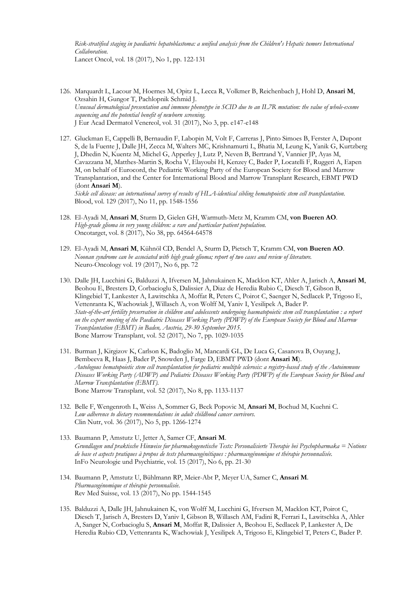*Risk-stratified staging in paediatric hepatoblastoma: a unified analysis from the Children's Hepatic tumors International Collaboration.*

Lancet Oncol, vol. 18 (2017), No 1, pp. 122-131

- 126. Marquardt L, Lacour M, Hoernes M, Opitz L, Lecca R, Volkmer B, Reichenbach J, Hohl D, **Ansari M**, Ozsahin H, Gungor T, Pachlopnik Schmid J. *Unusual dermatological presentation and immune phenotype in SCID due to an IL7R mutation: the value of whole-exome sequencing and the potential benefit of newborn screening.* J Eur Acad Dermatol Venereol, vol. 31 (2017), No 3, pp. e147-e148
- 127. Gluckman E, Cappelli B, Bernaudin F, Labopin M, Volt F, Carreras J, Pinto Simoes B, Ferster A, Dupont S, de la Fuente J, Dalle JH, Zecca M, Walters MC, Krishnamurti L, Bhatia M, Leung K, Yanik G, Kurtzberg J, Dhedin N, Kuentz M, Michel G, Apperley J, Lutz P, Neven B, Bertrand Y, Vannier JP, Ayas M, Cavazzana M, Matthes-Martin S, Rocha V, Elayoubi H, Kenzey C, Bader P, Locatelli F, Ruggeri A, Eapen M, on behalf of Eurocord, the Pediatric Working Party of the European Society for Blood and Marrow Transplantation, and the Center for International Blood and Marrow Transplant Research, EBMT PWD (dont **Ansari M**).

*Sickle cell disease: an international survey of results of HLA-identical sibling hematopoietic stem cell transplantation.* Blood, vol. 129 (2017), No 11, pp. 1548-1556

- 128. El-Ayadi M, **Ansari M**, Sturm D, Gielen GH, Warmuth-Metz M, Kramm CM, **von Bueren AO**. *High-grade glioma in very young children: a rare and particular patient population.* Oncotarget, vol. 8 (2017), No 38, pp. 64564-64578
- 129. El-Ayadi M, **Ansari M**, Kühnöl CD, Bendel A, Sturm D, Pietsch T, Kramm CM, **von Bueren AO**. *Noonan syndrome can be associated with high grade glioma; report of two cases and review of literature.* Neuro-Oncology vol. 19 (2017), No 6, pp. 72
- 130. Dalle JH, Lucchini G, Balduzzi A, Ifversen M, Jahnukainen K, Macklon KT, Ahler A, Jarisch A, **Ansari M**, Beohou E, Bresters D, Corbacioglu S, Dalissier A, Diaz de Heredia Rubio C, Diesch T, Gibson B, Klingebiel T, Lankester A, Lawitschka A, Moffat R, Peters C, Poirot C, Saenger N, Sedlacek P, Trigoso E, Vettenranta K, Wachowiak J, Willasch A, von Wolff M, Yaniv I, Yesilipek A, Bader P. *State-of-the-art fertility preservation in children and adolescents undergoing haematopoietic stem cell transplantation : a report on the expert meeting of the Paediatric Diseases Working Party (PDWP) of the European Society for Blood and Marrow Transplantation (EBMT) in Baden, Austria, 29-30 September 2015.* Bone Marrow Transplant, vol. 52 (2017), No 7, pp. 1029-1035
- 131. Burman J, Kirgizov K, Carlson K, Badoglio M, Mancardi GL, De Luca G, Casanova B, Ouyang J, Bembeeva R, Haas J, Bader P, Snowden J, Farge D, EBMT PWD (dont **Ansari M**). *Autologous hematopoietic stem cell transplantation for pediatric multiple sclerosis: a registry-based study of the Autoimmune Diseases Working Party (ADWP) and Pediatric Diseases Working Party (PDWP) of the European Society for Blood and Marrow Transplantation (EBMT).* Bone Marrow Transplant, vol. 52 (2017), No 8, pp. 1133-1137
- 132. Belle F, Wengenroth L, Weiss A, Sommer G, Beck Popovic M, **Ansari M**, Bochud M, Kuehni C. *Low adherence to dietary recommendations in adult childhood cancer survivors.* Clin Nutr, vol. 36 (2017), No 5, pp. 1266-1274
- 133. Baumann P, Amstutz U, Jetter A, Samer CF, **Ansari M**. *Grundlagen und praktische Hinweise fur pharmakogenetische Tests: Personalisierte Therapie bei Psychopharmaka = Notions de base et aspects pratiques à propos de tests pharmacogénétiques : pharmacogénomique et thérapie personnalisée.* InFo Neurologie und Psychiatrie, vol. 15 (2017), No 6, pp. 21-30
- 134. Baumann P, Amstutz U, Bühlmann RP, Meier-Abt P, Meyer UA, Samer C, **Ansari M**. *Pharmacogénomique et thérapie personnalisée*. Rev Med Suisse, vol. 13 (2017), No pp. 1544-1545
- 135. Balduzzi A, Dalle JH, Jahnukainen K, von Wolff M, Lucchini G, Ifversen M, Macklon KT, Poirot C, Diesch T, Jarisch A, Bresters D, Yaniv I, Gibson B, Willasch AM, Fadini R, Ferrari L, Lawitschka A, Ahler A, Sanger N, Corbacioglu S, **Ansari M**, Moffat R, Dalissier A, Beohou E, Sedlacek P, Lankester A, De Heredia Rubio CD, Vettenranta K, Wachowiak J, Yesilipek A, Trigoso E, Klingebiel T, Peters C, Bader P.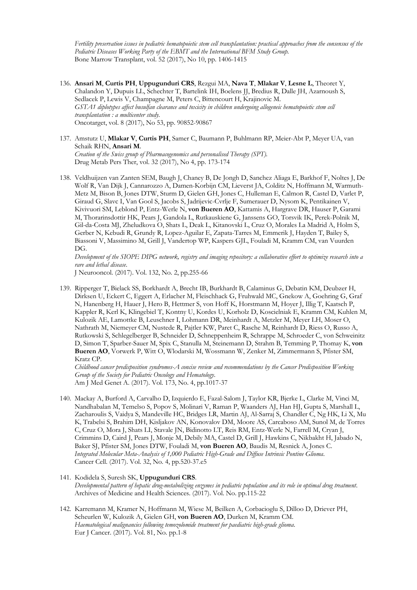*Fertility preservation issues in pediatric hematopoietic stem cell transplantation: practical approaches from the consensus of the Pediatric Diseases Working Party of the EBMT and the International BFM Study Group.* Bone Marrow Transplant, vol. 52 (2017), No 10, pp. 1406-1415

- 136. **Ansari M**, **Curtis PH**, **Uppugunduri CRS**, Rezgui MA, **Nava T**, **Mlakar V**, **Lesne L**, Theoret Y, Chalandon Y, Dupuis LL, Schechter T, Bartelink IH, Boelens JJ, Bredius R, Dalle JH, Azarnoush S, Sedlacek P, Lewis V, Champagne M, Peters C, Bittencourt H, Krajinovic M. *GSTA1 diplotypes affect busulfan clearance and toxicity in children undergoing allogeneic hematopoietic stem cell transplantation : a multicenter study.* Oncotarget, vol. 8 (2017), No 53, pp. 90852-90867
- 137. Amstutz U, **Mlakar V**, **Curtis PH**, Samer C, Baumann P, Buhlmann RP, Meier-Abt P, Meyer UA, van Schaik RHN, **Ansari M**. *Creation of the Swiss group of Pharmacogenomics and personalised Therapy (SPT).* Drug Metab Pers Ther, vol. 32 (2017), No 4, pp. 173-174
- 138. Veldhuijzen van Zanten SEM, Baugh J, Chaney B, De Jongh D, Sanchez Aliaga E, Barkhof F, Noltes J, De Wolf R, Van Dijk J, Cannarozzo A, Damen-Korbijn CM, Lieverst JA, Colditz N, Hoffmann M, Warmuth-Metz M, Bison B, Jones DTW, Sturm D, Gielen GH, Jones C, Hulleman E, Calmon R, Castel D, Varlet P, Giraud G, Slavc I, Van Gool S, Jacobs S, Jadrijevic-Cvrlje F, Sumerauer D, Nysom K, Pentikainen V, Kivivuori SM, Leblond P, Entz-Werle N, **von Bueren AO**, Kattamis A, Hargrave DR, Hauser P, Garami M, Thorarinsdottir HK, Pears J, Gandola L, Rutkauskiene G, Janssens GO, Torsvik IK, Perek-Polnik M, Gil-da-Costa MJ, Zheludkova O, Shats L, Deak L, Kitanovski L, Cruz O, Morales La Madrid A, Holm S, Gerber N, Kebudi R, Grundy R, Lopez-Aguilar E, Zapata-Tarres M, Emmerik J, Hayden T, Bailey S, Biassoni V, Massimino M, Grill J, Vandertop WP, Kaspers GJL, Fouladi M, Kramm CM, van Vuurden DG.

*Development of the SIOPE DIPG network, registry and imaging repository: a collaborative effort to optimize research into a rare and lethal disease*.

J Neurooncol. (2017). Vol. 132, No. 2, pp.255-66

139. Ripperger T, Bielack SS, Borkhardt A, Brecht IB, Burkhardt B, Calaminus G, Debatin KM, Deubzer H, Dirksen U, Eckert C, Eggert A, Erlacher M, Fleischhack G, Fruhwald MC, Gnekow A, Goehring G, Graf N, Hanenberg H, Hauer J, Hero B, Hettmer S, von Hoff K, Horstmann M, Hoyer J, Illig T, Kaatsch P, Kappler R, Kerl K, Klingebiel T, Kontny U, Kordes U, Korholz D, Koscielniak E, Kramm CM, Kuhlen M, Kulozik AE, Lamottke B, Leuschner I, Lohmann DR, Meinhardt A, Metzler M, Meyer LH, Moser O, Nathrath M, Niemeyer CM, Nustede R, Pajtler KW, Paret C, Rasche M, Reinhardt D, Riess O, Russo A, Rutkowski S, Schlegelberger B, Schneider D, Schneppenheim R, Schrappe M, Schroeder C, von Schweinitz D, Simon T, Sparber-Sauer M, Spix C, Stanulla M, Steinemann D, Strahm B, Temming P, Thomay K, **von Bueren AO**, Vorwerk P, Witt O, Wlodarski M, Wossmann W, Zenker M, Zimmermann S, Pfister SM, Kratz CP.

*Childhood cancer predisposition syndromes-A concise review and recommendations by the Cancer Predisposition Working Group of the Society for Pediatric Oncology and Hematology*. Am J Med Genet A. (2017). Vol. 173, No. 4, pp.1017-37

- 140. Mackay A, Burford A, Carvalho D, Izquierdo E, Fazal-Salom J, Taylor KR, Bjerke L, Clarke M, Vinci M, Nandhabalan M, Temelso S, Popov S, Molinari V, Raman P, Waanders AJ, Han HJ, Gupta S, Marshall L, Zacharoulis S, Vaidya S, Mandeville HC, Bridges LR, Martin AJ, Al-Sarraj S, Chandler C, Ng HK, Li X, Mu K, Trabelsi S, Brahim DH, Kisljakov AN, Konovalov DM, Moore AS, Carcaboso AM, Sunol M, de Torres C, Cruz O, Mora J, Shats LI, Stavale JN, Bidinotto LT, Reis RM, Entz-Werle N, Farrell M, Cryan J, Crimmins D, Caird J, Pears J, Monje M, Debily MA, Castel D, Grill J, Hawkins C, Nikbakht H, Jabado N, Baker SJ, Pfister SM, Jones DTW, Fouladi M, **von Bueren AO**, Baudis M, Resnick A, Jones C. *Integrated Molecular Meta-Analysis of 1,000 Pediatric High-Grade and Diffuse Intrinsic Pontine Glioma*. Cancer Cell. (2017). Vol. 32, No. 4, pp.520-37.e5
- 141. Kodidela S, Suresh SK, **Uppugunduri CRS**. *Developmental pattern of hepatic drug-metabolizing enzymes in pediatric population and its role in optimal drug treatment*. Archives of Medicine and Health Sciences. (2017). Vol. No. pp.115-22
- 142. Karremann M, Kramer N, Hoffmann M, Wiese M, Beilken A, Corbacioglu S, Dilloo D, Driever PH, Scheurlen W, Kulozik A, Gielen GH, **von Bueren AO**, Durken M, Kramm CM. *Haematological malignancies following temozolomide treatment for paediatric high-grade glioma*. Eur J Cancer. (2017). Vol. 81, No. pp.1-8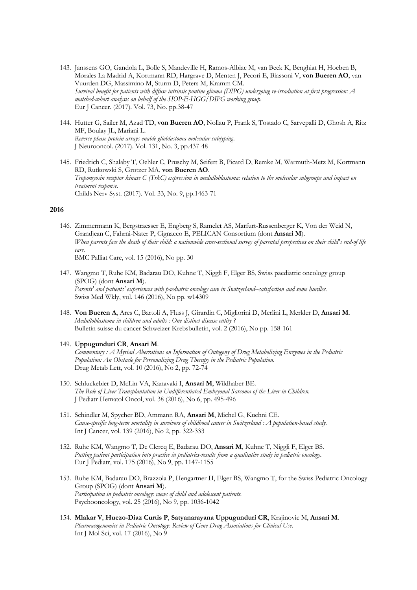- 143. Janssens GO, Gandola L, Bolle S, Mandeville H, Ramos-Albiac M, van Beek K, Benghiat H, Hoeben B, Morales La Madrid A, Kortmann RD, Hargrave D, Menten J, Pecori E, Biassoni V, **von Bueren AO**, van Vuurden DG, Massimino M, Sturm D, Peters M, Kramm CM. *Survival benefit for patients with diffuse intrinsic pontine glioma (DIPG) undergoing re-irradiation at first progression: A matched-cohort analysis on behalf of the SIOP-E-HGG/DIPG working group*. Eur J Cancer. (2017). Vol. 73, No. pp.38-47
- 144. Hutter G, Sailer M, Azad TD, **von Bueren AO**, Nollau P, Frank S, Tostado C, Sarvepalli D, Ghosh A, Ritz MF, Boulay JL, Mariani L. *Reverse phase protein arrays enable glioblastoma molecular subtyping*. J Neurooncol. (2017). Vol. 131, No. 3, pp.437-48
- 145. Friedrich C, Shalaby T, Oehler C, Pruschy M, Seifert B, Picard D, Remke M, Warmuth-Metz M, Kortmann RD, Rutkowski S, Grotzer MA, **von Bueren AO**. *Tropomyosin receptor kinase C (TrkC) expression in medulloblastoma: relation to the molecular subgroups and impact on treatment response*. Childs Nerv Syst. (2017). Vol. 33, No. 9, pp.1463-71

#### **2016**

- 146. Zimmermann K, Bergstraesser E, Engberg S, Ramelet AS, Marfurt-Russenberger K, Von der Weid N, Grandjean C, Fahrni-Nater P, Cignacco E, PELICAN Consortium (dont **Ansari M**). *When parents face the death of their child: a nationwide cross-sectional survey of parental perspectives on their child's end-of life care.* BMC Palliat Care, vol. 15 (2016), No pp. 30
- 147. Wangmo T, Ruhe KM, Badarau DO, Kuhne T, Niggli F, Elger BS, Swiss paediatric oncology group (SPOG) (dont **Ansari M**). *Parents' and patients' experiences with paediatric oncology care in Switzerland--satisfaction and some hurdles.* Swiss Med Wkly, vol. 146 (2016), No pp. w14309
- 148. **Von Bueren A**, Ares C, Bartoli A, Fluss J, Girardin C, Migliorini D, Merlini L, Merkler D, **Ansari M**. *Medulloblastoma in children and adults : One distinct disease entity ?*  Bulletin suisse du cancer Schweizer Krebsbulletin, vol. 2 (2016), No pp. 158-161

#### 149. **Uppugunduri CR**, **Ansari M**.

*Commentary : A Myriad Aberrations on Information of Ontogeny of Drug Metabolizing Enzymes in the Pediatric Population: An Obstacle for Personalizing Drug Therapy in the Pediatric Population.* Drug Metab Lett, vol. 10 (2016), No 2, pp. 72-74

- 150. Schluckebier D, McLin VA, Kanavaki I, **Ansari M**, Wildhaber BE. *The Role of Liver Transplantation in Undifferentiated Embryonal Sarcoma of the Liver in Children.* J Pediatr Hematol Oncol, vol. 38 (2016), No 6, pp. 495-496
- 151. Schindler M, Spycher BD, Ammann RA, **Ansari M**, Michel G, Kuehni CE. *Cause-specific long-term mortality in survivors of childhood cancer in Switzerland : A population-based study.* Int J Cancer, vol. 139 (2016), No 2, pp. 322-333
- 152. Ruhe KM, Wangmo T, De Clercq E, Badarau DO, **Ansari M**, Kuhne T, Niggli F, Elger BS. *Putting patient participation into practice in pediatrics-results from a qualitative study in pediatric oncology.* Eur J Pediatr, vol. 175 (2016), No 9, pp. 1147-1155
- 153. Ruhe KM, Badarau DO, Brazzola P, Hengartner H, Elger BS, Wangmo T, for the Swiss Pediatric Oncology Group (SPOG) (dont **Ansari M**). *Participation in pediatric oncology: views of child and adolescent patients.* Psychooncology, vol. 25 (2016), No 9, pp. 1036-1042
- 154. **Mlakar V**, **Huezo-Diaz Curtis P**, **Satyanarayana Uppugunduri CR**, Krajinovic M, **Ansari M**. *Pharmacogenomics in Pediatric Oncology: Review of Gene-Drug Associations for Clinical Use.* Int J Mol Sci, vol. 17 (2016), No 9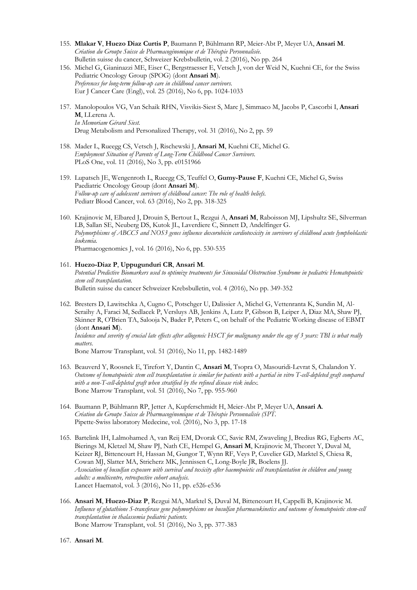- 155. **Mlakar V**, **Huezo Diaz Curtis P**, Baumann P, Bühlmann RP, Meier-Abt P, Meyer UA, **Ansari M**. *Création du Groupe Suisse de Pharmacogénomique et de Thérapie Personnalisée.* Bulletin suisse du cancer, Schweizer Krebsbulletin, vol. 2 (2016), No pp. 264
- 156. Michel G, Gianinazzi ME, Eiser C, Bergstraesser E, Vetsch J, von der Weid N, Kuehni CE, for the Swiss Pediatric Oncology Group (SPOG) (dont **Ansari M**). *Preferences for long-term follow-up care in childhood cancer survivors.* Eur J Cancer Care (Engl), vol. 25 (2016), No 6, pp. 1024-1033
- 157. Manolopoulos VG, Van Schaik RHN, Visvikis-Siest S, Marc J, Simmaco M, Jacobs P, Cascorbi I, **Ansari M**, LLerena A. *In Memoriam Gérard Siest.*  Drug Metabolism and Personalized Therapy, vol. 31 (2016), No 2, pp. 59
- 158. Mader L, Rueegg CS, Vetsch J, Rischewski J, **Ansari M**, Kuehni CE, Michel G. *Employment Situation of Parents of Long-Term Childhood Cancer Survivors.* PLoS One, vol. 11 (2016), No 3, pp. e0151966
- 159. Lupatsch JE, Wengenroth L, Rueegg CS, Teuffel O, **Gumy-Pause F**, Kuehni CE, Michel G, Swiss Paediatric Oncology Group (dont **Ansari M**). *Follow-up care of adolescent survivors of childhood cancer: The role of health beliefs.* Pediatr Blood Cancer, vol. 63 (2016), No 2, pp. 318-325
- 160. Krajinovic M, Elbared J, Drouin S, Bertout L, Rezgui A, **Ansari M**, Raboisson MJ, Lipshultz SE, Silverman LB, Sallan SE, Neuberg DS, Kutok JL, Laverdiere C, Sinnett D, Andelfinger G. *Polymorphisms of ABCC5 and NOS3 genes influence doxorubicin cardiotoxicity in survivors of childhood acute lymphoblastic leukemia.*

Pharmacogenomics J, vol. 16 (2016), No 6, pp. 530-535

### 161. **Huezo-Diaz P**, **Uppugunduri CR**, **Ansari M**. *Potential Predictive Biomarkers used to optimize treatments for Sinusoidal Obstruction Syndrome in pediatric Hematopoietic stem cell transplantation.* Bulletin suisse du cancer Schweizer Krebsbulletin, vol. 4 (2016), No pp. 349-352

162. Bresters D, Lawitschka A, Cugno C, Potschger U, Dalissier A, Michel G, Vettenranta K, Sundin M, Al-Seraihy A, Faraci M, Sedlacek P, Versluys AB, Jenkins A, Lutz P, Gibson B, Leiper A, Diaz MA, Shaw PJ, Skinner R, O'Brien TA, Salooja N, Bader P, Peters C, on behalf of the Pediatric Working disease of EBMT (dont **Ansari M**).

*Incidence and severity of crucial late effects after allogeneic HSCT for malignancy under the age of 3 years: TBI is what really matters.*

Bone Marrow Transplant, vol. 51 (2016), No 11, pp. 1482-1489

- 163. Beauverd Y, Roosnek E, Tirefort Y, Dantin C, **Ansari M**, Tsopra O, Masouridi-Levrat S, Chalandon Y. *Outcome of hematopoietic stem cell transplantation is similar for patients with a partial in vitro T-cell-depleted graft compared with a non-T-cell-depleted graft when stratified by the refined disease risk index.* Bone Marrow Transplant, vol. 51 (2016), No 7, pp. 955-960
- 164. Baumann P, Bühlmann RP, Jetter A, Kupferschmidt H, Meier-Abt P, Meyer UA, **Ansari A**. *Création du Groupe Suisse de Pharmacogénomique et de Thérapie Personnalisée (SPT.* Pipette-Swiss laboratory Medecine, vol. (2016), No 3, pp. 17-18
- 165. Bartelink IH, Lalmohamed A, van Reij EM, Dvorak CC, Savic RM, Zwaveling J, Bredius RG, Egberts AC, Bierings M, Kletzel M, Shaw PJ, Nath CE, Hempel G, **Ansari M**, Krajinovic M, Theoret Y, Duval M, Keizer RJ, Bittencourt H, Hassan M, Gungor T, Wynn RF, Veys P, Cuvelier GD, Marktel S, Chiesa R, Cowan MJ, Slatter MA, Stricherz MK, Jennissen C, Long-Boyle JR, Boelens JJ. *Association of busulfan exposure with survival and toxicity after haemopoietic cell transplantation in children and young adults: a multicentre, retrospective cohort analysis.* Lancet Haematol, vol. 3 (2016), No 11, pp. e526-e536
- 166. **Ansari M**, **Huezo-Diaz P**, Rezgui MA, Marktel S, Duval M, Bittencourt H, Cappelli B, Krajinovic M. *Influence of glutathione S-transferase gene polymorphisms on busulfan pharmacokinetics and outcome of hematopoietic stem-cell transplantation in thalassemia pediatric patients.* Bone Marrow Transplant, vol. 51 (2016), No 3, pp. 377-383
- 167. **Ansari M**.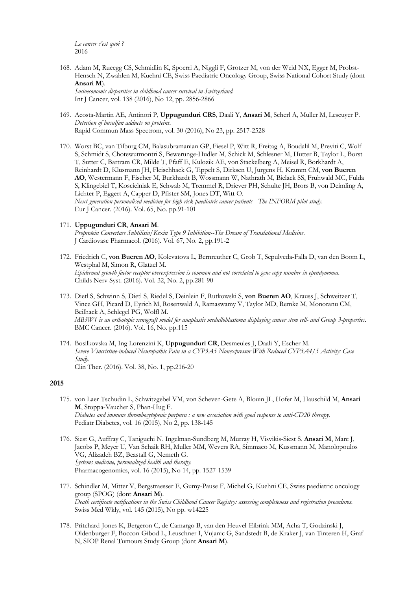*Le cancer c'est quoi ?* 2016

168. Adam M, Rueegg CS, Schmidlin K, Spoerri A, Niggli F, Grotzer M, von der Weid NX, Egger M, Probst-Hensch N, Zwahlen M, Kuehni CE, Swiss Paediatric Oncology Group, Swiss National Cohort Study (dont **Ansari M**).

*Socioeconomic disparities in childhood cancer survival in Switzerland.* Int J Cancer, vol. 138 (2016), No 12, pp. 2856-2866

- 169. Acosta-Martin AE, Antinori P, **Uppugunduri CRS**, Daali Y, **Ansari M**, Scherl A, Muller M, Lescuyer P. *Detection of busulfan adducts on proteins.* Rapid Commun Mass Spectrom, vol. 30 (2016), No 23, pp. 2517-2528
- 170. Worst BC, van Tilburg CM, Balasubramanian GP, Fiesel P, Witt R, Freitag A, Boudalil M, Previti C, Wolf S, Schmidt S, Chotewutmontri S, Bewerunge-Hudler M, Schick M, Schlesner M, Hutter B, Taylor L, Borst T, Sutter C, Bartram CR, Milde T, Pfaff E, Kulozik AE, von Stackelberg A, Meisel R, Borkhardt A, Reinhardt D, Klusmann JH, Fleischhack G, Tippelt S, Dirksen U, Jurgens H, Kramm CM, **von Bueren AO**, Westermann F, Fischer M, Burkhardt B, Wossmann W, Nathrath M, Bielack SS, Fruhwald MC, Fulda S, Klingebiel T, Koscielniak E, Schwab M, Tremmel R, Driever PH, Schulte JH, Brors B, von Deimling A, Lichter P, Eggert A, Capper D, Pfister SM, Jones DT, Witt O. *Next-generation personalised medicine for high-risk paediatric cancer patients - The INFORM pilot study*. Eur J Cancer. (2016). Vol. 65, No. pp.91-101
- 171. **Uppugunduri CR**, **Ansari M**.

*Proprotein Convertase Subtilisin/Kexin Type 9 Inhibition--The Dream of Translational Medicine*. J Cardiovasc Pharmacol. (2016). Vol. 67, No. 2, pp.191-2

- 172. Friedrich C, **von Bueren AO**, Kolevatova L, Bernreuther C, Grob T, Sepulveda-Falla D, van den Boom L, Westphal M, Simon R, Glatzel M. *Epidermal growth factor receptor overexpression is common and not correlated to gene copy number in ependymoma*. Childs Nerv Syst. (2016). Vol. 32, No. 2, pp.281-90
- 173. Dietl S, Schwinn S, Dietl S, Riedel S, Deinlein F, Rutkowski S, **von Bueren AO**, Krauss J, Schweitzer T, Vince GH, Picard D, Eyrich M, Rosenwald A, Ramaswamy V, Taylor MD, Remke M, Monoranu CM, Beilhack A, Schlegel PG, Wolfl M. *MB3W1 is an orthotopic xenograft model for anaplastic medulloblastoma displaying cancer stem cell- and Group 3-properties*. BMC Cancer. (2016). Vol. 16, No. pp.115
- 174. Bosilkovska M, Ing Lorenzini K, **Uppugunduri CR**, Desmeules J, Daali Y, Escher M. *Severe Vincristine-induced Neuropathic Pain in a CYP3A5 Nonexpressor With Reduced CYP3A4/5 Activity: Case Study*. Clin Ther. (2016). Vol. 38, No. 1, pp.216-20

- 175. von Laer Tschudin L, Schwitzgebel VM, von Scheven-Gete A, Blouin JL, Hofer M, Hauschild M, **Ansari M**, Stoppa-Vaucher S, Phan-Hug F. *Diabetes and immune thrombocytopenic purpura : a new association with good response to anti-CD20 therapy.* Pediatr Diabetes, vol. 16 (2015), No 2, pp. 138-145
- 176. Siest G, Auffray C, Taniguchi N, Ingelman-Sundberg M, Murray H, Visvikis-Siest S, **Ansari M**, Marc J, Jacobs P, Meyer U, Van Schaik RH, Muller MM, Wevers RA, Simmaco M, Kussmann M, Manolopoulos VG, Alizadeh BZ, Beastall G, Nemeth G. *Systems medicine, personalized health and therapy.* Pharmacogenomics, vol. 16 (2015), No 14, pp. 1527-1539
- 177. Schindler M, Mitter V, Bergstraesser E, Gumy-Pause F, Michel G, Kuehni CE, Swiss paediatric oncology group (SPOG) (dont **Ansari M**). *Death certificate notifications in the Swiss Childhood Cancer Registry: assessing completeness and registration procedures.* Swiss Med Wkly, vol. 145 (2015), No pp. w14225
- 178. Pritchard-Jones K, Bergeron C, de Camargo B, van den Heuvel-Eibrink MM, Acha T, Godzinski J, Oldenburger F, Boccon-Gibod L, Leuschner I, Vujanic G, Sandstedt B, de Kraker J, van Tinteren H, Graf N, SIOP Renal Tumours Study Group (dont **Ansari M**).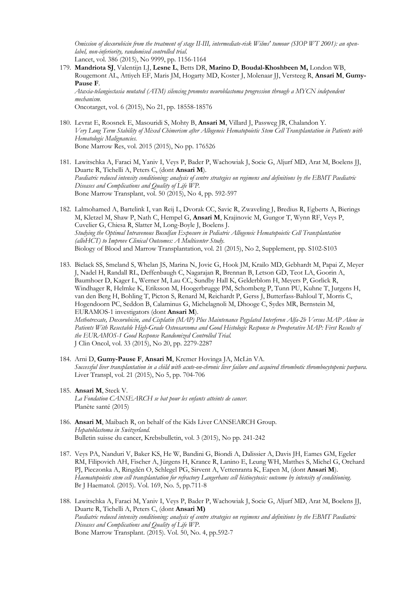*Omission of doxorubicin from the treatment of stage II-III, intermediate-risk Wilms' tumour (SIOP WT 2001): an openlabel, non-inferiority, randomised controlled trial.* Lancet, vol. 386 (2015), No 9999, pp. 1156-1164

- 179. **Mandriota SJ**, Valentijn LJ, **Lesne L**, Betts DR, **Marino D**, **Boudal-Khoshbeen M,** London WB, Rougemont AL, Attiyeh EF, Maris JM, Hogarty MD, Koster J, Molenaar JJ, Versteeg R, **Ansari M**, **Gumy-Pause F**. *Ataxia-telangiectasia mutated (ATM) silencing promotes neuroblastoma progression through a MYCN independent mechanism.* Oncotarget, vol. 6 (2015), No 21, pp. 18558-18576
- 180. Levrat E, Roosnek E, Masouridi S, Mohty B, **Ansari M**, Villard J, Passweg JR, Chalandon Y. *Very Long Term Stability of Mixed Chimerism after Allogeneic Hematopoietic Stem Cell Transplantation in Patients with Hematologic Malignancies.* Bone Marrow Res, vol. 2015 (2015), No pp. 176526
- 181. Lawitschka A, Faraci M, Yaniv I, Veys P, Bader P, Wachowiak J, Socie G, Aljurf MD, Arat M, Boelens JJ, Duarte R, Tichelli A, Peters C, (dont **Ansari M**). *Paediatric reduced intensity conditioning: analysis of centre strategies on regimens and definitions by the EBMT Paediatric Diseases and Complications and Quality of Life WP.* Bone Marrow Transplant, vol. 50 (2015), No 4, pp. 592-597
- 182. Lalmohamed A, Bartelink I, van Reij L, Dvorak CC, Savic R, Zwaveling J, Bredius R, Egberts A, Bierings M, Kletzel M, Shaw P, Nath C, Hempel G, **Ansari M**, Krajinovic M, Gungor T, Wynn RF, Veys P, Cuvelier G, Chiesa R, Slatter M, Long-Boyle J, Boelens J. *Studying the Optimal Intravenous Busulfan Exposure in Pediatric Allogeneic Hematopoietic Cell Transplantation (alloHCT) to Improve Clinical Outcomes: A Multicenter Study.* Biology of Blood and Marrow Transplantation, vol. 21 (2015), No 2, Supplement, pp. S102-S103
- 183. Bielack SS, Smeland S, Whelan JS, Marina N, Jovic G, Hook JM, Krailo MD, Gebhardt M, Papai Z, Meyer J, Nadel H, Randall RL, Deffenbaugh C, Nagarajan R, Brennan B, Letson GD, Teot LA, Goorin A, Baumhoer D, Kager L, Werner M, Lau CC, Sundby Hall K, Gelderblom H, Meyers P, Gorlick R, Windhager R, Helmke K, Eriksson M, Hoogerbrugge PM, Schomberg P, Tunn PU, Kuhne T, Jurgens H, van den Berg H, Bohling T, Picton S, Renard M, Reichardt P, Gerss J, Butterfass-Bahloul T, Morris C, Hogendoorn PC, Seddon B, Calaminus G, Michelagnoli M, Dhooge C, Sydes MR, Bernstein M, EURAMOS-1 investigators (dont **Ansari M**). *Methotrexate, Doxorubicin, and Cisplatin (MAP) Plus Maintenance Pegylated Interferon Alfa-2b Versus MAP Alone in*

Patients With Resectable High-Grade Osteosarcoma and Good Histologic Response to Preoperative MAP: First Results of *the EURAMOS-1 Good Response Randomized Controlled Trial.* J Clin Oncol, vol. 33 (2015), No 20, pp. 2279-2287

- 184. Arni D, **Gumy-Pause F**, **Ansari M**, Kremer Hovinga JA, McLin VA. *Successful liver transplantation in a child with acute-on-chronic liver failure and acquired thrombotic thrombocytopenic purpura.* Liver Transpl, vol. 21 (2015), No 5, pp. 704-706
- 185. **Ansari M**, Steck V. *La Fondation CANSEARCH se bat pour les enfants atteints de cancer.* Planète santé (2015)
- 186. **Ansari M**, Maibach R, on behalf of the Kids Liver CANSEARCH Group. *Hepatoblastoma in Switzerland.* Bulletin suisse du cancer, Krebsbulletin, vol. 3 (2015), No pp. 241-242
- 187. Veys PA, Nanduri V, Baker KS, He W, Bandini G, Biondi A, Dalissier A, Davis JH, Eames GM, Egeler RM, Filipovich AH, Fischer A, Jürgens H, Krance R, Lanino E, Leung WH, Matthes S, Michel G, Orchard PJ, Pieczonka A, Ringdén O, Schlegel PG, Sirvent A, Vettenranta K, Eapen M, (dont **Ansari M**). *Haematopoietic stem cell transplantation for refractory Langerhans cell histiocytosis: outcome by intensity of conditioning*. Br J Haematol. (2015). Vol. 169, No. 5, pp.711-8
- 188. Lawitschka A, Faraci M, Yaniv I, Veys P, Bader P, Wachowiak J, Socie G, Aljurf MD, Arat M, Boelens JJ, Duarte R, Tichelli A, Peters C, (dont **Ansari M)** *Paediatric reduced intensity conditioning: analysis of centre strategies on regimens and definitions by the EBMT Paediatric Diseases and Complications and Quality of Life WP*. Bone Marrow Transplant. (2015). Vol. 50, No. 4, pp.592-7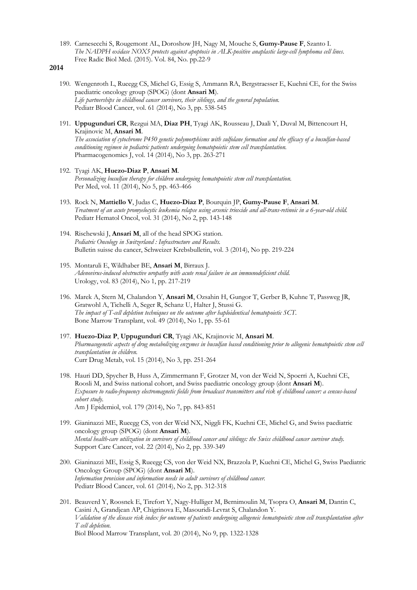- 189. Carnesecchi S, Rougemont AL, Doroshow JH, Nagy M, Mouche S, **Gumy-Pause F**, Szanto I. *The NADPH oxidase NOX5 protects against apoptosis in ALK-positive anaplastic large-cell lymphoma cell lines*. Free Radic Biol Med. (2015). Vol. 84, No. pp.22-9
- **2014**
	- 190. Wengenroth L, Rueegg CS, Michel G, Essig S, Ammann RA, Bergstraesser E, Kuehni CE, for the Swiss paediatric oncology group (SPOG) (dont **Ansari M**). *Life partnerships in childhood cancer survivors, their siblings, and the general population.* Pediatr Blood Cancer, vol. 61 (2014), No 3, pp. 538-545
	- 191. **Uppugunduri CR**, Rezgui MA, **Diaz PH**, Tyagi AK, Rousseau J, Daali Y, Duval M, Bittencourt H, Krajinovic M, **Ansari M**. *The association of cytochrome P450 genetic polymorphisms with sulfolane formation and the efficacy of a busulfan-based conditioning regimen in pediatric patients undergoing hematopoietic stem cell transplantation.* Pharmacogenomics J, vol. 14 (2014), No 3, pp. 263-271
	- 192. Tyagi AK, **Huezo-Diaz P**, **Ansari M**. *Personalizing busulfan therapy for children undergoing hematopoietic stem cell transplantation.* Per Med, vol. 11 (2014), No 5, pp. 463-466
	- 193. Rock N, **Mattiello V**, Judas C, **Huezo-Diaz P**, Bourquin JP, **Gumy-Pause F**, **Ansari M**. *Treatment of an acute promyelocytic leukemia relapse using arsenic trioxide and all-trans-retinoic in a 6-year-old child.* Pediatr Hematol Oncol, vol. 31 (2014), No 2, pp. 143-148
	- 194. Rischewski J, **Ansari M**, all of the head SPOG station. *Pediatric Oncology in Switzerland : Infrastructure and Results.* Bulletin suisse du cancer, Schweizer Krebsbulletin, vol. 3 (2014), No pp. 219-224
	- 195. Montaruli E, Wildhaber BE, **Ansari M**, Birraux J. *Adenovirus-induced obstructive uropathy with acute renal failure in an immunodeficient child.* Urology, vol. 83 (2014), No 1, pp. 217-219
	- 196. Marek A, Stern M, Chalandon Y, **Ansari M**, Ozsahin H, Gungor T, Gerber B, Kuhne T, Passweg JR, Gratwohl A, Tichelli A, Seger R, Schanz U, Halter J, Stussi G. *The impact of T-cell depletion techniques on the outcome after haploidentical hematopoietic SCT.* Bone Marrow Transplant, vol. 49 (2014), No 1, pp. 55-61
	- 197. **Huezo-Diaz P**, **Uppugunduri CR**, Tyagi AK, Krajinovic M, **Ansari M**. *Pharmacogenetic aspects of drug metabolizing enzymes in busulfan based conditioning prior to allogenic hematopoietic stem cell transplantation in children.* Curr Drug Metab, vol. 15 (2014), No 3, pp. 251-264
	- 198. Hauri DD, Spycher B, Huss A, Zimmermann F, Grotzer M, von der Weid N, Spoerri A, Kuehni CE, Roosli M, and Swiss national cohort, and Swiss paediatric oncology group (dont **Ansari M**). *Exposure to radio-frequency electromagnetic fields from broadcast transmitters and risk of childhood cancer: a census-based cohort study.* Am J Epidemiol, vol. 179 (2014), No 7, pp. 843-851
	- 199. Gianinazzi ME, Rueegg CS, von der Weid NX, Niggli FK, Kuehni CE, Michel G, and Swiss paediatric oncology group (SPOG) (dont **Ansari M**). *Mental health-care utilization in survivors of childhood cancer and siblings: the Swiss childhood cancer survivor study.* Support Care Cancer, vol. 22 (2014), No 2, pp. 339-349
	- 200. Gianinazzi ME, Essig S, Rueegg CS, von der Weid NX, Brazzola P, Kuehni CE, Michel G, Swiss Paediatric Oncology Group (SPOG) (dont **Ansari M**). *Information provision and information needs in adult survivors of childhood cancer.* Pediatr Blood Cancer, vol. 61 (2014), No 2, pp. 312-318
	- 201. Beauverd Y, Roosnek E, Tirefort Y, Nagy-Hulliger M, Bernimoulin M, Tsopra O, **Ansari M**, Dantin C, Casini A, Grandjean AP, Chigrinova E, Masouridi-Levrat S, Chalandon Y. *Validation of the disease risk index for outcome of patients undergoing allogeneic hematopoietic stem cell transplantation after T cell depletion.*

Biol Blood Marrow Transplant, vol. 20 (2014), No 9, pp. 1322-1328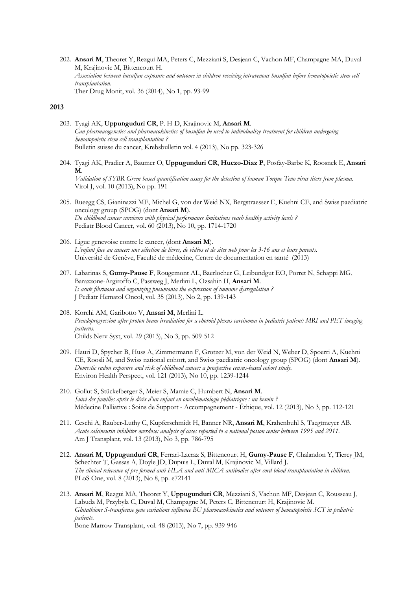202. **Ansari M**, Theoret Y, Rezgui MA, Peters C, Mezziani S, Desjean C, Vachon MF, Champagne MA, Duval M, Krajinovic M, Bittencourt H. *Association between busulfan exposure and outcome in children receiving intravenous busulfan before hematopoietic stem cell transplantation.* Ther Drug Monit, vol. 36 (2014), No 1, pp. 93-99

#### **2013**

- 203. Tyagi AK, **Uppunguduri CR**, P. H-D, Krajinovic M, **Ansari M**. *Can pharmacogenetics and pharmacokinetics of busulfan be used to individualize treatment for children undergoing hematopoietic stem cell transplantation ?* Bulletin suisse du cancer, Krebsbulletin vol. 4 (2013), No pp. 323-326
- 204. Tyagi AK, Pradier A, Baumer O, **Uppugunduri CR**, **Huezo-Diaz P**, Posfay-Barbe K, Roosnek E, **Ansari M**. *Validation of SYBR Green based quantification assay for the detection of human Torque Teno virus titers from plasma.* Virol J, vol. 10 (2013), No pp. 191
- 205. Rueegg CS, Gianinazzi ME, Michel G, von der Weid NX, Bergstraesser E, Kuehni CE, and Swiss paediatric oncology group (SPOG) (dont **Ansari M**). *Do childhood cancer survivors with physical performance limitations reach healthy activity levels ?* Pediatr Blood Cancer, vol. 60 (2013), No 10, pp. 1714-1720
- 206. Ligue genevoise contre le cancer, (dont **Ansari M**). *L'enfant face au cancer: une sélection de livres, de vidéos et de sites web pour les 3-16 ans et leurs parents.* Université de Genève, Faculté de médecine, Centre de documentation en santé (2013)
- 207. Labarinas S, **Gumy-Pause F**, Rougemont AL, Baerlocher G, Leibundgut EO, Porret N, Schappi MG, Barazzone-Argiroffo C, Passweg J, Merlini L, Ozsahin H, **Ansari M**. *Is acute fibrinous and organizing pneumonia the expression of immune dysregulation ?* J Pediatr Hematol Oncol, vol. 35 (2013), No 2, pp. 139-143
- 208. Korchi AM, Garibotto V, **Ansari M**, Merlini L. *Pseudoprogression after proton beam irradiation for a choroid plexus carcinoma in pediatric patient: MRI and PET imaging patterns.* Childs Nerv Syst, vol. 29 (2013), No 3, pp. 509-512
- 209. Hauri D, Spycher B, Huss A, Zimmermann F, Grotzer M, von der Weid N, Weber D, Spoerri A, Kuehni CE, Roosli M, and Swiss national cohort, and Swiss paediatric oncology group (SPOG) (dont **Ansari M**). *Domestic radon exposure and risk of childhood cancer: a prospective census-based cohort study.* Environ Health Perspect, vol. 121 (2013), No 10, pp. 1239-1244
- 210. Gollut S, Stückelberger S, Meier S, Mamie C, Humbert N, **Ansari M**. *Suivi des familles après le décès d'un enfant en oncohématologie pédiatrique : un besoin ?* Médecine Palliative : Soins de Support - Accompagnement - Éthique, vol. 12 (2013), No 3, pp. 112-121
- 211. Ceschi A, Rauber-Luthy C, Kupferschmidt H, Banner NR, **Ansari M**, Krahenbuhl S, Taegtmeyer AB. *Acute calcineurin inhibitor overdose: analysis of cases reported to a national poison center between 1995 and 2011.* Am J Transplant, vol. 13 (2013), No 3, pp. 786-795
- 212. **Ansari M**, **Uppugunduri CR**, Ferrari-Lacraz S, Bittencourt H, **Gumy-Pause F**, Chalandon Y, Tiercy JM, Schechter T, Gassas A, Doyle JD, Dupuis L, Duval M, Krajinovic M, Villard J. *The clinical relevance of pre-formed anti-HLA and anti-MICA antibodies after cord blood transplantation in children.* PLoS One, vol. 8 (2013), No 8, pp. e72141
- 213. **Ansari M**, Rezgui MA, Theoret Y, **Uppugunduri CR**, Mezziani S, Vachon MF, Desjean C, Rousseau J, Labuda M, Przybyla C, Duval M, Champagne M, Peters C, Bittencourt H, Krajinovic M. *Glutathione S-transferase gene variations influence BU pharmacokinetics and outcome of hematopoietic SCT in pediatric patients.*

Bone Marrow Transplant, vol. 48 (2013), No 7, pp. 939-946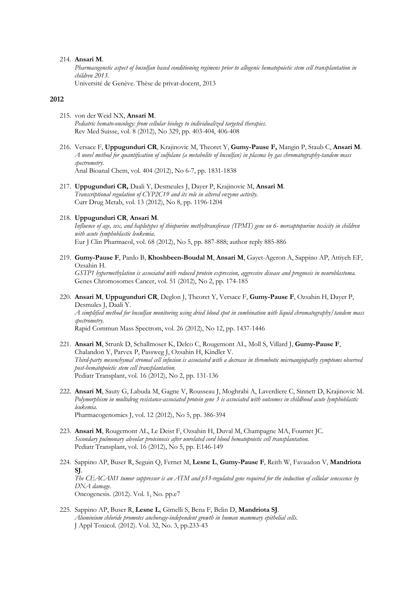#### 214. **Ansari M**.

*Pharmacogenetic aspect of busulfan based conditioning regimens prior to allogenic hematopoietic stem cell transplantation in children 2013.*

Université de Genève. Thèse de privat-docent, 2013

# **2012**

- 215. von der Weid NX, **Ansari M**. *Pediatric hemato-oncology: from cellular biology to individualized targeted therapies.* Rev Med Suisse, vol. 8 (2012), No 329, pp. 403-404, 406-408
- 216. Versace F, **Uppugunduri CR**, Krajinovic M, Theoret Y, **Gumy-Pause F,** Mangin P, Staub C, **Ansari M**. *A novel method for quantification of sulfolane (a metabolite of busulfan) in plasma by gas chromatography-tandem mass spectrometry.* Anal Bioanal Chem, vol. 404 (2012), No 6-7, pp. 1831-1838
- 217. **Uppugunduri CR,** Daali Y, Desmeules J, Dayer P, Krajinovic M, **Ansari M**. *Transcriptional regulation of CYP2C19 and its role in altered enzyme activity.* Curr Drug Metab, vol. 13 (2012), No 8, pp. 1196-1204
- 218. **Uppugunduri CR**, **Ansari M**.

*Influence of age, sex, and haplotypes of thiopurine methyltransferase (TPMT) gene on 6- mercaptopurine toxicity in children with acute lymphoblastic leukemia.*

Eur J Clin Pharmacol, vol. 68 (2012), No 5, pp. 887-888; author reply 885-886

- 219. **Gumy-Pause F**, Pardo B, **Khoshbeen-Boudal M**, **Ansari M**, Gayet-Ageron A, Sappino AP, Attiyeh EF, Ozsahin H. *GSTP1 hypermethylation is associated with reduced protein expression, aggressive disease and prognosis in neuroblastoma.* Genes Chromosomes Cancer, vol. 51 (2012), No 2, pp. 174-185
- 220. **Ansari M**, **Uppugunduri CR**, Deglon J, Theoret Y, Versace F, **Gumy-Pause F**, Ozsahin H, Dayer P, Desmules J, Daali Y. *A simplified method for busulfan monitoring using dried blood spot in combination with liquid chromatography/tandem mass spectrometry.* Rapid Commun Mass Spectrom, vol. 26 (2012), No 12, pp. 1437-1446
- 221. **Ansari M**, Strunk D, Schallmoser K, Delco C, Rougemont AL, Moll S, Villard J, **Gumy-Pause F**, Chalandon Y, Parvex P, Passweg J, Ozsahin H, Kindler V. *Third-party mesenchymal stromal cell infusion is associated with a decrease in thrombotic microangiopathy symptoms observed post-hematopoietic stem cell transplantation.* Pediatr Transplant, vol. 16 (2012), No 2, pp. 131-136
- 222. **Ansari M**, Sauty G, Labuda M, Gagne V, Rousseau J, Moghrabi A, Laverdiere C, Sinnett D, Krajinovic M. *Polymorphism in multidrug resistance-associated protein gene 3 is associated with outcomes in childhood acute lymphoblastic leukemia.* Pharmacogenomics J, vol. 12 (2012), No 5, pp. 386-394
- 223. **Ansari M**, Rougemont AL, Le Deist F, Ozsahin H, Duval M, Champagne MA, Fournet JC. *Secondary pulmonary alveolar proteinosis after unrelated cord blood hematopoietic cell transplantation.* Pediatr Transplant, vol. 16 (2012), No 5, pp. E146-149
- 224. Sappino AP, Buser R, Seguin Q, Fernet M, **Lesne L**, **Gumy-Pause F**, Reith W, Favaudon V, **Mandriota SJ**. *The CEACAM1 tumor suppressor is an ATM and p53-regulated gene required for the induction of cellular senescence by DNA damage*. Oncogenesis. (2012). Vol. 1, No. pp.e7
- 225. Sappino AP, Buser R, **Lesne L**, Gimelli S, Bena F, Belin D, **Mandriota SJ**. *Aluminium chloride promotes anchorage-independent growth in human mammary epithelial cells*. J Appl Toxicol. (2012). Vol. 32, No. 3, pp.233-43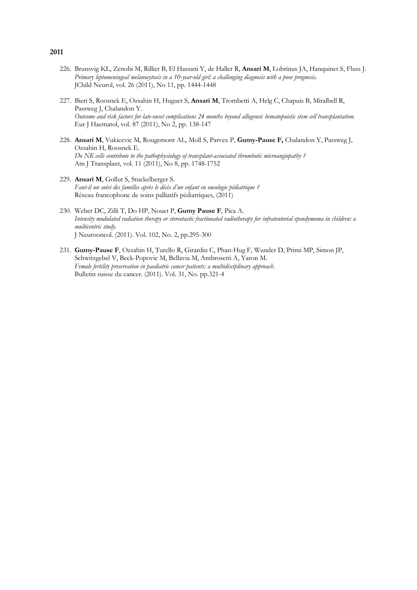- 226. Brunsvig KL, Zenobi M, Rilliet B, El Hassani Y, de Haller R, **Ansari M**, Lobrinus JA, Hanquinet S, Fluss J. *Primary leptomeningeal melanocytosis in a 10-year-old girl: a challenging diagnosis with a poor prognosis.* JChild Neurol, vol. 26 (2011), No 11, pp. 1444-1448
- 227. Bieri S, Roosnek E, Ozsahin H, Huguet S, **Ansari M**, Trombetti A, Helg C, Chapuis B, Miralbell R, Passweg J, Chalandon Y. *Outcome and risk factors for late-onset complications 24 months beyond allogeneic hematopoietic stem cell transplantation.* Eur J Haematol, vol. 87 (2011), No 2, pp. 138-147
- 228. **Ansari M**, Vukicevic M, Rougemont AL, Moll S, Parvex P, **Gumy-Pause F,** Chalandon Y, Passweg J, Ozsahin H, Roosnek E. *Do NK cells contribute to the pathophysiology of transplant-associated thrombotic microangiopathy ?* Am J Transplant, vol. 11 (2011), No 8, pp. 1748-1752
- 229. **Ansari M**, Gollut S, Stuckelberger S. *Faut-il un suivi des familles après le décès d'un enfant en oncologie pédiatrique ?* Réseau francophone de soins palliatifs pédiatriques, (2011)
- 230. Weber DC, Zilli T, Do HP, Nouet P, **Gumy Pause F**, Pica A. *Intensity modulated radiation therapy or stereotactic fractionated radiotherapy for infratentorial ependymoma in children: a multicentric study*. J Neurooncol. (2011). Vol. 102, No. 2, pp.295-300
- 231. **Gumy-Pause F**, Ozsahin H, Turello R, Girardin C, Phan-Hug F, Wunder D, Primi MP, Simon JP, Schwitzgebel V, Beck-Popovic M, Bellavia M, Ambrosetti A, Yaron M. *Female fertility preservation in paediatric cancer patients: a multidisciplinary approach*. Bulletin suisse du cancer. (2011). Vol. 31, No. pp.321-4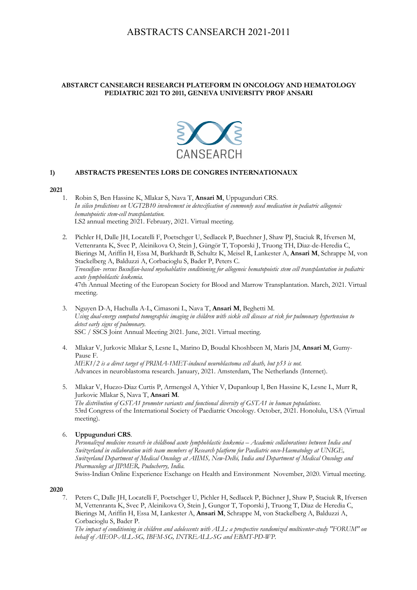# ABSTRACTS CANSEARCH 2021-2011

### **ABSTARCT CANSEARCH RESEARCH PLATEFORM IN ONCOLOGY AND HEMATOLOGY PEDIATRIC 2021 TO 2011, GENEVA UNIVERSITY PROF ANSARI**



# **1) ABSTRACTS PRESENTES LORS DE CONGRES INTERNATIONAUX**

### **2021**

- 1. Robin S, Ben Hassine K, Mlakar S, Nava T, **Ansari M**, Uppugunduri CRS. *In silico predictions on UGT2B10 involvement in detoxification of commonly used medication in pediatric allogeneic hematopoietic stem-cell transplantation.* LS2 annual meeting 2021. February, 2021. Virtual meeting.
- 2. Pichler H, Dalle JH, Locatelli F, Poetschger U, Sedlacek P, Buechner J, Shaw PJ, Staciuk R, Ifversen M, Vettenranta K, Svec P, Aleinikova O, Stein J, Güngör T, Toporski J, Truong TH, Diaz-de-Heredia C, Bierings M, Ariffin H, Essa M, Burkhardt B, Schultz K, Meisel R, Lankester A, **Ansari M**, Schrappe M, von Stackelberg A, Balduzzi A, Corbacioglu S, Bader P, Peters C. *Treosulfan- versus Busulfan-based myeloablative conditioning for allogeneic hematopoietic stem cell transplantation in pediatric acute lymphoblastic leukemia.* 47th Annual Meeting of the European Society for Blood and Marrow Transplantation. March, 2021. Virtual meeting.
- 3. Nguyen D-A, Hachulla A-L, Cimasoni L, Nava T, **Ansari M**, Beghetti M. *Using dual-energy computed tomographic imaging in children with sickle cell disease at risk for pulmonary hypertension to detect early signs of pulmonary.* SSC / SSCS Joint Annual Meeting 2021. June, 2021. Virtual meeting.
- 4. Mlakar V, Jurkovic Mlakar S, Lesne L, Marino D, Boudal Khoshbeen M, Maris JM, **Ansari M**, Gumy-Pause F. *MEK1/2 is a direct target of PRIMA-1MET-induced neuroblastoma cell death, but p53 is not.* Advances in neuroblastoma research. January, 2021. Amsterdam, The Netherlands (Internet).
- 5. Mlakar V, Huezo-Diaz Curtis P, Armengol A, Ythier V, Dupanloup I, Ben Hassine K, Lesne L, Murr R, Jurkovic Mlakar S, Nava T, **Ansari M**. *The distribution of GSTA1 promoter variants and functional diversity of GSTA1 in human populations.* 53rd Congress of the International Society of Paediatric Oncology. October, 2021. Honolulu, USA (Virtual meeting).
- 6. **Uppugunduri CRS**.

*Personalized medicine research in childhood acute lymphoblastic leukemia – Academic collaborations between India and Switzerland in collaboration with team members of Research platform for Paediatric onco-Haematology at UNIGE, Switzerland Department of Medical Oncology at AIIMS, New-Delhi, India and Department of Medical Oncology and Pharmacology at JIPMER, Puducherry, India.* Swiss-Indian Online Experience Exchange on Health and Environment November, 2020. Virtual meeting.

#### **2020**

7. Peters C, Dalle JH, Locatelli F, Poetschger U, Pichler H, Sedlacek P, Büchner J, Shaw P, Staciuk R, Ifversen M, Vettenranta K, Svec P, Aleinikova O, Stein J, Gungor T, Toporski J, Truong T, Diaz de Heredia C, Bierings M, Ariffin H, Essa M, Lankester A, **Ansari M**, Schrappe M, von Stackelberg A, Balduzzi A, Corbacioglu S, Bader P.

*The impact of conditioning in children and adolescents with ALL: a prospective randomized multicenter-study "FORUM" on behalf of AIEOP-ALL-SG, IBFM-SG, INTREALL-SG and EBMT-PD-WP.*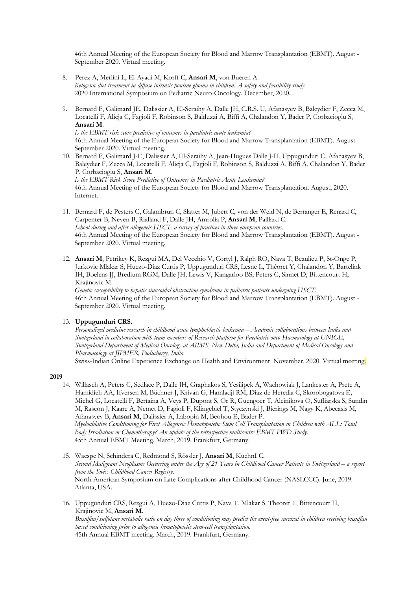46th Annual Meeting of the European Society for Blood and Marrow Transplantation (EBMT). August - September 2020. Virtual meeting.

- 8. Perez A, Merlini L, El-Ayadi M, Korff C, **Ansari M**, von Bueren A. *Ketogenic diet treatment in diffuse intrinsic pontine glioma in children: A safety and feasibility study.* 2020 International Symposium on Pediatric Neuro-Oncology. December, 2020.
- 9. Bernard F, Galimard JE, Dalissier A, El-Seraihy A, Dalle JH, C.R.S. U, Afanasyev B, Baleydier F, Zecca M, Locatelli F, Alicja C, Fagioli F, Robinson S, Balduzzi A, Biffi A, Chalandon Y, Bader P, Corbacioglu S, **Ansari M**.

*Is the EBMT risk score predictive of outcomes in paediatric acute leukemia?* 46th Annual Meeting of the European Society for Blood and Marrow Transplantation (EBMT). August - September 2020. Virtual meeting.

- 10. Bernard F, Galimard J-E, Dalissier A, El-Seraihy A, Jean-Hugues Dalle J-H, Uppugunduri C, Afanasyev B, Baleydier F, Zecca M, Locatelli F, Alicja C, Fagioli F, Robinson S, Balduzzi A, Biffi A, Chalandon Y, Bader P, Corbacioglu S, **Ansari M**. *Is the EBMT Risk Score Predictive of Outcomes in Paediatric Acute Leukemia?* 46th Annual Meeting of the European Society for Blood and Marrow Transplantation. August, 2020. Internet.
- 11. Bernard F, de Pesters C, Galambrun C, Slatter M, Jubert C, von der Weid N, de Berranger E, Renard C, Carpenter B, Neven B, Rialland F, Dalle JH, Amrolia P, **Ansari M**, Paillard C. *School during and after allogeneic HSCT: a survey of practices in three european countries.* 46th Annual Meeting of the European Society for Blood and Marrow Transplantation (EBMT). August - September 2020. Virtual meeting.
- 12. **Ansari M**, Petrikey K, Rezgui MA, Del Vecchio V, Cortyl J, Ralph RO, Nava T, Beaulieu P, St-Onge P, Jurkovic Mlakar S, Huezo-Diaz Curtis P, Uppugunduri CRS, Lesne L, Théoret Y, Chalandon Y, Bartelink IH, Boelens JJ, Bredium RGM, Dalle JH, Lewis V, Kangarloo BS, Peters C, Sinnet D, Bittencourt H, Krajinovic M.

*Genetic susceptibility to hepatic sinusoidal obstruction symdrome in pediatric patients undergoing HSCT.* 46th Annual Meeting of the European Society for Blood and Marrow Transplantation (EBMT). August - September 2020. Virtual meeting.

### 13. **Uppugunduri CRS.**

*Personalized medicine research in childhood acute lymphoblastic leukemia – Academic collaborations between India and Switzerland in collaboration with team members of Research platform for Paediatric onco-Haematology at UNIGE, Switzerland Department of Medical Oncology at AIIMS, New-Delhi, India and Department of Medical Oncology and Pharmacology at JIPMER, Puducherry, India.*

Swiss-Indian Online Experience Exchange on Health and Environment November, 2020. Virtual meeting.

- 14. Willasch A, Peters C, Sedlace P, Dalle JH, Graphakos S, Yesilipek A, Wachowiak J, Lankester A, Prete A, Hamidieh AA, Ifversen M, Büchner J, Krivan G, Hamladji RM, Diaz de Heredia C, Skorobogatova E, Michel G, Locatelli F, Bertaina A, Veys P, Dupont S, Or R, Guengoer T, Aleinikova O, Sufliarska S, Sundin M, Rascon J, Kaare A, Nemet D, Fagioli F, Klingebiel T, Styczynski J, Bierings M, Nagy K, Abecasis M, Afanasyev B, **Ansari M**, Dalissier A, Labopin M, Beohou E, Bader P. *Myeloablative Conditioning for First Allogeneic Hematopoietic Stem Cell Transplantation in Children with ALL: Total Body Irradiation or Chemotherapy? An update of the retrospective multicentre EBMT PWD Study.* 45th Annual EBMT Meeting. March, 2019. Frankfurt, Germany.
- 15. Waespe N, Schindera C, Redmond S, Rössler J, **Ansari M**, KuehnI C. *Second Malignant Neoplasms Occurring under the Age of 21 Years in Childhood Cancer Patients in Switzerland – a report from the Swiss Childhood Cancer Registry.* North American Symposium on Late Complications after Childhood Cancer (NASLCCC). June, 2019. Atlanta, USA.
- 16. Uppugunduri CRS, Rezgui A, Huezo-Diaz Curtis P, Nava T, Mlakar S, Theoret T, Bittencourt H, Krajinovic M, **Ansari M**. *Busulfan/sulfolane metabolic ratio on day three of conditioning may predict the event-free survival in children receiving busulfan based conditioning prior to allogeneic hematopoietic stem-cell transplantation.* 45th Annual EBMT meeting. March, 2019. Frankfurt, Germany.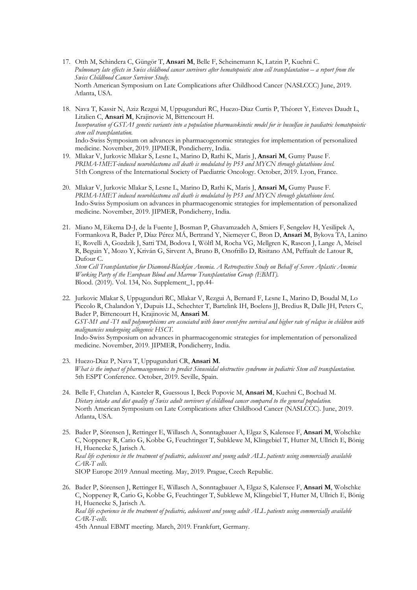- 17. Otth M, Schindera C, Güngör T, **Ansari M**, Belle F, Scheinemann K, Latzin P, Kuehni C. *Pulmonary late effects in Swiss childhood cancer survivors after hematopoietic stem cell transplantation – a report from the Swiss Childhood Cancer Survivor Study.* North American Symposium on Late Complications after Childhood Cancer (NASLCCC) June, 2019. Atlanta, USA.
- 18. Nava T, Kassir N, Aziz Rezgui M, Uppugunduri RC, Huezo-Diaz Curtis P, Théoret Y, Esteves Daudt L, Litalien C, **Ansari M**, Krajinovic M, Bittencourt H. *Incorporation of GSTA1 genetic variants into a population pharmacokinetic model for iv busulfan in paediatric hematopoietic stem cell transplantation.* Indo-Swiss Symposium on advances in pharmacogenomic strategies for implementation of personalized medicine. November, 2019. JIPMER, Pondicherry, India.
- 19. Mlakar V, Jurkovic Mlakar S, Lesne L, Marino D, Rathi K, Maris J, **Ansari M**, Gumy Pause F. *PRIMA-1MET-induced neuroblastoma cell death is modulated by P53 and MYCN through glutathione level.* 51th Congress of the International Society of Paediatric Oncology. October, 2019. Lyon, France.
- 20. Mlakar V, Jurkovic Mlakar S, Lesne L, Marino D, Rathi K, Maris J, **Ansari M,** Gumy Pause F. *PRIMA-1MET induced neuroblastoma cell death is modulated by P53 and MYCN through glutathione level.* Indo-Swiss Symposium on advances in pharmacogenomic strategies for implementation of personalized medicine. November, 2019. JIPMER, Pondicherry, India.
- 21. Miano M, Eikema D-J, de la Fuente J, Bosman P, Ghavamzadeh A, Smiers F, Sengeløv H, Yesilipek A, Formankova R, Bader P, Díaz Pérez MÁ, Bertrand Y, Niemeyer C, Bron D, **Ansari M**, Bykova TA, Lanino E, Rovelli A, Gozdzik J, Satti TM, Bodova I, Wölfl M, Rocha VG, Mellgren K, Rascon J, Lange A, Meisel R, Beguin Y, Mozo Y, Kriván G, Sirvent A, Bruno B, Onofrillo D, Risitano AM, Peffault de Latour R, Dufour C.

*Stem Cell Transplantation for Diamond-Blackfan Anemia. A Retrospective Study on Behalf of Severe Aplastic Anemia Working Party of the European Blood and Marrow Transplantation Group (EBMT)*. Blood. (2019). Vol. 134, No. Supplement\_1, pp.44-

- 22. Jurkovic Mlakar S, Uppugunduri RC, Mlakar V, Rezgui A, Bernard F, Lesne L, Marino D, Boudal M, Lo Piccolo R, Chalandon Y, Dupuis LL, Schechter T, Bartelink IH, Boelens JJ, Bredius R, Dalle JH, Peters C, Bader P, Bittencourt H, Krajinovic M, **Ansari M**. *GST-M1 and -T1 null polymorphisms are associated with lower event-free survival and higher rate of relapse in children with malignancies undergoing allogeneic HSCT.* Indo-Swiss Symposium on advances in pharmacogenomic strategies for implementation of personalized medicine. November, 2019. JIPMER, Pondicherry, India.
- 23. Huezo-Diaz P, Nava T, Uppugunduri CR, **Ansari M**. *What is the impact of pharmacogenomics to predict Sinusoidal obstructive syndrome in pediatric Stem cell transplantation.* 5th ESPT Conference. October, 2019. Seville, Spain.
- 24. Belle F, Chatelan A, Kasteler R, Guessous I, Beck Popovic M, **Ansari M**, Kuehni C, Bochud M. *Dietary intake and diet quality of Swiss adult survivors of childhood cancer compared to the general population.* North American Symposium on Late Complications after Childhood Cancer (NASLCCC). June, 2019. Atlanta, USA.
- 25. Bader P, Sörensen J, Rettinger E, Willasch A, Sonntagbauer A, Elgaz S, Kalensee F, **Ansari M**, Wolschke C, Noppeney R, Cario G, Kobbe G, Feuchtinger T, Subklewe M, Klingebiel T, Hutter M, Ullrich E, Bönig H, Huenecke S, Jarisch A. *Real life experience in the treatment of pediatric, adolescent and young adult ALL patients using commercially available CAR-T cells.* SIOP Europe 2019 Annual meeting. May, 2019. Prague, Czech Republic.
- 26. Bader P, Sörensen J, Rettinger E, Willasch A, Sonntagbauer A, Elgaz S, Kalensee F, **Ansari M**, Wolschke C, Noppeney R, Cario G, Kobbe G, Feuchtinger T, Subklewe M, Klingebiel T, Hutter M, Ullrich E, Bönig H, Huenecke S, Jarisch A. *Real life experience in the treatment of pediatric, adolescent and young adult ALL patients using commercially available CAR-T-cells.* 45th Annual EBMT meeting. March, 2019. Frankfurt, Germany.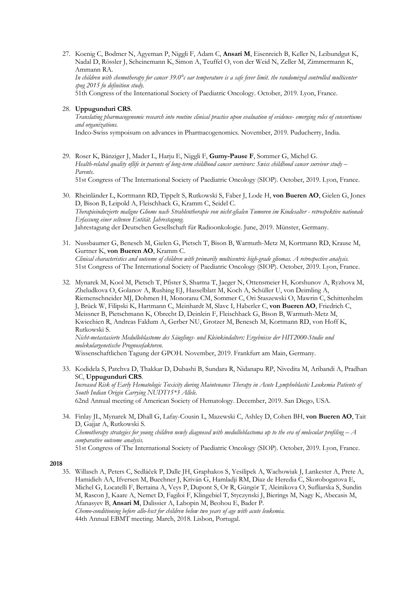27. Koenig C, Bodmer N, Agyeman P, Niggli F, Adam C, **Ansari M**, Eisenreich B, Keller N, Leibundgut K, Nadal D, Rössler J, Scheinemann K, Simon A, Teuffel O, von der Weid N, Zeller M, Zimmermann K, Ammann RA. *In children with chemotherapy for cancer 39.0°c ear temperature is a safe fever limit. the randomized controlled multicenter spog 2015 fn definition study.* 51th Congress of the International Society of Paediatric Oncology. October, 2019. Lyon, France.

### 28. **Uppugunduri CRS**.

*Translating pharmacogenomic research into routine clinical practice upon evaluation of evidence- emerging roles of consortiums and organizations.*

Indco-Swiss sympoisum on advances in Pharmacogenomics. November, 2019. Puducherry, India.

- 29. Roser K, Bänziger J, Mader L, Harju E, Niggli F, **Gumy-Pause F**, Sommer G, Michel G. *Health-related quality oflife in parents of long-term childhood cancer survivors: Swiss childhood cancer survivor study – Parents.* 51st Congress of The International Society of Paediatric Oncology (SIOP). October, 2019. Lyon, France.
- 30. Rheinländer L, Kortmann RD, Tippelt S, Rutkowski S, Faber J, Lode H, **von Bueren AO**, Gielen G, Jones D, Bison B, Leipold A, Fleischhack G, Kramm C, Seidel C. *Therapieinduzierte maligne Gliome nach Strahlentherapie von nicht-glialen Tumoren im Kindesalter - retrospektive nationale Erfassung einer seltenen Entität. Jahrestagung.* Jahrestagung der Deutschen Gesellschaft für Radioonkologie. June, 2019. Münster, Germany.
- 31. Nussbaumer G, Benesch M, Gielen G, Pietsch T, Bison B, Warmuth-Metz M, Kortmann RD, Krause M, Gurtner K, **von Bueren AO**, Kramm C. *Clinical characteristics and outcome of children with primarily multicentric high-grade gliomas. A retrospective analysis.* 51st Congress of The International Society of Paediatric Oncology (SIOP). October, 2019. Lyon, France.
- 32. Mynarek M, Kool M, Pietsch T, Pfister S, Sharma T, Jaeger N, Ottensmeier H, Korshunov A, Ryzhova M, Zheludkova O, Golanov A, Rushing EJ, Hasselblatt M, Koch A, Schüller U, von Deimling A, Riemenschneider MJ, Dohmen H, Monoranu CM, Sommer C, Ori Staszewski O, Mawrin C, Schittenhelm J, Brück W, Filipski K, Hartmann C, Meinhardt M, Slavc I, Haberler C, **von Bueren AO**, Friedrich C, Meissner B, Pietschmann K, Obrecht D, Deinlein F, Fleischhack G, Bison B, Warmuth-Metz M, Kwiechien R, Andreas Faldum A, Gerber NU, Grotzer M, Benesch M, Kortmann RD, von Hoff K, Rutkowski S. *Nicht-metastasierte Medulloblastome des Säuglings- und Kleinkindalters: Ergebnisse der HIT2000-Studie und*

*molekulargenetische Prognosefaktoren.*

Wissenschaftlichen Tagung der GPOH. November, 2019. Frankfurt am Main, Germany.

- 33. Kodidela S, Patchva D, Thakkar D, Dubashi B, Sundara R, Nidanapu RP, Nivedita M, Aribandi A, Pradhan SC, **Uppugunduri CRS**. *Increased Risk of Early Hematologic Toxicity during Maintenance Therapy in Acute Lymphoblastic Leukemia Patients of South Indian Origin Carrying NUDT15\*3 Allele.* 62nd Annual meeting of American Society of Hematology. December, 2019. San Diego, USA.
- 34. Finlay JL, Mynarek M, Dhall G, Lafay-Cousin L, Mazewski C, Ashley D, Cohen BH, **von Bueren AO**, Tait D, Gajjar A, Rutkowski S. *Chemotherapy strategies for young children newly diagnosed with medulloblastoma up to the era of molecular profiling – A comparative outcome analysis.* 51st Congress of The International Society of Paediatric Oncology (SIOP). October, 2019. Lyon, France.

#### **2018**

35. Willasch A, Peters C, Sedláček P, Dalle JH, Graphakos S, Yesilipek A, Wachowiak J, Lankester A, Prete A, Hamidieh AA, Ifversen M, Buechner J, Kriván G, Hamladji RM, Diaz de Heredia C, Skorobogatova E, Michel G, Locatelli F, Bertaina A, Veys P, Dupont S, Or R, Güngör T, Aleinikova O, Sufliarska S, Sundin M, Rascon J, Kaare A, Nemet D, Fagiloi F, Klingebiel T, Styczynski J, Bierings M, Nagy K, Abecasis M, Afanasyev B, **Ansari M**, Dalissier A, Labopin M, Beohou E, Bader P. *Chemo-conditioning before allo-hsct for children below two years of age with acute leukemia.* 44th Annual EBMT meeting. March, 2018. Lisbon, Portugal.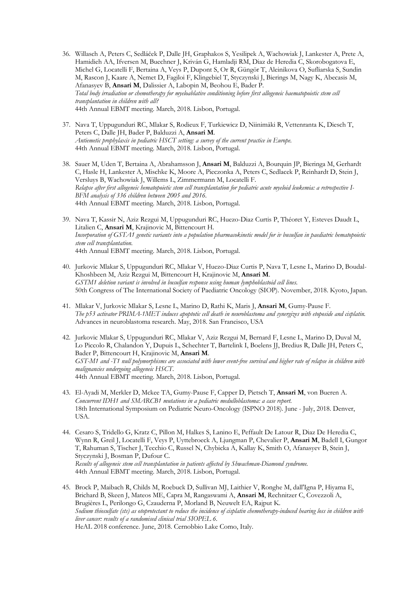- 36. Willasch A, Peters C, Sedláček P, Dalle JH, Graphakos S, Yesilipek A, Wachowiak J, Lankester A, Prete A, Hamidieh AA, Ifversen M, Buechner J, Kriván G, Hamladji RM, Diaz de Heredia C, Skorobogatova E, Michel G, Locatelli F, Bertaina A, Veys P, Dupont S, Or R, Güngör T, Aleinikova O, Sufliarska S, Sundin M, Rascon J, Kaare A, Nemet D, Fagiloi F, Klingebiel T, Styczynski J, Bierings M, Nagy K, Abecasis M, Afanasyev B, **Ansari M**, Dalissier A, Labopin M, Beohou E, Bader P. *Total body irradiation or chemotherapy for myeloablative conditioning before first allogeneic haematopoietic stem cell transplantation in children with all?* 44th Annual EBMT meeting. March, 2018. Lisbon, Portugal.
- 37. Nava T, Uppugunduri RC, Mlakar S, Rodieux F, Turkiewicz D, Niinimäki R, Vettenranta K, Diesch T, Peters C, Dalle JH, Bader P, Balduzzi A, **Ansari M**. *Antiemetic prophylaxis in pediatric HSCT setting: a survey of the current practice in Europe.* 44th Annual EBMT meeting. March, 2018. Lisbon, Portugal.
- 38. Sauer M, Uden T, Bertaina A, Abrahamsson J, **Ansari M**, Balduzzi A, Bourquin JP, Bieringa M, Gerhardt C, Hasle H, Lankester A, Mischke K, Moore A, Pieczonka A, Peters C, Sedlacek P, Reinhardt D, Stein J, Versluys B, Wachowiak J, Willems L, Zimmermann M, Locatelli F. *Relapse after first allogeneic hematopoietic stem cell transplantation for pediatric acute myeloid leukemia: a retrospective I-BFM analysis of 336 children between 2005 and 2016.* 44th Annual EBMT meeting. March, 2018. Lisbon, Portugal.
- 39. Nava T, Kassir N, Aziz Rezgui M, Uppugunduri RC, Huezo-Diaz Curtis P, Théoret Y, Esteves Daudt L, Litalien C, **Ansari M**, Krajinovic M, Bittencourt H. *Incorporation of GSTA1 genetic variants into a population pharmacokinetic model for iv busulfan in paediatric hematopoietic stem cell transplantation.* 44th Annual EBMT meeting. March, 2018. Lisbon, Portugal.
- 40. Jurkovic Mlakar S, Uppugunduri RC, Mlakar V, Huezo-Diaz Curtis P, Nava T, Lesne L, Marino D, Boudal-Khoshbeen M, Aziz Rezgui M, Bittencourt H, Krajinovic M, **Ansari M**. *GSTM1 deletion variant is involved in busulfan response using human lymphoblastoid cell lines.* 50th Congress of The International Society of Paediatric Oncology (SIOP). November, 2018. Kyoto, Japan.
- 41. Mlakar V, Jurkovic Mlakar S, Lesne L, Marino D, Rathi K, Maris J, **Ansari M**, Gumy-Pause F. *The p53 activator PRIMA-1MET induces apoptotic cell death in neuroblastoma and synergizes with etoposide and cisplatin.* Advances in neuroblastoma research. May, 2018. San Francisco, USA
- 42. Jurkovic Mlakar S, Uppugunduri RC, Mlakar V, Aziz Rezgui M, Bernard F, Lesne L, Marino D, Duval M, Lo Piccolo R, Chalandon Y, Dupuis L, Schechter T, Bartelink I, Boelens JJ, Bredius R, Dalle JH, Peters C, Bader P, Bittencourt H, Krajinovic M, **Ansari M**. *GST-M1 and -T1 null polymorphisms are associated with lower event-free survival and higher rate of relapse in children with malignancies undergoing allogeneic HSCT.* 44th Annual EBMT meeting. March, 2018. Lisbon, Portugal.
- 43. El-Ayadi M, Merkler D, Mckee TA, Gumy-Pause F, Capper D, Pietsch T, **Ansari M**, von Bueren A. *Concurrent IDH1 and SMARCB1 mutations in a pediatric medulloblastoma: a case report.* 18th International Symposium on Pediatric Neuro-Oncology (ISPNO 2018). June - July, 2018. Denver, USA.
- 44. Cesaro S, Tridello G, Kratz C, Pillon M, Halkes S, Lanino E, Peffault De Latour R, Diaz De Heredia C, Wynn R, Greil J, Locatelli F, Veys P, Uyttebroeck A, Ljungman P, Chevalier P, **Ansari M**, Badell I, Gungor T, Rahuman S, Tischer J, Tecchio C, Russel N, Chybicka A, Kallay K, Smith O, Afanasyev B, Stein J, Styczynski J, Bosman P, Dufour C. *Results of allogeneic stem cell transplantation in patients affected by Shwachman-Diamond syndrome.* 44th Annual EBMT meeting. March, 2018. Lisbon, Portugal.
- 45. Brock P, Maibach R, Childs M, Roebuck D, Sullivan MJ, Laithier V, Ronghe M, dall'Igna P, Hiyama E, Brichard B, Skeen J, Mateos ME, Capra M, Rangaswami A, **Ansari M**, Rechnitzer C, Covezzoli A, Brugières L, Perilongo G, Czauderna P, Morland B, Neuwelt EA, Rajput K. *Sodium thiosulfate (sts) as otoprotectant to reduce the incidence of cisplatin chemotherapy-induced hearing loss in children with liver cancer: results of a randomised clinical trial SIOPEL 6.* HeAL 2018 conference. June, 2018. Cernobbio Lake Como, Italy.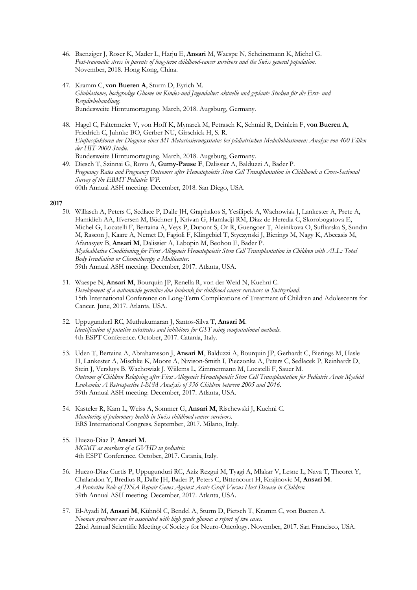- 46. Baenziger J, Roser K, Mader L, Harju E, **Ansari** M, Waespe N, Scheinemann K, Michel G. *Post-traumatic stress in parents of long-term childhood-cancer survivors and the Swiss general population.* November, 2018. Hong Kong, China.
- 47. Kramm C, **von Bueren A**, Sturm D, Eyrich M. *Glioblastome, hochgradige Gliome im Kindes-und Jugendalter: aktuelle und geplante Studien für die Erst- und Rezidivbehandlung.* Bundesweite Hirntumortagung. March, 2018. Augsburg, Germany.
- 48. Hagel C, Faltermeier V, von Hoff K, Mynarek M, Petrasch K, Schmid R, Deinlein F, **von Bueren A**, Friedrich C, Juhnke BO, Gerber NU, Girschick H, S. R. *Einflussfaktoren der Diagnose eines M1-Metastasierungsstatus bei pädiatrischen Medulloblastomen: Analyse von 400 Fällen der HIT-2000 Studie.* Bundesweite Hirntumortagung. March, 2018. Augsburg, Germany. 49. Diesch T, Szinnai G, Rovo A, **Gumy-Pause F**, Dalissier A, Balduzzi A, Bader P.
- *Pregnancy Rates and Pregnancy Outcomes after Hematopoietic Stem Cell Transplantation in Childhood: a Cross-Sectional Survey of the EBMT Pediatric WP.* 60th Annual ASH meeting. December, 2018. San Diego, USA.

- 50. Willasch A, Peters C, Sedlace P, Dalle JH, Graphakos S, Yesilipek A, Wachowiak J, Lankester A, Prete A, Hamidieh AA, Ifversen M, Büchner J, Krivan G, Hamladji RM, Diaz de Heredia C, Skorobogatova E, Michel G, Locatelli F, Bertaina A, Veys P, Dupont S, Or R, Guengoer T, Aleinikova O, Sufliarska S, Sundin M, Rascon J, Kaare A, Nemet D, Fagioli F, Klingebiel T, Styczynski J, Bierings M, Nagy K, Abecasis M, Afanasyev B, **Ansari M**, Dalissier A, Labopin M, Beohou E, Bader P. *Myeloablative Conditioning for First Allogeneic Hematopoietic Stem Cell Transplantation in Children with ALL: Total Body Irradiation or Chemotherapy a Multicenter.* 59th Annual ASH meeting. December, 2017. Atlanta, USA.
- 51. Waespe N, **Ansari M**, Bourquin JP, Renella R, von der Weid N, Kuehni C. *Development of a nationwide germline dna biobank for childhood cancer survivors in Switzerland.* 15th International Conference on Long-Term Complications of Treatment of Children and Adolescents for Cancer. June, 2017. Atlanta, USA.
- 52. UppugundurI RC, Muthukumaran J, Santos-Silva T, **Ansari M**. *Identification of putative substrates and inhibitors for GST using computational methods.* 4th ESPT Conference. October, 2017. Catania, Italy.
- 53. Uden T, Bertaina A, Abrahamsson J, **Ansari M**, Balduzzi A, Bourquin JP, Gerhardt C, Bierings M, Hasle H, Lankester A, Mischke K, Moore A, Nivison-Smith I, Pieczonka A, Peters C, Sedlacek P, Reinhardt D, Stein J, Versluys B, Wachowiak J, Wiilems L, Zimmermann M, Locatelli F, Sauer M. *Outcome of Children Relapsing after First Allogeneic Hematopoietic Stem Cell Transplantation for Pediatric Acute Myeloid Leukemia: A Retrospective I-BFM Analysis of 336 Children between 2005 and 2016.* 59th Annual ASH meeting. December, 2017. Atlanta, USA.
- 54. Kasteler R, Kam L, Weiss A, Sommer G, **Ansari M**, Rischewski J, Kuehni C. *Monitoring of pulmonary health in Swiss childhood cancer survivors.* ERS International Congress. September, 2017. Milano, Italy.
- 55. Huezo-Diaz P, **Ansari M**. *MGMT as markers of a GVHD in pediatric.* 4th ESPT Conference. October, 2017. Catania, Italy.
- 56. Huezo-Diaz Curtis P, Uppugunduri RC, Aziz Rezgui M, Tyagi A, Mlakar V, Lesne L, Nava T, Theoret Y, Chalandon Y, Bredius R, Dalle JH, Bader P, Peters C, Bittencourt H, Krajinovic M, **Ansari M**. *A Protective Role of DNA Repair Genes Against Acute Graft Versus Host Disease in Children.* 59th Annual ASH meeting. December, 2017. Atlanta, USA.
- 57. El-Ayadi M, **Ansari M**, Kühnöl C, Bendel A, Sturm D, Pietsch T, Kramm C, von Bueren A. *Noonan syndrome can be associated with high grade glioma: a report of two cases.* 22nd Annual Scientific Meeting of Society for Neuro-Oncology. November, 2017. San Francisco, USA.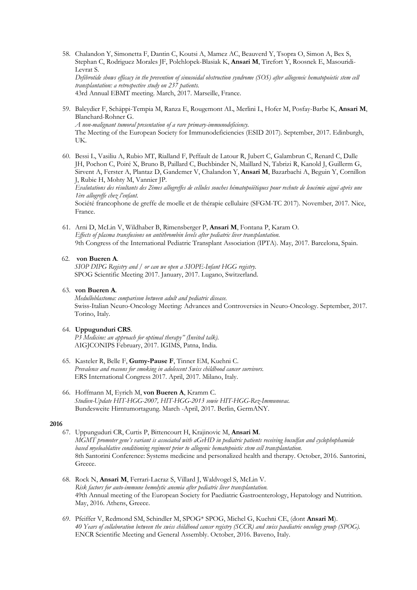58. Chalandon Y, Simonetta F, Dantin C, Koutsi A, Mamez AC, Beauverd Y, Tsopra O, Simon A, Bex S, Stephan C, Rodriguez Morales JF, Polchlopek-Blasiak K, **Ansari M**, Tirefort Y, Roosnek E, Masouridi-Levrat S. *Defibrotide shows efficacy in the prevention of sinusoidal obstruction syndrome (SOS) after allogeneic hematopoietic stem cell* 

*transplantation: a retrospective study on 237 patients.* 43rd Annual EBMT meeting. March, 2017. Marseille, France.

- 59. Baleydier F, Schäppi-Tempia M, Ranza E, Rougemont AL, Merlini L, Hofer M, Posfay-Barbe K, **Ansari M**, Blanchard-Rohner G. *A non-malignant tumoral presentation of a rare primary-immunodeficiency.* The Meeting of the European Society for Immunodeficiencies (ESID 2017). September, 2017. Edinburgh, UK.
- 60. Bessi L, Vasiliu A, Rubio MT, Rialland F, Peffault de Latour R, Jubert C, Galambrun C, Renard C, Dalle JH, Pochon C, Poiré X, Bruno B, Paillard C, Buchbinder N, Maillard N, Tabrizi R, Kanold J, Guillerm G, Sirvent A, Ferster A, Plantaz D, Gandemer V, Chalandon Y, **Ansari M**, Bazarbachi A, Beguin Y, Cornillon J, Rubie H, Mohty M, Vannier JP. *Evalutations des résultants des 2èmes allogreffes de cellules souches hématopoïétiques pour rechute de leucémie aiguë après une 1ère allogreffe chez l'enfant.* Société francophone de greffe de moelle et de thérapie cellulaire (SFGM-TC 2017). November, 2017. Nice,

61. Arni D, McLin V, Wildhaber B, Rimensberger P, **Ansari M**, Fontana P, Karam O. *Effects of plasma transfusions on antithrombin levels after pediatric liver transplantation.*

9th Congress of the International Pediatric Transplant Association (IPTA). May, 2017. Barcelona, Spain.

# 62. **von Bueren A**.

France.

*SIOP DIPG Registry and / or can we open a SIOPE-Infant HGG registry.* SPOG Scientific Meeting 2017. January, 2017. Lugano, Switzerland.

### 63. **von Bueren A**.

*Medulloblastoma: comparison between adult and pediatric disease.* Swiss-Italian Neuro-Oncology Meeting: Advances and Controversies in Neuro-Oncology. September, 2017. Torino, Italy.

#### 64. **Uppugunduri CRS**.

*P3 Medicine: an approach for optimal therapy" (Invited talk).* AIGJCONIPS February, 2017. IGIMS, Patna, India.

- 65. Kasteler R, Belle F, **Gumy-Pause F**, Tinner EM, Kuehni C. *Prevalence and reasons for smoking in adolescent Swiss childhood cancer survivors.* ERS International Congress 2017. April, 2017. Milano, Italy.
- 66. Hoffmann M, Eyrich M, **von Bueren A**, Kramm C. *Studien-Update HIT-HGG-2007, HIT-HGG-2013 sowie HIT-HGG-Rez-Immunovac.* Bundesweite Hirntumortagung. March -April, 2017. Berlin, GermANY.

- 67. Uppunguduri CR, Curtis P, Bittencourt H, Krajinovic M, **Ansari M**. *MGMT promoter gene's variant is associated with aGvHD in pediatric patients receiving busulfan and cyclophophamide based myeloablative conditioning regiment prior to allogenic hematopoietic stem cell transplantation.* 8th Santorini Conference: Systems medicine and personalized health and therapy. October, 2016. Santorini, Greece.
- 68. Rock N, **Ansari M**, Ferrari-Lacraz S, Villard J, Waldvogel S, McLin V. *Risk factors for auto-immune hemolytic anemia after pediatric liver transplantation.* 49th Annual meeting of the European Society for Paediatric Gastroenterology, Hepatology and Nutrition. May, 2016. Athens, Greece.
- 69. Pfeiffer V, Redmond SM, Schindler M, SPOG\* SPOG, Michel G, Kuehni CE, (dont **Ansari M**). *40 Years of collaboration between the swiss childhood cancer registry (SCCR) and swiss paediatric oncology group (SPOG).* ENCR Scientific Meeting and General Assembly. October, 2016. Baveno, Italy.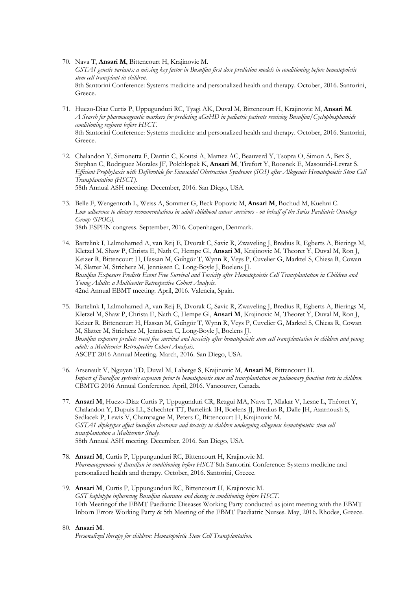- 70. Nava T, **Ansari M**, Bittencourt H, Krajinovic M. *GSTA1 genetic variants: a missing key factor in Busulfan first dose prediction models in conditioning before hematopoietic stem cell transplant in children.* 8th Santorini Conference: Systems medicine and personalized health and therapy. October, 2016. Santorini, Greece.
- 71. Huezo-Diaz Curtis P, Uppugunduri RC, Tyagi AK, Duval M, Bittencourt H, Krajinovic M, **Ansari M**. *A Search for pharmacogenetic markers for predicting aGvHD in pediatric patients receiving Busulfan/Cyclophosphamide conditioning regimen before HSCT.* 8th Santorini Conference: Systems medicine and personalized health and therapy. October, 2016. Santorini, Greece.
- 72. Chalandon Y, Simonetta F, Dantin C, Koutsi A, Mamez AC, Beauverd Y, Tsopra O, Simon A, Bex S, Stephan C, Rodriguez Morales JF, Polchlopek K, **Ansari M**, Tirefort Y, Roosnek E, Masouridi-Levrat S. *Efficient Prophylaxis with Defibrotide for Sinusoidal Obstruction Syndrome (SOS) after Allogeneic Hematopoietic Stem Cell Transplantation (HSCT).* 58th Annual ASH meeting. December, 2016. San Diego, USA.
- 73. Belle F, Wengenroth L, Weiss A, Sommer G, Beck Popovic M, **Ansari M**, Bochud M, Kuehni C. *Low adherence to dietary recommendations in adult childhood cancer survivors - on behalf of the Swiss Paediatric Oncology Group (SPOG).* 38th ESPEN congress. September, 2016. Copenhagen, Denmark.
- 74. Bartelink I, Lalmohamed A, van Reij E, Dvorak C, Savic R, Zwaveling J, Bredius R, Egberts A, Bierings M, Kletzel M, Shaw P, Christa E, Nath C, Hempe Gl, **Ansari M**, Krajinovic M, Theoret Y, Duval M, Ron J, Keizer R, Bittencourt H, Hassan M, Güngör T, Wynn R, Veys P, Cuvelier G, Marktel S, Chiesa R, Cowan M, Slatter M, Stricherz M, Jennissen C, Long-Boyle J, Boelens JJ. *Busulfan Exposure Predicts Event Free Survival and Toxicity after Hematopoietic Cell Transplantation in Children and Young Adults: a Multicenter Retrospective Cohort Analysis.* 42nd Annual EBMT meeting. April, 2016. Valencia, Spain.
- 75. Bartelink I, Lalmohamed A, van Reij E, Dvorak C, Savic R, Zwaveling J, Bredius R, Egberts A, Bierings M, Kletzel M, Shaw P, Christa E, Nath C, Hempe Gl, **Ansari M**, Krajinovic M, Theoret Y, Duval M, Ron J, Keizer R, Bittencourt H, Hassan M, Güngör T, Wynn R, Veys P, Cuvelier G, Marktel S, Chiesa R, Cowan M, Slatter M, Stricherz M, Jennissen C, Long-Boyle J, Boelens JJ. *Busulfan exposure predicts event free survival and toxcicity after hematopoietic stem cell transplantation in children and young adult: a Multicenter Retrospective Cohort Analysis.* ASCPT 2016 Annual Meeting. March, 2016. San Diego, USA.
- 76. Arsenault V, Nguyen TD, Duval M, Laberge S, Krajinovic M, **Ansari M**, Bittencourt H. *Impact of Busulfan systemic exposure prior to hematopoietic stem cell transplantation on pulmonary function tests in children.* CBMTG 2016 Annual Conference. April, 2016. Vancouver, Canada.
- 77. **Ansari M**, Huezo-Diaz Curtis P, Uppugunduri CR, Rezgui MA, Nava T, Mlakar V, Lesne L, Théoret Y, Chalandon Y, Dupuis LL, Schechter TT, Bartelink IH, Boelens JJ, Bredius R, Dalle JH, Azarnoush S, Sedlacek P, Lewis V, Champagne M, Peters C, Bittencourt H, Krajinovic M. *GSTA1 diplotypes affect busulfan clearance and toxicity in children undergoing allogeneic hematopoietic stem cell transplantation a Multicenter Study.* 58th Annual ASH meeting. December, 2016. San Diego, USA.
- 78. **Ansari M**, Curtis P, Uppungunduri RC, Bittencourt H, Krajinovic M. *Pharmacogenomic of Busulfan in conditioning before HSCT* 8th Santorini Conference: Systems medicine and personalized health and therapy. October, 2016. Santorini, Greece.
- 79. **Ansari M**, Curtis P, Uppungunduri RC, Bittencourt H, Krajinovic M. *GST haplotype influencing Busulfan clearance and dosing in conditioning before HSCT.* 10th Meetingof the EBMT Paediatric Diseases Working Party conducted as joint meeting with the EBMT Inborn Errors Working Party & 5th Meeting of the EBMT Paediatric Nurses. May, 2016. Rhodes, Greece.

#### 80. **Ansari M**.

*Personalized therapy for children: Hematopoietic Stem Cell Transplantation.*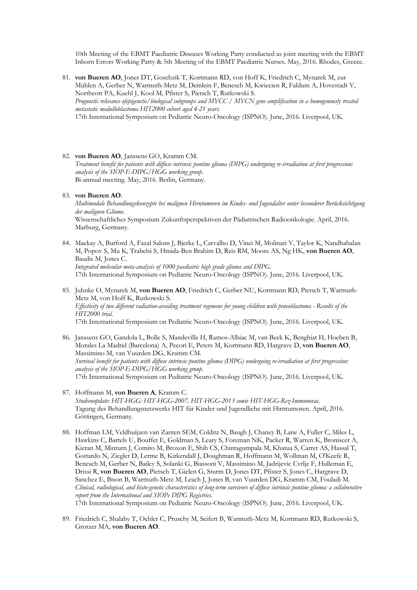10th Meeting of the EBMT Paediatric Diseases Working Party conducted as joint meeting with the EBMT Inborn Errors Working Party & 5th Meeting of the EBMT Paediatric Nurses. May, 2016. Rhodes, Greece.

- 81. **von Bueren AO**, Jones DT, Goschzik T, Kortmann RD, von Hoff K, Friedrich C, Mynarek M, zur Mühlen A, Gerber N, Warmuth-Metz M, Deinlein F, Benesch M, Kwiecien R, Faldum A, Hovestadt V, Northcott PA, Kuehl J, Kool M, Pfister S, Pietsch T, Rutkowski S. *Prognostic relevance ofepigenetic/biological subgroups and MYCC / MYCN gene amplification in a homogenously treated metastatic medulloblastoma HIT2000 cohort aged 4-21 years.* 17th International Symposium on Pediatric Neuro-Oncology (ISPNO). June, 2016. Liverpool, UK.
- 82. **von Bueren AO**, Janssens GO, Kramm CM.

*Treatment benefit for patients with diffuse intrinsic pontine glioma (DIPG) undergoing re-irradiation at first progression: analysis of the SIOP-E-DIPG/HGG working group.* Bi-annual meeting. May, 2016. Berlin, Germany.

83. **von Bueren AO**.

*Multimodale Behandlungskonzepte bei malignen Hirntumoren im Kindes- und Jugendalter unter besonderer Berücksichtigung der malignen Gliome.* Wissenschaftliches Symposium Zukunftsperspektiven der Pädiatrischen Radioonkologie. April, 2016. Marburg, Germany.

- 84. Mackay A, Burford A, Fazal Salom J, Bjerke L, Carvalho D, Vinci M, Molinari V, Taylor K, Nandhabalan M, Popov S, Mu K, Trabelsi S, Hmida-Ben Brahim D, Reis RM, Moore AS, Ng HK, **von Bueren AO**, Baudis M, Jones C. *Integrated molecular meta-analysis of 1000 paediatric high grade glioma and DIPG.* 17th International Symposium on Pediatric Neuro-Oncology (ISPNO). June, 2016. Liverpool, UK.
- 85. Juhnke O, Mynarek M, **von Bueren AO**, Friedrich C, Gerber NU, Kortmann RD, Pietsch T, Warmuth-Metz M, von Hoff K, Rutkowski S. *Effectivity of two different radiation-avoiding treatment regimens for young children with pineoblastoma - Results of the HIT2000 trial.* 17th International Symposium on Pediatric Neuro-Oncology (ISPNO). June, 2016. Liverpool, UK.
- 86. Janssens GO, Gandola L, Bolle S, Mandeville H, Ramos-Albiac M, van Beek K, Benghiat H, Hoeben B, Morales La Madrid (Barcelona) A, Pecori E, Peters M, Kortmann RD, Hargrave D, **von Bueren AO**, Massimino M, van Vuurden DG, Kramm CM. *Survival benefit for patients with diffuse intrinsic pontine glioma (DIPG) undergoing re-irradiation at first progression: analysis of the SIOP-E-DIPG/HGG working group.* 17th International Symposium on Pediatric Neuro-Oncology (ISPNO). June, 2016. Liverpool, UK.
- 87. Hoffmann M, **von Bueren A**, Kramm C. *Studienupdate: HIT-HGG: HIT-HGG-2007, HIT-HGG-2013 sowie HIT-HGG-Rez-Immunovac.* Tagung des Behandlungsnetzwerks HIT für Kinder und Jugendliche mit Hirntumoren. April, 2016. Göttingen, Germany.
- 88. Hoffman LM, Veldhuijzen van Zanten SEM, Colditz N, Baugh J, Chaney B, Lane A, Fuller C, Miles L, Hawkins C, Bartels U, Bouffet E, Goldman S, Leary S, Foreman NK, Packer R, Warren K, Broniscer A, Kieran M, Minturn J, Comito M, Broxon E, Shih CS, Chintagumpala M, Khatua S, Carret AS, Hassal T, Gottardo N, Ziegler D, Lerme B, Kirkendall J, Doughman R, Hoffmann M, Wollman M, O'Keefe R, Benesch M, Gerber N, Bailey S, Solanki G, Biassoni V, Massimino M, Jadrijevic Cvrlje F, Hulleman E, Drissi R, **von Bueren AO**, Pietsch T, Gielen G, Sturm D, Jones DT, Pfister S, Jones C, Hargrave D, Sanchez E, Bison B, Warmuth-Metz M, Leach J, Jones B, van Vuurden DG, Kramm CM, Fouladi M. *Clinical, radiological, and histo-genetic characteristics of long-term survivors of diffuse intrinsic pontine glioma: a collaborative report from the International and SIOPe DIPG Registries.*

17th International Symposium on Pediatric Neuro-Oncology (ISPNO). June, 2016. Liverpool, UK.

89. Friedrich C, Shalaby T, Oehler C, Pruschy M, Seifert B, Warmuth-Metz M, Kortmann RD, Rutkowski S, Grotzer MA, **von Bueren AO**.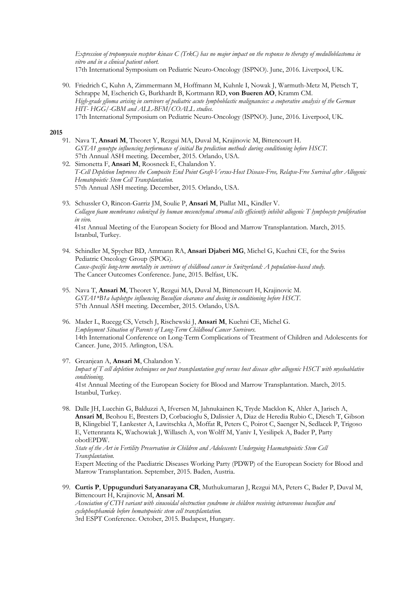*Expression of tropomyosin receptor kinase C (TrkC) has no major impact on the response to therapy of medulloblastoma in vitro and in a clinical patient cohort.* 17th International Symposium on Pediatric Neuro-Oncology (ISPNO). June, 2016. Liverpool, UK.

90. Friedrich C, Kuhn A, Zimmermann M, Hoffmann M, Kuhnle I, Nowak J, Warmuth-Metz M, Pietsch T, Schrappe M, Escherich G, Burkhardt B, Kortmann RD, **von Bueren AO**, Kramm CM. *High-grade glioma arising in survivors of pediatric acute lymphoblastic malignancies: a cooperative analysis of the German HIT- HGG/-GBM and ALL-BFM/COALL studies.* 17th International Symposium on Pediatric Neuro-Oncology (ISPNO). June, 2016. Liverpool, UK.

### **2015**

- 91. Nava T, **Ansari M**, Theoret Y, Rezgui MA, Duval M, Krajinovic M, Bittencourt H. *GSTA1 genotype influencing performance of initial Bu prediction methods during conditioning before HSCT.* 57th Annual ASH meeting. December, 2015. Orlando, USA.
- 92. Simonetta F, **Ansari M**, Roosneck E, Chalandon Y. *T-Cell Depletion Improves the Composite End Point Graft-Versus-Host Disease-Free, Relapse-Free Survival after Allogenic Hematopoietic Stem Cell Transplantation.* 57th Annual ASH meeting. December, 2015. Orlando, USA.
- 93. Schussler O, Rincon-Garriz JM, Soulie P, **Ansari M**, Piallat ML, Kindler V. *Collagen foam membranes colonized by human mesenchymal stromal cells efficiently inhibit allogenic T lymphocyte proliferation in vivo.* 41st Annual Meeting of the European Society for Blood and Marrow Transplantation. March, 2015. Istanbul, Turkey.
- 94. Schindler M, Spycher BD, Ammann RA, **Ansari Djaberi MG**, Michel G, Kuehni CE, for the Swiss Pediatric Oncology Group (SPOG). *Cause-specific long-term mortality in survivors of childhood cancer in Switzerland: A population-based study.* The Cancer Outcomes Conference. June, 2015. Belfast, UK.
- 95. Nava T, **Ansari M**, Theoret Y, Rezgui MA, Duval M, Bittencourt H, Krajinovic M. *GSTA1\*B1a haplotype influencing Busulfan clearance and dosing in conditioning before HSCT.* 57th Annual ASH meeting. December, 2015. Orlando, USA.
- 96. Mader L, Rueegg CS, Vetsch J, Rischewski J, **Ansari M**, Kuehni CE, Michel G. *Employment Situation of Parents of Long-Term Childhood Cancer Survivors.* 14th International Conference on Long-Term Complications of Treatment of Children and Adolescents for Cancer. June, 2015. Arlington, USA.
- 97. Greanjean A, **Ansari M**, Chalandon Y. *Impact of T cell depletion techniques on post transplantation graf versus host disease after allogenic HSCT with myeloablative conditioning.* 41st Annual Meeting of the European Society for Blood and Marrow Transplantation. March, 2015. Istanbul, Turkey.
- 98. Dalle JH, Lucchin G, Balduzzi A, Ifversen M, Jahnukainen K, Tryde Macklon K, Ahler A, Jarisch A, **Ansari M**, Beohou E, Bresters D, Corbacioglu S, Dalissier A, Diaz de Heredia Rubio C, Diesch T, Gibson B, Klingebiel T, Lankester A, Lawitschka A, Moffat R, Peters C, Poirot C, Saenger N, Sedlacek P, Trigoso E, Vettenranta K, Wachowiak J, Willasch A, von Wolff M, Yaniv I, Yesilipek A, Bader P, Party obotEPDW. *State of the Art in Fertility Preservation in Children and Adolescents Undergoing Haematopoietic Stem Cell*

*Transplantation.* Expert Meeting of the Paediatric Diseases Working Party (PDWP) of the European Society for Blood and

Marrow Transplantation. September, 2015. Baden, Austria.

99. **Curtis P**, **Uppugunduri Satyanarayana CR**, Muthukumaran J, Rezgui MA, Peters C, Bader P, Duval M, Bittencourt H, Krajinovic M, **Ansari M**.

*Association of CTH variant with sinusoidal obstruction syndrome in children receiving intravenous busulfan and cyclophosphamide before hematopoietic stem cell transplantation.* 3rd ESPT Conference. October, 2015. Budapest, Hungary.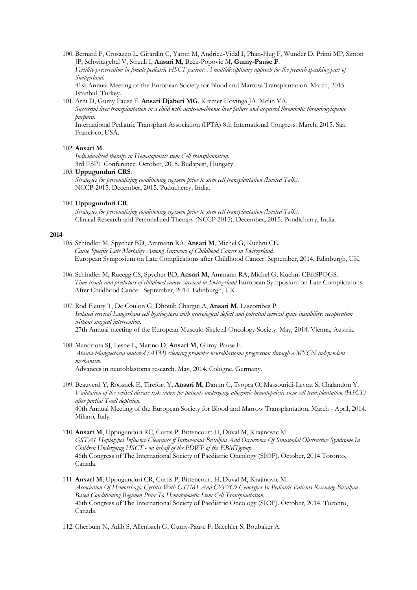100. Bernard F, Crosazzo L, Girardin C, Yaron M, Andrieu-Vidal I, Phan-Hug F, Wunder D, Primi MP, Simon JP, Schwitzgebel V, Streuli I, **Ansari M**, Beck-Popovic M, **Gumy-Pause F**. *Fertility preservation in female pediatric HSCT patient: A multidisciplinary approch for the freanch speaking part of Switzerland.*

41st Annual Meeting of the European Society for Blood and Marrow Transplantation. March, 2015. Istanbul, Turkey.

101. Arni D, Gumy Pause F, **Ansari Djaberi MG**, Kremer Hovinga JA, Mclin VA.

*Successful liver transplantation in a child with acute-on-chronic liver failure and acquired thrombotic thrombocytopenic purpura.*

International Pediatric Transplant Association (IPTA) 8th International Congress. March, 2015. San Francisco, USA.

#### 102. **Ansari M**.

*Individualised therapy in Hematopoietic stem Cell transplantation.* 3rd ESPT Conference. October, 2015. Budapest, Hungary.

#### 103. **Uppugunduri CRS**.

*Strategies for personalizing conditioning regimen prior to stem cell transplantation (Invited Talk).* NCCP-2015. December, 2015. Puducherry, India.

#### 104. **Uppugunduri CR**.

*Strategies for personalizing conditioning regimen prior to stem cell transplantation (Invited Talk).* Clinical Research and Personalized Therapy (NCCP 2015). December, 2015. Pondicherry, India.

- 105. Schindler M, Spycher BD, Ammann RA, **Ansari M**, Michel G, Kuehni CE. *Cause Specific Late Mortality Among Survivors of Childhood Cancer in Switzerland.* European Symposium on Late Complications after Childhood Cancer. September, 2014. Edinburgh, UK.
- 106. Schindler M, Rueegg CS, Spycher BD, **Ansari M**, Ammann RA, Michel G, Kuehni CEftSPOGS. *Time-trends and predictors of childhood cancer survival in Switzerland* European Symposium on Late Complications After Childhood Cancer. September, 2014. Edinburgh, UK.
- 107. Rod Fleury T, De Coulon G, Dhouib Chargui A, **Ansari M**, Lascombes P. *Isolated cervical Langerhans cell hystiocytosis with neurological deficit and potential cervical spine instability: recuperation without surgical intervention.* 27th Annual meeting of the European Musculo-Skeletal Oncology Society. May, 2014. Vienna, Austria.
- 108. Mandriota SJ, Lesne L, Marino D, **Ansari M**, Gumy-Pause F. *Ataxia-telangiectasia mutated (ATM) silencing promotes neuroblastoma progression through a MYCN independent mechanism.* Advances in neuroblastoma research. May, 2014. Cologne, Germany.
- 109. Beauverd Y, Roosnek E, Tirefort Y, **Ansari M**, Dantin C, Tsopra O, Massouridi-Levrat S, Chalandon Y. *Validation of the revised disease risk index for patients undergoing allogeneic hematopoietic stem cell transplantation (HSCT) after partial T-cell depletion.* 40th Annual Meeting of the European Society for Blood and Marrow Transplantation. March - April, 2014. Milano, Italy.
- 110. **Ansari M**, Uppugunduri RC, Curtis P, Bittencourt H, Duval M, Krajinovic M. *GSTA1 Haplotypes Influence Clearance ff Intravenous Busulfan And Occurrence Of Sinusoidal Obstructive Syndrome In Children Undergoing HSCT - on behalf of the PDWP of the EBMTgroup.* 46th Congress of The International Society of Paediatric Oncology (SIOP). October, 2014 Toronto, Canada.
- 111. **Ansari M**, Uppugunduri CR, Curtis P, Bittencourt H, Duval M, Krajinovic M. *Association Of Hemorrhagic Cystitis With GSTM1 And CYP2C9 Genotypes In Pediatric Patients Receiving Busulfan Based Conditioning Regimen Prior To Hematopoietic Stem Cell Transplantation.* 46th Congress of The International Society of Paediatric Oncology (SIOP). October, 2014. Toronto, Canada.
- 112. Cherbuin N, Adib S, Allenbach G, Gumy-Pause F, Baechler S, Boubaker A.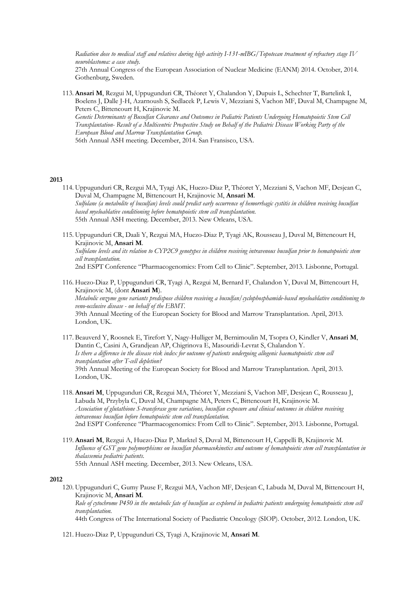*Radiation dose to medical staff and relatives during high activity I-131-mIBG/Topotecan treatment of refractory stage IV neuroblastoma: a case study.* 27th Annual Congress of the European Association of Nuclear Medicine (EANM) 2014. October, 2014. Gothenburg, Sweden.

113. **Ansari M**, Rezgui M, Uppugunduri CR, Théoret Y, Chalandon Y, Dupuis L, Schechter T, Bartelink I, Boelens J, Dalle J-H, Azarnoush S, Sedlacek P, Lewis V, Mezziani S, Vachon MF, Duval M, Champagne M, Peters C, Bittencourt H, Krajinovic M. *Genetic Determinants of Busulfan Clearance and Outcomes in Pediatric Patients Undergoing Hematopoietic Stem Cell Transplantation- Result of a Multicentric Prospective Study on Behalf of the Pediatric Disease Working Party of the European Blood and Marrow Transplantation Group.* 56th Annual ASH meeting. December, 2014. San Fransisco, USA.

#### **2013**

- 114. Uppugunduri CR, Rezgui MA, Tyagi AK, Huezo-Diaz P, Théoret Y, Mezziani S, Vachon MF, Desjean C, Duval M, Champagne M, Bittencourt H, Krajinovic M, **Ansari M**. *Sulfolane (a metabolite of busulfan) levels could predict early occurrence of hemorrhagic cystitis in children receiving busulfan based myeloablative conditioning before hematopoietic stem cell transplantation.* 55th Annual ASH meeting. December, 2013. New Orleans, USA.
- 115. Uppugunduri CR, Daali Y, Rezgui MA, Huezo-Diaz P, Tyagi AK, Rousseau J, Duval M, Bittencourt H, Krajinovic M, **Ansari M**. *Sulfolane levels and its relation to CYP2C9 genotypes in children receiving intravenous busulfan prior to hematopoietic stem cell transplantation.* 2nd ESPT Conference "Pharmacogenomics: From Cell to Clinic". September, 2013. Lisbonne, Portugal.
- 116. Huezo-Diaz P, Uppugunduri CR, Tyagi A, Rezgui M, Bernard F, Chalandon Y, Duval M, Bittencourt H, Krajinovic M, (dont **Ansari M**). *Metabolic enzyme gene variants predispose children receiving a busulfan/cyclophosphamide-based myeloablative conditioning to veno-occlusive disease - on behalf of the EBMT.* 39th Annual Meeting of the European Society for Blood and Marrow Transplantation. April, 2013. London, UK.
- 117. Beauverd Y, Roosnek E, Tirefort Y, Nagy-Hulliger M, Bernimoulin M, Tsopra O, Kindler V, **Ansari M**, Dantin C, Casini A, Grandjean AP, Chigrinova E, Masouridi-Levrat S, Chalandon Y. *Is there a difference in the disease risk index for outcome of patients undergoing allogenic haematopoietic stem cell transplantation after T-cell depletion?* 39th Annual Meeting of the European Society for Blood and Marrow Transplantation. April, 2013. London, UK.
- 118. **Ansari M**, Uppugunduri CR, Rezgui MA, Théoret Y, Mezziani S, Vachon MF, Desjean C, Rousseau J, Labuda M, Przybyla C, Duval M, Champagne MA, Peters C, Bittencourt H, Krajinovic M. *Association of glutathione S-transferase gene variations, busulfan exposure and clinical outcomes in children receiving intravenous busulfan before hematopoietic stem cell transplantation.* 2nd ESPT Conference "Pharmacogenomics: From Cell to Clinic". September, 2013. Lisbonne, Portugal.
- 119. **Ansari M**, Rezgui A, Huezo-Diaz P, Marktel S, Duval M, Bittencourt H, Cappelli B, Krajinovic M. *Influence of GST gene polymorphisms on busulfan pharmacokinetics and outcome of hematopoietic stem cell transplantation in thalassemia pediatric patients.* 55th Annual ASH meeting. December, 2013. New Orleans, USA.

#### **2012**

120. Uppugunduri C, Gumy Pause F, Rezgui MA, Vachon MF, Desjean C, Labuda M, Duval M, Bittencourt H, Krajinovic M, **Ansari M**. *Role of cytochrome P450 in the metabolic fate of busulfan as explored in pediatric patients undergoing hematopoietic stem cell transplantation.* 44th Congress of The International Society of Paediatric Oncology (SIOP). October, 2012. London, UK.

121. Huezo-Diaz P, Uppugunduri CS, Tyagi A, Krajinovic M, **Ansari M**.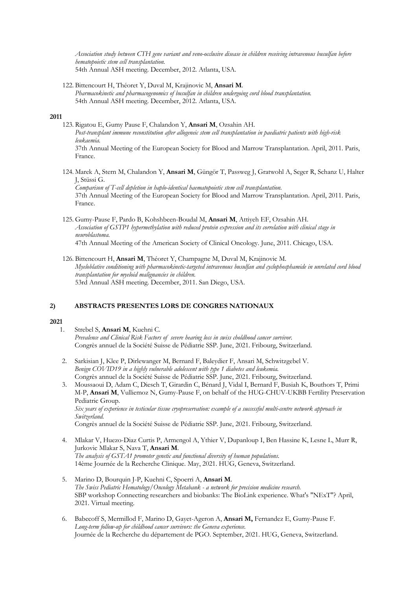*Association study between CTH gene variant and veno-occlusive disease in children receiving intravenous busulfan before hematopoietic stem cell transplantation.* 54th Annual ASH meeting. December, 2012. Atlanta, USA.

122. Bittencourt H, Théoret Y, Duval M, Krajinovic M, **Ansari M**. *Pharmacokinetic and pharmacogenomics of busulfan in children undergoing cord blood transplantation.* 54th Annual ASH meeting. December, 2012. Atlanta, USA.

### **2011**

France.

- 123. Rigatou E, Gumy Pause F, Chalandon Y, **Ansari M**, Ozsahin AH. *Post-transplant immune reconstitution after allogeneic stem cell transplantation in paediatric patients with high-risk leukaemia.* 37th Annual Meeting of the European Society for Blood and Marrow Transplantation. April, 2011. Paris,
- 124. Marek A, Stern M, Chalandon Y, **Ansari M**, Güngör T, Passweg J, Gratwohl A, Seger R, Schanz U, Halter J, Stüssi G. *Comparison of T-cell depletion in haplo-identical haematopoietic stem cell transplantation.* 37th Annual Meeting of the European Society for Blood and Marrow Transplantation. April, 2011. Paris, France.
- 125. Gumy-Pause F, Pardo B, Kohshbeen-Boudal M, **Ansari M**, Attiyeh EF, Ozsahin AH. *Association of GSTP1 hypermethylation with reduced protein expression and its correlation with clinical stage in neuroblastoma.* 47th Annual Meeting of the American Society of Clinical Oncology. June, 2011. Chicago, USA.
- 126. Bittencourt H, **Ansari M**, Théoret Y, Champagne M, Duval M, Krajinovic M. *Myeloblative conditioning with pharmacokinetic-targeted intravenous busulfan and cyclophosphamide in unrelated cord blood transplantation for myeloid malignancies in children.* 53rd Annual ASH meeting. December, 2011. San Diego, USA.

# **2) ABSTRACTS PRESENTES LORS DE CONGRES NATIONAUX**

### **2021**

1. Strebel S, **Ansari M**, Kuehni C. *Prevalence and Clinical Risk Factors of severe hearing loss in swiss choldhood cancer survivor.* Congrès annuel de la Société Suisse de Pédiatrie SSP. June, 2021. Fribourg, Switzerland.

2. Sarkisian J, Klee P, Dirlewanger M, Bernard F, Baleydier F, Ansari M, Schwitzgebel V. *Benign COVID19 in a highly vulnerable adolescent with type 1 diabetes and leukemia.* Congrès annuel de la Société Suisse de Pédiatrie SSP. June, 2021. Fribourg, Switzerland.

3. Moussaoui D, Adam C, Diesch T, Girardin C, Bénard J, Vidal I, Bernard F, Busiah K, Bouthors T, Primi M-P, **Ansari M**, Vulliemoz N, Gumy-Pause F, on behalf of the HUG-CHUV-UKBB Fertility Preservation Pediatric Group. *Six years of experience in testicular tissue cryopreservation: example of a successful multi-centre network approach in Switzerland.*

Congrès annuel de la Société Suisse de Pédiatrie SSP. June, 2021. Fribourg, Switzerland.

- 4. Mlakar V, Huezo-Diaz Curtis P, Armengol A, Ythier V, Dupanloup I, Ben Hassine K, Lesne L, Murr R, Jurkovic Mlakar S, Nava T, **Ansari M**. *The analysis of GSTA1 promoter genetic and functional diversity of human populations.* 14ème Journée de la Recherche Clinique. May, 2021. HUG, Geneva, Switzerland.
- 5. Marino D, Bourquin J-P, Kuehni C, Spoerri A, **Ansari M**. *The Swiss Pediatric Hematology/Oncology Metabank - a network for precision medicine research.* SBP workshop Connecting researchers and biobanks: The BioLink experience. What's "NExT"? April, 2021. Virtual meeting.
- 6. Babecoff S, Mermillod F, Marino D, Gayet-Ageron A, **Ansari M,** Fernandez E, Gumy-Pause F. *Long-term follow-up for childhood cancer survivors: the Geneva experience.* Journée de la Recherche du département de PGO. September, 2021. HUG, Geneva, Switzerland.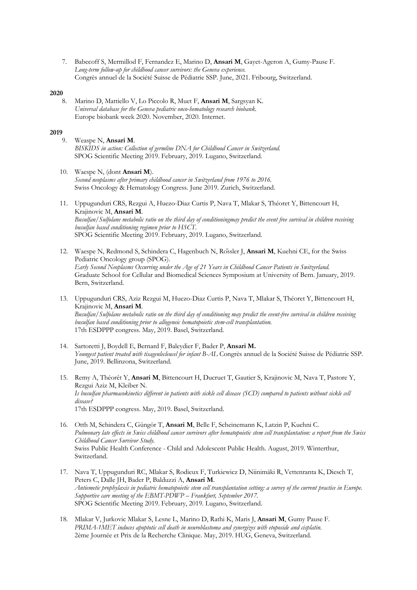7. Babecoff S, Mermillod F, Fernandez E, Marino D, **Ansari M**, Gayet-Ageron A, Gumy-Pause F. *Long-term follow-up for childhood cancer survivors: the Geneva experience.* Congrès annuel de la Société Suisse de Pédiatrie SSP. June, 2021. Fribourg, Switzerland.

### **2020**

8. Marino D, Mattiello V, Lo Piccolo R, Muet F, **Ansari M**, Sargsyan K. *Universal database for the Geneva pediatric onco-hematology research biobank.* Europe biobank week 2020. November, 2020. Internet.

- 9. Weaspe N, **Ansari M**. *BISKIDS in action: Collection of germline DNA for Childhood Cancer in Switzerland.* SPOG Scientific Meeting 2019. February, 2019. Lugano, Switzerland.
- 10. Waespe N, (dont **Ansari M**). *Second neoplasms after primary childhood cancer in Switzerland from 1976 to 2016.* Swiss Oncology & Hematology Congress. June 2019. Zurich, Switzerland.
- 11. Uppugunduri CRS, Rezgui A, Huezo-Diaz Curtis P, Nava T, Mlakar S, Théoret Y, Bittencourt H, Krajinovic M, **Ansari M**. *Busulfan/Sulfolane metabolic ratio on the third day of conditioningmay predict the event free survival in children receiving busulfan based conditioning regimen prior to HSCT.* SPOG Scientific Meeting 2019. February, 2019. Lugano, Switzerland.
- 12. Waespe N, Redmond S, Schindera C, Hagenbuch N, Rössler J, **Ansari M**, Kuehni CE, for the Swiss Pediatric Oncology group (SPOG). *Early Second Neoplasms Occurring under the Age of 21 Years in Childhood Cancer Patients in Switzerland.* Graduate School for Cellular and Biomedical Sciences Symposium at University of Bern. January, 2019. Bern, Switzerland.
- 13. Uppugunduri CRS, Aziz Rezgui M, Huezo-Diaz Curtis P, Nava T, Mlakar S, Théoret Y, Bittencourt H, Krajinovic M, **Ansari M**. *Busulfan/Sulfolane metabolic ratio on the third day of conditioning may predict the event-free survival in children receiving busulfan based conditioning prior to allogeneic hematopoietic stem-cell transplantation.* 17th ESDPPP congress. May, 2019. Basel, Switzerland.
- 14. Sartoretti J, Boydell E, Bernard F, Baleydier F, Bader P, **Ansari M.** *Youngest patient treated with tisagenlecleucel for infant B-AL* Congrès annuel de la Société Suisse de Pédiatrie SSP. June, 2019. Bellinzona, Switzerland.
- 15. Remy A, Théorêt Y, **Ansari M**, Bittencourt H, Ducruet T, Gautier S, Krajinovic M, Nava T, Pastore Y, Rezgui Aziz M, Kleiber N. *Is busulfan pharmacokinetics different in patients with sickle cell disease (SCD) compared to patients without sickle cell disease?* 17th ESDPPP congress. May, 2019. Basel, Switzerland.
- 16. Otth M, Schindera C, Güngör T, **Ansari M**, Belle F, Scheinemann K, Latzin P, Kuehni C. *Pulmonary late effects in Swiss childhood cancer survivors after hematopoietic stem cell transplantation: a report from the Swiss Childhood Cancer Survivor Study.* Swiss Public Health Conference - Child and Adolescent Public Health. August, 2019. Winterthur, Switzerland.
- 17. Nava T, Uppugunduri RC, Mlakar S, Rodieux F, Turkiewicz D, Niinimäki R, Vettenranta K, Diesch T, Peters C, Dalle JH, Bader P, Balduzzi A, **Ansari M**. *Antiemetic prophylaxis in pediatric hematopoietic stem cell transplantation setting: a survey of the current practice in Europe. Supportive care meeting of the EBMT-PDWP – Frankfurt, September 2017.* SPOG Scientific Meeting 2019. February, 2019. Lugano, Switzerland.
- 18. Mlakar V, Jurkovic Mlakar S, Lesne L, Marino D, Rathi K, Maris J, **Ansari M**, Gumy Pause F. *PRIMA-1MET induces apoptotic cell death in neuroblastoma and synergizes with etoposide and cisplatin.* 2ème Journée et Prix de la Recherche Clinique. May, 2019. HUG, Geneva, Switzerland.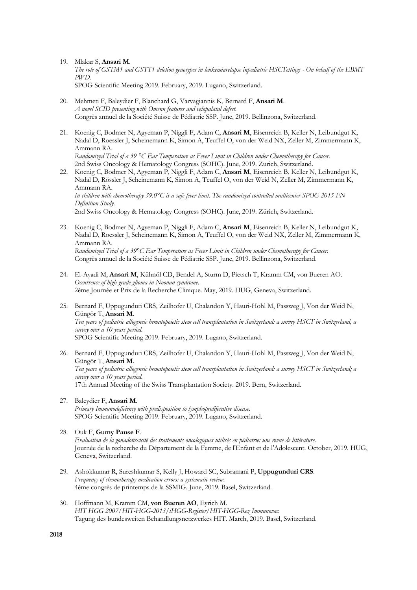- 19. Mlakar S, **Ansari M**. *The role of GSTM1 and GSTT1 deletion genotypes in leukemiarelapse inpediatric HSCTettings - On behalf of the EBMT PWD.* SPOG Scientific Meeting 2019. February, 2019. Lugano, Switzerland.
- 20. Mehmeti F, Baleydier F, Blanchard G, Varvagiannis K, Bernard F, **Ansari M**. *A novel SCID presenting with Omenn features and velopalatal defect.* Congrès annuel de la Société Suisse de Pédiatrie SSP. June, 2019. Bellinzona, Switzerland.
- 21. Koenig C, Bodmer N, Agyeman P, Niggli F, Adam C, **Ansari M**, Eisenreich B, Keller N, Leibundgut K, Nadal D, Roessler J, Scheinemann K, Simon A, Teuffel O, von der Weid NX, Zeller M, Zimmermann K, Ammann RA. *Randomized Trial of a 39 °C Ear Temperature as Fever Limit in Children under Chemotherapy for Cancer.*
- 2nd Swiss Oncology & Hematology Congress (SOHC). June, 2019. Zurich, Switzerland. 22. Koenig C, Bodmer N, Agyeman P, Niggli F, Adam C, **Ansari M**, Eisenreich B, Keller N, Leibundgut K, Nadal D, Rössler J, Scheinemann K, Simon A, Teuffel O, von der Weid N, Zeller M, Zimmermann K, Ammann RA. *In children with chemotherapy 39.0°C is a safe fever limit. The randomized controlled multicenter SPOG 2015 FN Definition Study.* 2nd Swiss Oncology & Hematology Congress (SOHC). June, 2019. Zürich, Switzerland.
- 23. Koenig C, Bodmer N, Agyeman P, Niggli F, Adam C, **Ansari M**, Eisenreich B, Keller N, Leibundgut K, Nadal D, Roessler J, Scheinemann K, Simon A, Teuffel O, von der Weid NX, Zeller M, Zimmermann K, Ammann RA. *Randomized Trial of a 39°C Ear Temperature as Fever Limit in Children under Chemotherapy for Cancer.* Congrès annuel de la Société Suisse de Pédiatrie SSP. June, 2019. Bellinzona, Switzerland.
- 24. El-Ayadi M, **Ansari M**, Kühnöl CD, Bendel A, Sturm D, Pietsch T, Kramm CM, von Bueren AO. *Occurrence of high-grade glioma in Noonan syndrome.* 2ème Journée et Prix de la Recherche Clinique. May, 2019. HUG, Geneva, Switzerland.
- 25. Bernard F, Uppugunduri CRS, Zeilhofer U, Chalandon Y, Hauri-Hohl M, Passweg J, Von der Weid N, Güngör T, **Ansari M**. *Ten years of pediatric allogeneic hematopoietic stem cell transplantation in Switzerland: a survey HSCT in Switzerland, a survey over a 10 years period.* SPOG Scientific Meeting 2019. February, 2019. Lugano, Switzerland.
- 26. Bernard F, Uppugunduri CRS, Zeilhofer U, Chalandon Y, Hauri-Hohl M, Passweg J, Von der Weid N, Güngör T, **Ansari M**. *Ten years of pediatric allogeneic hematopoietic stem cell transplantation in Switzerland: a survey HSCT in Switzerland; a survey over a 10 years period.* 17th Annual Meeting of the Swiss Transplantation Society. 2019. Bern, Switzerland.
- 27. Baleydier F, **Ansari M**. *Primary Immunodeficiency with predisposition to lymphoproliferative disease.* SPOG Scientific Meeting 2019. February, 2019. Lugano, Switzerland.
- 28. Ouk F, **Gumy Pause F**. *Evaluation de la gonadotoxicité des traitements oncologiques utilisés en pédiatrie: une revue de littérature.* Journée de la recherche du Département de la Femme, de l'Enfant et de l'Adolescent. October, 2019. HUG, Geneva, Switzerland.
- 29. Ashokkumar R, Sureshkumar S, Kelly J, Howard SC, Subramani P, **Uppugunduri CRS**. *Frequency of chemotherapy medication errors: a systematic review.* 4ème congrès de printemps de la SSMIG. June, 2019. Basel, Switzerland.
- 30. Hoffmann M, Kramm CM, **von Bueren AO**, Eyrich M. *HIT HGG 2007/HIT-HGG-2013/iHGG-Register/HIT-HGG-Rez Immunovac.* Tagung des bundesweiten Behandlungsnetzwerkes HIT. March, 2019. Basel, Switzerland.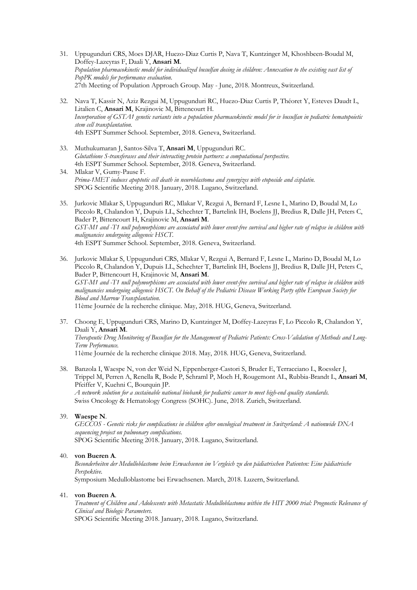- 31. Uppugunduri CRS, Moes DJAR, Huezo-Diaz Curtis P, Nava T, Kuntzinger M, Khoshbeen-Boudal M, Doffey-Lazeyras F, Daali Y, **Ansari M**. *Population pharmacokinetic model for individualized busulfan dosing in children: Annexation to the existing vast list of PopPK models for performance evaluation.* 27th Meeting of Population Approach Group. May - June, 2018. Montreux, Switzerland.
- 32. Nava T, Kassir N, Aziz Rezgui M, Uppugunduri RC, Huezo-Diaz Curtis P, Théoret Y, Esteves Daudt L, Litalien C, **Ansari M**, Krajinovic M, Bittencourt H. *Incorporation of GSTA1 genetic variants into a population pharmacokinetic model for iv busulfan in pediatric hematopoietic stem cell transplantation.* 4th ESPT Summer School. September, 2018. Geneva, Switzerland.
- 33. Muthukumaran J, Santos-Silva T, **Ansari M**, Uppugunduri RC. *Glutathione S-transferases and their interacting protein partners: a computational perspective.* 4th ESPT Summer School. September, 2018. Geneva, Switzerland.
- 34. Mlakar V, Gumy-Pause F. *Prima-1MET induces apoptotic cell death in neuroblastoma and synergizes with etoposide and cisplatin.* SPOG Scientific Meeting 2018. January, 2018. Lugano, Switzerland.
- 35. Jurkovic Mlakar S, Uppugunduri RC, Mlakar V, Rezgui A, Bernard F, Lesne L, Marino D, Boudal M, Lo Piccolo R, Chalandon Y, Dupuis LL, Schechter T, Bartelink IH, Boelens JJ, Bredius R, Dalle JH, Peters C, Bader P, Bittencourt H, Krajinovic M, **Ansari M**. *GST-M1 and -T1 null polymorphisms are associated with lower event-free survival and higher rate of relapse in children with malignancies undergoing allogeneic HSCT.* 4th ESPT Summer School. September, 2018. Geneva, Switzerland.
- 36. Jurkovic Mlakar S, Uppugunduri CRS, Mlakar V, Rezgui A, Bernard F, Lesne L, Marino D, Boudal M, Lo Piccolo R, Chalandon Y, Dupuis LL, Schechter T, Bartelink IH, Boelens JJ, Bredius R, Dalle JH, Peters C, Bader P, Bittencourt H, Krajinovic M, **Ansari M**. *GST-M1 and -T1 null polymorphisms are associated with lower event-free survival and higher rate of relapse in children with malignancies undergoing allogeneic HSCT. On Behalf of the Pediatric Disease Working Party ofthe European Society for Blood and Marrow Transplantation.* 11ème Journée de la recherche clinique. May, 2018. HUG, Geneva, Switzerland.
- 37. Choong E, Uppugunduri CRS, Marino D, Kuntzinger M, Doffey-Lazeyras F, Lo Piccolo R, Chalandon Y, Daali Y, **Ansari M**. *Therapeutic Drug Monitoring of Busulfan for the Management of Pediatric Patients: Cross-Validation of Methods and Long-Term Performance.* 11ème Journée de la recherche clinique 2018. May, 2018. HUG, Geneva, Switzerland.
- 38. Banzola I, Waespe N, von der Weid N, Eppenberger-Castori S, Bruder E, Terracciano L, Roessler J, Trippel M, Perren A, Renella R, Bode P, Schraml P, Moch H, Rougemont AL, Rubbia-Brandt L, **Ansari M**, Pfeiffer V, Kuehni C, Bourquin JP. *A network solution for a sustainable national biobank for pediatric cancer to meet high-end quality standards.* Swiss Oncology & Hematology Congress (SOHC). June, 2018. Zurich, Switzerland.
- 39. **Waespe N**.

*GECCOS - Genetic risks for complications in children after oncological treatment in Switzerland: A nationwide DNA sequencing project on pulmonary complications.* SPOG Scientific Meeting 2018. January, 2018. Lugano, Switzerland.

#### 40. **von Bueren A**.

*Besonderheiten der Medulloblastome beim Erwachsenen im Vergleich zu den pädiatrischen Patienten: Eine pädiatrische Perspektive.* Symposium Medulloblastome bei Erwachsenen. March, 2018. Luzern, Switzerland.

### 41. **von Bueren A**.

*Treatment of Children and Adolescents with Metastatic Medulloblastoma within the HIT 2000 trial: Prognostic Relevance of Clinical and Biologic Parameters.*

SPOG Scientific Meeting 2018. January, 2018. Lugano, Switzerland.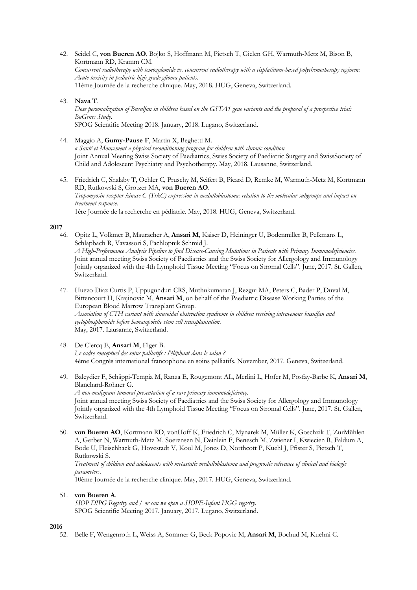42. Seidel C, **von Bueren AO**, Bojko S, Hoffmann M, Pietsch T, Gielen GH, Warmuth-Metz M, Bison B, Kortmann RD, Kramm CM. *Concurrent radiotherapy with temozolomide vs. concurrent radiotherapy with a cisplatinum-based polychemotherapy regimen: Acute toxicity in pediatric high-grade glioma patients.* 11ème Journée de la recherche clinique. May, 2018. HUG, Geneva, Switzerland.

### 43. **Nava T**.

*Dose personalization of Busulfan in children based on the GSTA1 gene variants and the proposal of a prospective trial: BuGenes Study.* SPOG Scientific Meeting 2018. January, 2018. Lugano, Switzerland.

- 44. Maggio A, **Gumy-Pause F**, Martin X, Beghetti M. *« Santé et Mouvement » physical reconditioning program for children with chronic condition.* Joint Annual Meeting Swiss Society of Paediatrics, Swiss Society of Paediatric Surgery and SwissSociety of Child and Adolescent Psychiatry and Psychotherapy. May, 2018. Lausanne, Switzerland.
- 45. Friedrich C, Shalaby T, Oehler C, Pruschy M, Seifert B, Picard D, Remke M, Warmuth-Metz M, Kortmann RD, Rutkowski S, Grotzer MA, **von Bueren AO**. *Tropomyosin receptor kinase C (TrkC) expression in medulloblastoma: relation to the molecular subgroups and impact on treatment response.* 1ère Journée de la recherche en pédiatrie. May, 2018. HUG, Geneva, Switzerland.

### **2017**

46. Opitz L, Volkmer B, Mauracher A, **Ansari M**, Kaiser D, Heininger U, Bodenmiller B, Pelkmans L, Schlapbach R, Vavassori S, Pachlopnik Schmid J. *A High-Performance Analysis Pipeline to find Disease-Causing Mutations in Patients with Primary Immunodeficiencies.* Joint annual meeting Swiss Society of Paediatrics and the Swiss Society for Allergology and Immunology Jointly organized with the 4th Lymphoid Tissue Meeting "Focus on Stromal Cells". June, 2017. St. Gallen, Switzerland.

- 47. Huezo-Diaz Curtis P, Uppugunduri CRS, Muthukumaran J, Rezgui MA, Peters C, Bader P, Duval M, Bittencourt H, Krajinovic M, **Ansari M**, on behalf of the Paediatric Disease Working Parties of the European Blood Marrow Transplant Group. *Association of CTH variant with sinusoidal obstruction syndrome in children receiving intravenous busulfan and cyclophosphamide before hematopoietic stem cell transplantation.* May, 2017. Lausanne, Switzerland.
- 48. De Clercq E, **Ansari M**, Elger B. *Le cadre conceptuel des soins palliatifs : l'éléphant dans le salon ?* 4ème Congrès international francophone en soins palliatifs. November, 2017. Geneva, Switzerland.
	- 49. Baleydier F, Schäppi-Tempia M, Ranza E, Rougemont AL, Merlini L, Hofer M, Posfay-Barbe K, **Ansari M**, Blanchard-Rohner G.

*A non-malignant tumoral presentation of a rare primary immunodeficiency.* Joint annual meeting Swiss Society of Paediatrics and the Swiss Society for Allergology and Immunology Jointly organized with the 4th Lymphoid Tissue Meeting "Focus on Stromal Cells". June, 2017. St. Gallen, Switzerland.

50. **von Bueren AO**, Kortmann RD, vonHoff K, Friedrich C, Mynarek M, Müller K, Goschzik T, ZurMühlen A, Gerber N, Warmuth-Metz M, Soerensen N, Deinlein F, Benesch M, Zwiener I, Kwiecien R, Faldum A, Bode U, Fleischhack G, Hovestadt V, Kool M, Jones D, Northcott P, Kuehl J, Pfister S, Pietsch T, Rutkowski S.

*Treatment of children and adolescents with metastatic medulloblastoma and prognostic relevance of clinical and biologic parameters.*

10ème Journée de la recherche clinique. May, 2017. HUG, Geneva, Switzerland.

### 51. **von Bueren A**.

*SIOP DIPG Registry and / or can we open a SIOPE-Infant HGG registry.* SPOG Scientific Meeting 2017. January, 2017. Lugano, Switzerland.

### **2016**

52. Belle F, Wengenroth L, Weiss A, Sommer G, Beck Popovic M, **Ansari M**, Bochud M, Kuehni C.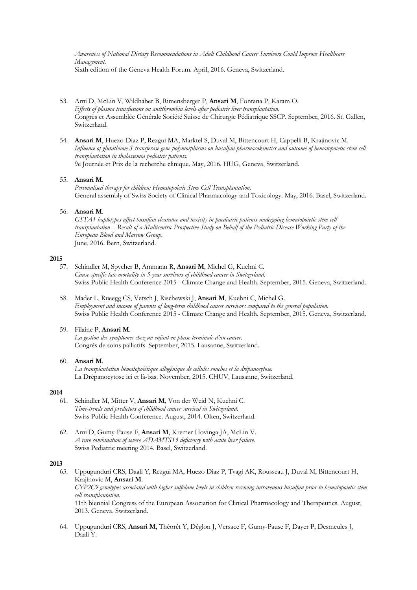*Awareness of National Dietary Recommendations in Adult Childhood Cancer Survivors Could Improve Healthcare Management.* Sixth edition of the Geneva Health Forum. April, 2016. Geneva, Switzerland.

- 53. Arni D, McLin V, Wildhaber B, Rimensberger P, **Ansari M**, Fontana P, Karam O. *Effects of plasma transfusions on antithrombin levels after pediatric liver transplantation.* Congrès et Assemblée Générale Société Suisse de Chirurgie Pédiatrique SSCP. September, 2016. St. Gallen, Switzerland.
- 54. **Ansari M**, Huezo-Diaz P, Rezgui MA, Marktel S, Duval M, Bittencourt H, Cappelli B, Krajinovic M. *Influence of glutathione S-transferase gene polymorphisms on busulfan pharmacokinetics and outcome of hematopoietic stem-cell transplantation in thalassemia pediatric patients.* 9e Journée et Prix de la recherche clinique. May, 2016. HUG, Geneva, Switzerland.

### 55. **Ansari M**.

*Personalised therapy for children: Hematopoietic Stem Cell Transplantation.* General assembly of Swiss Society of Clinical Pharmacology and Toxicology. May, 2016. Basel, Switzerland.

### 56. **Ansari M**.

*GSTA1 haplotypes affect busulfan clearance and toxicity in paediatric patients undergoing hematopoietic stem cell transplantation – Result of a Multicentric Prospective Study on Behalf of the Pediatric Disease Working Party of the European Blood and Marrow Group.* June, 2016. Bern, Switzerland.

#### **2015**

- 57. Schindler M, Spycher B, Ammann R, **Ansari M**, Michel G, Kuehni C. *Cause-specific late-mortality in 5-year survivors of childhood cancer in Switzerland.* Swiss Public Health Conference 2015 - Climate Change and Health. September, 2015. Geneva, Switzerland.
- 58. Mader L, Rueegg CS, Vetsch J, Rischewski J, **Ansari M**, Kuehni C, Michel G. *Employment and income of parents of long-term childhood cancer survivors compared to the general population.* Swiss Public Health Conference 2015 - Climate Change and Health. September, 2015. Geneva, Switzerland.

#### 59. Filaine P, **Ansari M**.

*La gestion des symptomes chez un enfant en phase terminale d'un cancer.* Congrès de soins palliatifs. September, 2015. Lausanne, Switzerland.

#### 60. **Ansari M**.

*La transplantation hématopoiétique allogénique de cellules souches et la drépanocytose.* La Drépanocytose ici et là-bas. November, 2015. CHUV, Lausanne, Switzerland.

#### **2014**

- 61. Schindler M, Mitter V, **Ansari M**, Von der Weid N, Kuehni C. *Time-trends and predictors of childhood cancer survival in Switzerland.* Swiss Public Health Conference. August, 2014. Olten, Switzerland.
- 62. Arni D, Gumy-Pause F, **Ansari M**, Kremer Hovinga JA, McLin V. *A rare combination of severe ADAMTS13 deficiency with acute liver failure.* Swiss Pediatric meeting 2014. Basel, Switzerland.

#### **2013**

63. Uppugunduri CRS, Daali Y, Rezgui MA, Huezo Diaz P, Tyagi AK, Rousseau J, Duval M, Bittencourt H, Krajinovic M, **Ansari M**. *CYP2C9 genotypes associated with higher sulfolane levels in children receiving intravenous busulfan prior to hematopoietic stem cell transplantation.* 11th biennial Congress of the European Association for Clinical Pharmacology and Therapeutics. August, 2013. Geneva, Switzerland.

64. Uppugunduri CRS, **Ansari M**, Théorêt Y, Déglon J, Versace F, Gumy-Pause F, Dayer P, Desmeules J, Daali Y.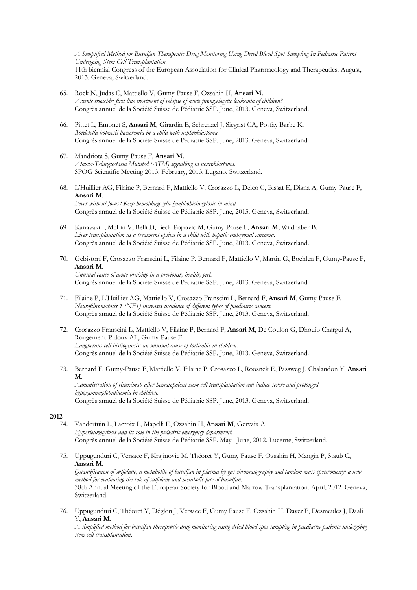*A Simplified Method for Busulfan Therapeutic Drug Monitoring Using Dried Blood Spot Sampling In Pediatric Patient Undergoing Stem Cell Transplantation.* 11th biennial Congress of the European Association for Clinical Pharmacology and Therapeutics. August, 2013. Geneva, Switzerland.

- 65. Rock N, Judas C, Mattiello V, Gumy-Pause F, Ozsahin H, **Ansari M**. *Arsenic trioxide: first line treatment of relapse of acute promyelocytic leukemia of children?* Congrès annuel de la Société Suisse de Pédiatrie SSP. June, 2013. Geneva, Switzerland.
- 66. Pittet L, Emonet S, **Ansari M**, Girardin E, Schrenzel J, Siegrist CA, Posfay Barbe K. *Bordetella holmesii bacteremia in a child with nephroblastoma.* Congrès annuel de la Société Suisse de Pédiatrie SSP. June, 2013. Geneva, Switzerland.
- 67. Mandriota S, Gumy-Pause F, **Ansari M**. *Ataxia-Telangiectasia Mutated (ATM) signalling in neuroblastoma.* SPOG Scientific Meeting 2013. February, 2013. Lugano, Switzerland.
- 68. L'Huillier AG, Filaine P, Bernard F, Mattiello V, Crosazzo L, Delco C, Bissat E, Diana A, Gumy-Pause F, **Ansari M**. *Fever without focus? Keep hemophagocytic lymphohistiocytosis in mind.* Congrès annuel de la Société Suisse de Pédiatrie SSP. June, 2013. Geneva, Switzerland.
- 69. Kanavaki I, McLin V, Belli D, Beck-Popovic M, Gumy-Pause F, **Ansari M**, Wildhaber B. *Liver transplantation as a treatment option in a child with hepatic embryonal sarcoma.* Congrès annuel de la Société Suisse de Pédiatrie SSP. June, 2013. Geneva, Switzerland.
- 70. Gebistorf F, Crosazzo Franscini L, Filaine P, Bernard F, Mattiello V, Martin G, Boehlen F, Gumy-Pause F, **Ansari M**. *Unusual cause of acute bruising in a previously healthy girl.* Congrès annuel de la Société Suisse de Pédiatrie SSP. June, 2013. Geneva, Switzerland.
- 71. Filaine P, L'Huillier AG, Mattiello V, Crosazzo Franscini L, Bernard F, **Ansari M**, Gumy-Pause F. *Neurofibromatosis 1 (NF1) increases incidence of different types of paediatric cancers.* Congrès annuel de la Société Suisse de Pédiatrie SSP. June, 2013. Geneva, Switzerland.
- 72. Crosazzo Franscini L, Mattiello V, Filaine P, Bernard F, **Ansari M**, De Coulon G, Dhouib Chargui A, Rougement-Pidoux AL, Gumy-Pause F. *Langherans cell histiocytosis: an unusual cause of torticollis in children.* Congrès annuel de la Société Suisse de Pédiatrie SSP. June, 2013. Geneva, Switzerland.
- 73. Bernard F, Gumy-Pause F, Mattiello V, Filaine P, Crosazzo L, Roosnek E, Passweg J, Chalandon Y, **Ansari M**. *Administration of rituximab after hematopoietic stem cell transplantation can induce severe and prolonged hypogammaglobulinemia in children.* Congrès annuel de la Société Suisse de Pédiatrie SSP. June, 2013. Geneva, Switzerland.

### **2012**

- 74. Vandertuin L, Lacroix L, Mapelli E, Ozsahin H, **Ansari M**, Gervaix A. *Hyperleukocytosis and its role in the pediatric emergency department.* Congrès annuel de la Société Suisse de Pédiatrie SSP. May - June, 2012. Lucerne, Switzerland.
- 75. Uppugunduri C, Versace F, Krajinovic M, Théoret Y, Gumy Pause F, Ozsahin H, Mangin P, Staub C, **Ansari M**.

*Quantification of sulfolane, a metabolite of busulfan in plasma by gas chromatography and tandem mass spectrometry: a new method for evaluating the role of sulfolane and metabolic fate of busulfan.* 38th Annual Meeting of the European Society for Blood and Marrow Transplantation. April, 2012. Geneva, Switzerland.

76. Uppugunduri C, Théoret Y, Déglon J, Versace F, Gumy Pause F, Ozsahin H, Dayer P, Desmeules J, Daali Y, **Ansari M**.

*A simplified method for busulfan therapeutic drug monitoring using dried blood spot sampling in paediatric patients undergoing stem cell transplantation.*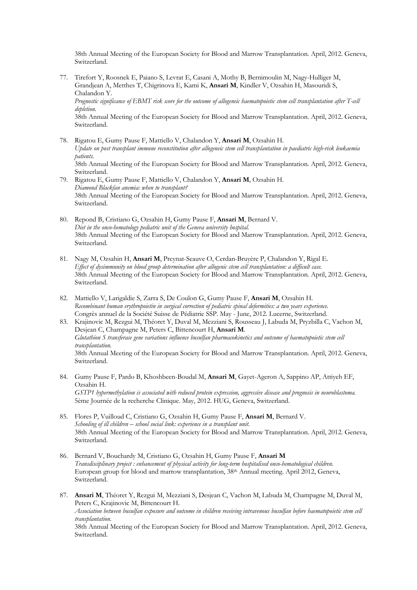38th Annual Meeting of the European Society for Blood and Marrow Transplantation. April, 2012. Geneva, Switzerland.

- 77. Tirefort Y, Roosnek E, Paiano S, Levrat E, Casani A, Mothy B, Bernimoulin M, Nagy-Hulliger M, Grandjean A, Metthes T, Chigrinova E, Kami K, **Ansari M**, Kindler V, Ozsahin H, Masouridi S, Chalandon Y. *Prognostic significance of EBMT risk score for the outcome of allogeneic haematopoietic stem cell transplantation after T-cell depletion.* 38th Annual Meeting of the European Society for Blood and Marrow Transplantation. April, 2012. Geneva, Switzerland.
- 78. Rigatou E, Gumy Pause F, Mattiello V, Chalandon Y, **Ansari M**, Ozsahin H. *Update on post transplant immune reconstitution after allogeneic stem cell transplantation in paediatric high-risk leukaemia patients.* 38th Annual Meeting of the European Society for Blood and Marrow Transplantation. April, 2012. Geneva, Switzerland. 79. Rigatou E, Gumy Pause F, Mattiello V, Chalandon Y, **Ansari M**, Ozsahin H.
- *Diamond Blackfan anemia: when to transplant?* 38th Annual Meeting of the European Society for Blood and Marrow Transplantation. April, 2012. Geneva, Switzerland.
- 80. Repond B, Cristiano G, Ozsahin H, Gumy Pause F, **Ansari M**, Bernard V. *Diet in the onco-hematology pediatric unit of the Geneva university hospital.* 38th Annual Meeting of the European Society for Blood and Marrow Transplantation. April, 2012. Geneva, Switzerland.
- 81. Nagy M, Ozsahin H, **Ansari M**, Preynat-Seauve O, Cerdan-Bruyère P, Chalandon Y, Rigal E. *Effect of dysimmunity on blood group determination after allogenic stem cell transplantation: a difficult case.* 38th Annual Meeting of the European Society for Blood and Marrow Transplantation. April, 2012. Geneva, Switzerland.
- 82. Mattiello V, Larigaldie S, Zarra S, De Coulon G, Gumy Pause F, **Ansari M**, Ozsahin H. *Recombinant human erythropoietin in surgical correction of pediatric spinal deformities: a two years experience.* Congrès annuel de la Société Suisse de Pédiatrie SSP. May - June, 2012. Lucerne, Switzerland.
- 83. Krajinovic M, Rezgui M, Théoret Y, Duval M, Mezziani S, Rousseau J, Labuda M, Pryzbilla C, Vachon M, Desjean C, Champagne M, Peters C, Bittencourt H, **Ansari M**. *Glutathion S transferase gene variations influence busulfan pharmacokinetics and outcome of haematopoietic stem cell transplantation.* 38th Annual Meeting of the European Society for Blood and Marrow Transplantation. April, 2012. Geneva, Switzerland.
- 84. Gumy Pause F, Pardo B, Khoshbeen-Boudal M, **Ansari M**, Gayet-Ageron A, Sappino AP, Attiyeh EF, Ozsahin H. *GSTP1 hypermethylation is associated with reduced protein expression, aggressive disease and prognosis in neuroblastoma.* 5ème Journée de la recherche Clinique. May, 2012. HUG, Geneva, Switzerland.
- 85. Flores P, Vuilloud C, Cristiano G, Ozsahin H, Gumy Pause F, **Ansari M**, Bernard V. *Schooling of ill children – school social link: experience in a transplant unit.* 38th Annual Meeting of the European Society for Blood and Marrow Transplantation. April, 2012. Geneva, Switzerland.
- 86. Bernard V, Bouchardy M, Cristiano G, Ozsahin H, Gumy Pause F, **Ansari M** *Transdisciplinary project : enhancement of physical activity for long-term hospitalised onco-hematological children.* European group for blood and marrow transplantation, 38th Annual meeting. April 2012, Geneva, Switzerland.
- 87. **Ansari M**, Théoret Y, Rezgui M, Mezziani S, Desjean C, Vachon M, Labuda M, Champagne M, Duval M, Peters C, Krajinovic M, Bittencourt H. *Association between busulfan exposure and outcome in children receiving intravenous busulfan before haematopoietic stem cell transplantation.* 38th Annual Meeting of the European Society for Blood and Marrow Transplantation. April, 2012. Geneva, Switzerland.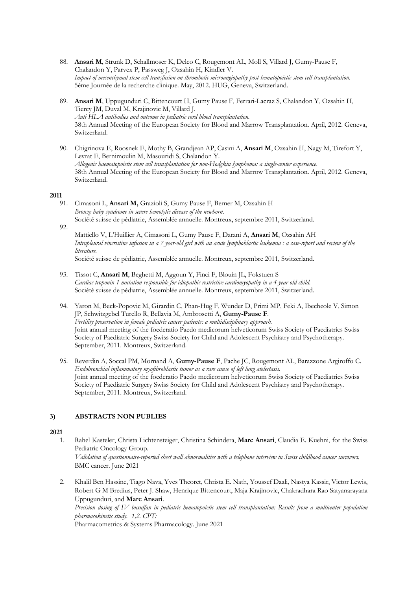- 88. **Ansari M**, Strunk D, Schallmoser K, Delco C, Rougemont AL, Moll S, Villard J, Gumy-Pause F, Chalandon Y, Parvex P, Passweg J, Ozsahin H, Kindler V. *Impact of mesenchymal stem cell transfusion on thrombotic microangiopathy post-hematopoietic stem cell transplantation.* 5ème Journée de la recherche clinique. May, 2012. HUG, Geneva, Switzerland.
- 89. **Ansari M**, Uppugunduri C, Bittencourt H, Gumy Pause F, Ferrari-Lacraz S, Chalandon Y, Ozsahin H, Tiercy JM, Duval M, Krajinovic M, Villard J. *Anti HLA antibodies and outcome in pediatric cord blood transplantation.* 38th Annual Meeting of the European Society for Blood and Marrow Transplantation. April, 2012. Geneva, Switzerland.
- 90. Chigrinova E, Roosnek E, Mothy B, Grandjean AP, Casini A, **Ansari M**, Ozsahin H, Nagy M, Tirefort Y, Levrat E, Bernimoulin M, Masouridi S, Chalandon Y. *Allogenic haematopoietic stem cell transplantation for non-Hodgkin lymphoma: a single-center experience*. 38th Annual Meeting of the European Society for Blood and Marrow Transplantation. April, 2012. Geneva, Switzerland.

### **2011**

- 91. Cimasoni L, **Ansari M,** Grazioli S, Gumy Pause F, Berner M, Ozsahin H *Bronze baby syndrome in severe hemolytic disease of the newborn.* Société suisse de pédiatrie, Assemblée annuelle. Montreux, septembre 2011, Switzerland. 92.
	- Mattiello V, L'Huillier A, Cimasoni L, Gumy Pause F, Darani A, **Ansari M**, Ozsahin AH *Intrapleural vincristine infusion in a 7 year-old girl with an acute lymphoblastic leukemia : a case-report and review of the literature.*

Société suisse de pédiatrie, Assemblée annuelle. Montreux, septembre 2011, Switzerland.

- 93. Tissot C, **Ansari M**, Beghetti M, Aggoun Y, Finci F, Blouin JL, Fokstuen S *Cardiac troponin 1 mutation responsible for idiopathic restrictive cardiomyopathy in a 4 year-old child.* Société suisse de pédiatrie, Assemblée annuelle. Montreux, septembre 2011, Switzerland.
- 94. Yaron M, Beck-Popovic M, Girardin C, Phan-Hug F, Wunder D, Primi MP, Feki A, Ibecheole V, Simon JP, Schwitzgebel Turello R, Bellavia M, Ambrosetti A, **Gumy-Pause F**. *Fertility preservation in female pediatric cancer patients: a multidisciplinary approach.* Joint annual meeting of the foederatio Paedo medicorum helveticorum Swiss Society of Paediatrics Swiss Society of Paediatric Surgery Swiss Society for Child and Adolescent Psychiatry and Psychotherapy. September, 2011. Montreux, Switzerland.
- 95. Reverdin A, Soccal PM, Mornand A, **Gumy-Pause F**, Pache JC, Rougemont AL, Barazzone Argiroffo C. *Endobronchial inflammatory myofibroblastic tumor as a rare cause of left lung atelectasis.* Joint annual meeting of the foederatio Paedo medicorum helveticorum Swiss Society of Paediatrics Swiss Society of Paediatric Surgery Swiss Society for Child and Adolescent Psychiatry and Psychotherapy. September, 2011. Montreux, Switzerland.

# **3) ABSTRACTS NON PUBLIES**

### **2021**

1. Rahel Kasteler, Christa Lichtensteiger, Christina Schindera, **Marc Ansari**, Claudia E. Kuehni, for the Swiss Pediatric Oncology Group.

*Validation of questionnaire-reported chest wall abnormalities with a telephone interview in Swiss childhood cancer survivors.*  BMC cancer. June 2021

2. Khalil Ben Hassine, Tiago Nava, Yves Theoret, Christa E. Nath, Youssef Daali, Nastya Kassir, Victor Lewis, Robert G M Bredius, Peter J. Shaw, Henrique Bittencourt, Maja Krajinovic, Chakradhara Rao Satyanarayana Uppugunduri, and **Marc Ansari**.

*Precision dosing of IV busulfan in pediatric hematopoietic stem cell transplantation: Results from a multicenter population pharmacokinetic study. 1,2. CPT:* 

Pharmacometrics & Systems Pharmacology. June 2021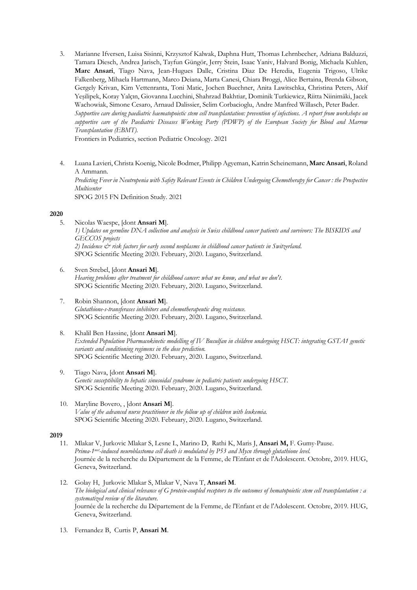3. Marianne Ifversen, Luisa Sisinni, Krzysztof Kalwak, Daphna Hutt, Thomas Lehrnbecher, Adriana Balduzzi, Tamara Diesch, Andrea Jarisch, Tayfun Güngör, Jerry Stein, Isaac Yaniv, Halvard Bonig, Michaela Kuhlen, **Marc Ansari**, Tiago Nava, Jean-Hugues Dalle, Cristina Diaz De Heredia, Eugenia Trigoso, Ulrike Falkenberg, Mihaela Hartmann, Marco Deiana, Marta Canesi, Chiara Broggi, Alice Bertaina, Brenda Gibson, Gergely Krivan, Kim Vettenranta, Toni Matic, Jochen Buechner, Anita Lawitschka, Christina Peters, Akif Yeşilipek, Koray Yalçın, Giovanna Lucchini, Shahrzad Bakhtiar, Dominik Turkiewicz, Riitta Niinimäki, Jacek Wachowiak, Simone Cesaro, Arnaud Dalissier, Selim Corbacioglu, Andre Manfred Willasch, Peter Bader. *Supportive care during paediatric haematopoietic stem cell transplantation: prevention of infections. A report from workshops on supportive care of the Paediatric Diseases Working Party (PDWP) of the European Society for Blood and Marrow Transplantation (EBMT).* 

Frontiers in Pediatrics, section Pediatric Oncology. 2021

4. Luana Lavieri, Christa Koenig, Nicole Bodmer, Philipp Agyeman, Katrin Scheinemann, **Marc Ansari**, Roland A Ammann. *Predicting Fever in Neutropenia with Safety Relevant Events in Children Undergoing Chemotherapy for Cancer : the Prospective Multicenter*  SPOG 2015 FN Definition Study. 2021

# **2020**

- 5. Nicolas Waespe, [dont **Ansari M**]. *1) Updates on germline DNA collection and analysis in Swiss childhood cancer patients and survivors: The BISKIDS and GECCOS projects 2) Incidence & risk factors for early second neoplasms in childhood cancer patients in Switzerland*. SPOG Scientific Meeting 2020. February, 2020. Lugano, Switzerland.
- 6. Sven Strebel, [dont **Ansari M**]. *Hearing problems after treatment for childhood cancer: what we know, and what we don't*. SPOG Scientific Meeting 2020. February, 2020. Lugano, Switzerland.
- 7. Robin Shannon, [dont **Ansari M**]. *Glutathione-s-transferases inhibitors and chemotherapeutic drug resistance.* SPOG Scientific Meeting 2020. February, 2020. Lugano, Switzerland.
- 8. Khalil Ben Hassine, [dont **Ansari M**]. *Extended Population Pharmacokinetic modelling of IV Busulfan in children undergoing HSCT: integrating GSTA1 genetic variants and conditioning regimens in the dose prediction.*  SPOG Scientific Meeting 2020. February, 2020. Lugano, Switzerland.
- 9. Tiago Nava, [dont **Ansari M**]. *Genetic susceptibility to hepatic sinusoidal syndrome in pediatric patients undergoing HSCT.*  SPOG Scientific Meeting 2020. February, 2020. Lugano, Switzerland.
- 10. Maryline Bovero, , [dont **Ansari M**]. *Value of the advanced nurse practitioner in the follow up of children with leukemia.*  SPOG Scientific Meeting 2020. February, 2020. Lugano, Switzerland.

- 11. Mlakar V, Jurkovic Mlakar S, Lesne L, Marino D, Rathi K, Maris J, **Ansari M,** F. Gumy-Pause. *Prima-1met-induced neuroblastoma cell death is modulated by P53 and Mycn through glutathione level*. Journée de la recherche du Département de la Femme, de l'Enfant et de l'Adolescent. Octobre, 2019. HUG, Geneva, Switzerland.
- 12. Golay H, Jurkovic Mlakar S, Mlakar V, Nava T, **Ansari M**. *The biological and clinical relevance of G protein-coupled receptors to the outcomes of hematopoietic stem cell transplantation : a systematized review of the litarature.* Journée de la recherche du Département de la Femme, de l'Enfant et de l'Adolescent. Octobre, 2019. HUG, Geneva, Switzerland.
- 13. Fernandez B, Curtis P, **Ansari M**.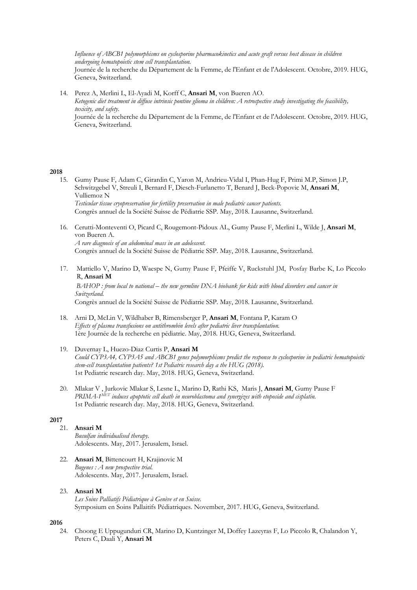*Influence of ABCB1 polymorphisms on cyclosporine pharmacokinetics and acute graft versus host disease in children undergoing hematopoietic stem cell transplantation.* Journée de la recherche du Département de la Femme, de l'Enfant et de l'Adolescent. Octobre, 2019. HUG, Geneva, Switzerland.

14. Perez A, Merlini L, El-Ayadi M, Korff C, **Ansari M**, von Bueren AO. *Ketogenic diet treatment in diffuse intrinsic pontine glioma in children: A retrospective study investigating the feasibility, toxicity, and safety*. Journée de la recherche du Département de la Femme, de l'Enfant et de l'Adolescent. Octobre, 2019. HUG, Geneva, Switzerland.

#### **2018**

15. Gumy Pause F, Adam C, Girardin C, Yaron M, Andrieu-Vidal I, Phan-Hug F, Primi M.P, Simon J.P, Schwitzgebel V, Streuli I, Bernard F, Diesch-Furlanetto T, Benard J, Beck-Popovic M, **Ansari M**, Vulliemoz N

*Testicular tissue cryopreservation for fertility preservation in male pediatric cancer patients.*  Congrès annuel de la Société Suisse de Pédiatrie SSP. May, 2018. Lausanne, Switzerland.

16. Cerutti-Monteventi O, Picard C, Rougemont-Pidoux AL, Gumy Pause F, Merlini L, Wilde J, **Ansari M**, von Bueren A. *A rare diagnosis of an abdominal mass in an adolescent.* 

Congrès annuel de la Société Suisse de Pédiatrie SSP. May, 2018. Lausanne, Switzerland.

17. Mattiello V, Marino D, Waespe N, Gumy Pause F, Pfeiffe V, Ruckstuhl JM, Posfay Barbe K, Lo Piccolo R, **Ansari M**

*BAHOP : from local to national – the new germline DNA biobank for kids with blood disorders and cancer in Switzerland.*

Congrès annuel de la Société Suisse de Pédiatrie SSP. May, 2018. Lausanne, Switzerland.

- 18. Arni D, McLin V, Wildhaber B, Rimensberger P, **Ansari M**, Fontana P, Karam O *Effects of plasma transfusions on antithrombin levels after pediatric liver transplantation.* 1ère Journée de la recherche en pédiatrie. May, 2018. HUG, Geneva, Switzerland.
- 19. Duvernay L, Huezo-Diaz Curtis P, **Ansari M** *Could CYP3A4, CYP3A5 and ABCB1 genes polymorphisms predict the response to cyclosporine in pediatric hematopoietic stem-cell transplantation patients? 1st Pediatric research day a the HUG (2018).* 1st Pediatric research day. May, 2018. HUG, Geneva, Switzerland.
- 20. Mlakar V , Jurkovic Mlakar S, Lesne L, Marino D, Rathi KS, Maris J, **Ansari M**, Gumy Pause F *PRIMA-1MET induces apoptotic cell death in neuroblastoma and synergizes with etoposide and cisplatin.*  1st Pediatric research day. May, 2018. HUG, Geneva, Switzerland.

#### **2017**

### 21. **Ansari M**

- *Busulfan individualised therapy.* Adolescents. May, 2017. Jerusalem, Israel.
- 22. **Ansari M**, Bittencourt H, Krajinovic M *Bugenes : A new prospective trial.* Adolescents. May, 2017. Jerusalem, Israel.
- 23. **Ansari M** *Les Soins Palliatifs Pédiatrique à Genève et en Suisse.* Symposium en Soins Pallaitifs Pédiatriques. November, 2017. HUG, Geneva, Switzerland.

#### **2016**

24. Choong E Uppugunduri CR, Marino D, Kuntzinger M, Doffey Lazeyras F, Lo Piccolo R, Chalandon Y, Peters C, Daali Y, **Ansari M**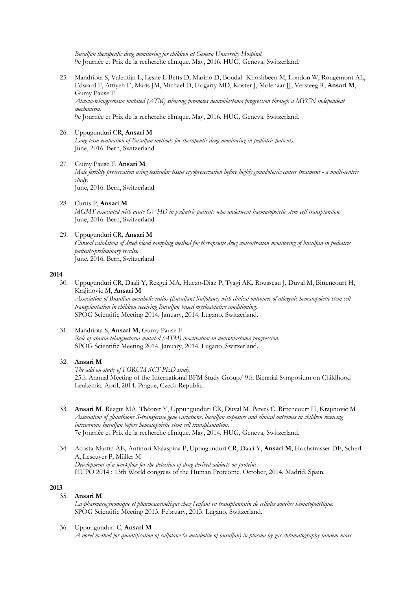*Busulfan therapeutic drug monitoring for children at Geneva University Hospital.* 9e Journée et Prix de la recherche clinique. May, 2016. HUG, Geneva, Switzerland.

- 25. Mandriota S, Valentijn L, Lesne L Betts D, Marino D, Boudal- Khoshbeen M, London W, Rougemont AL, Edward F, Attiyeh E, Maris JM, Michael D, Hogarty MD, Koster J, Molenaar JJ, Versteeg R, **Ansari M**, Gumy Pause F *Ataxia-telangiectasia mutated (ATM) silencing promotes neuroblastoma progression through a MYCN independent mechanism.* 9e Journée et Prix de la recherche clinique. May, 2016. HUG, Geneva, Switzerland.
- 26. Uppugunduri CR, **Ansari M** *Long-term evaluation of Busulfan methods for therapeutic drug monitoring in pediatric patients.* June, 2016. Bern, Switzerland
- 27. Gumy Pause F, **Ansari M** *Male fertility preservation using testicular tissue cryopreservation before highly gonadotoxic cancer treatment - a multi-centric study.*  June, 2016. Bern, Switzerland
- 28. Curtis P, **Ansari M** *MGMT associated with acute GVHD in pediatric patients who underwent haematopoietic stem cell transplantion.* June, 2016. Bern, Switzerland
- 29. Uppugunduri CR, **Ansari M** *Clinical validation of dried blood sampling method for therapeutic drug concentration monitoring of busulfan in pediatric patients-preliminary results.* June, 2016. Bern, Switzerland

### **2014**

- 30. Uppugunduri CR, Daali Y, Rezgui MA, Huezo-Diaz P, Tyagi AK, Rousseau J, Duval M, Bittencourt H, Krajinovic M, **Ansari M** *Association of Busulfan metabolic ratios (Busulfan/Sulfolane) with clinical outcomes of allogenic hematopoietic stem cell transplantation in children receiving Busulfan based myeloablative conditioning.* SPOG Scientific Meeting 2014. January, 2014. Lugano, Switzerland.
- 31. Mandriota S, **Ansari M**, Gumy Pause F *Role of ataxia-telangiectasia mutated (ATM) inactivation in neuroblastoma progression.* SPOG Scientific Meeting 2014. January, 2014. Lugano, Switzerland.

### 32. **Ansari M**

*The add on study of FORUM SCT PED study.* 25th Annual Meeting of the International BFM Study Group/ 9th Biennial Symposium on Childhood Leukemia. April, 2014. Prague, Czech Republic.

- 33. **Ansari M**, Rezgui MA, Théoret Y, Uppungunduri CR, Duval M, Peters C, Bittencourt H, Krajinovic M *Association of glutathione S-transferase gene variations, busulfan exposure and clinical outcomes in children receiving intravenous busulfan before hematopoietic stem cell transplantation.* 7e Journée et Prix de la recherche clinique. May, 2014. HUG, Geneva, Switzerland.
- 34. Acosta-Martin AE, Antinori-Malaspina P, Uppugunduri CR, Daali Y, **Ansari M**, Hochstrasser DF, Scherl A, Lescuyer P, Müller M *Development of a workflow for the detection of drug-derived adducts on proteins.* HUPO 2014 : 13th World congress of the Human Proteome. October, 2014. Madrid, Spain.

### **2013**

### 35. **Ansari M**

*La pharmacogénomique et pharmacocinétique chez l'enfant en transplantatin de cellules souches hématopoiétique*. SPOG Scientific Meeting 2013. February, 2013. Lugano, Switzerland.

### 36. Uppungunduri C, **Ansari M**

*A novel method for quantification of sulfolane (a metabolite of busulfan) in plasma by gas chromatography-tandem mass*